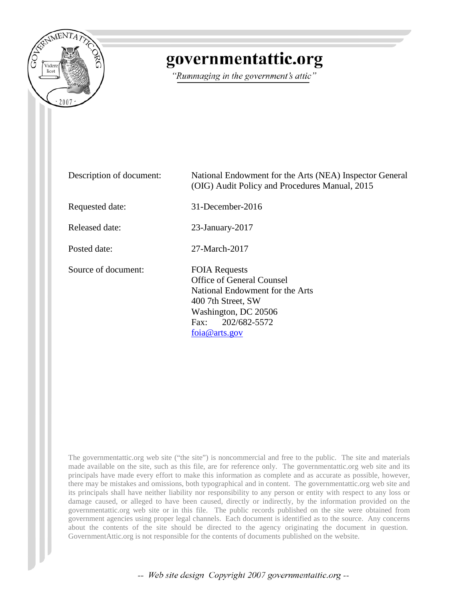

# governmentattic.org

"Rummaging in the government's attic"

| Description of document: | National Endowment for the Arts (NEA) Inspector General<br>(OIG) Audit Policy and Procedures Manual, 2015                                                                          |
|--------------------------|------------------------------------------------------------------------------------------------------------------------------------------------------------------------------------|
| Requested date:          | $31$ -December-2016                                                                                                                                                                |
| Released date:           | $23$ -January- $2017$                                                                                                                                                              |
| Posted date:             | 27-March-2017                                                                                                                                                                      |
| Source of document:      | <b>FOIA Requests</b><br><b>Office of General Counsel</b><br>National Endowment for the Arts<br>400 7th Street, SW<br>Washington, DC 20506<br>202/682-5572<br>Fax:<br>foia@arts.gov |

The governmentattic.org web site ("the site") is noncommercial and free to the public. The site and materials made available on the site, such as this file, are for reference only. The governmentattic.org web site and its principals have made every effort to make this information as complete and as accurate as possible, however, there may be mistakes and omissions, both typographical and in content. The governmentattic.org web site and its principals shall have neither liability nor responsibility to any person or entity with respect to any loss or damage caused, or alleged to have been caused, directly or indirectly, by the information provided on the governmentattic.org web site or in this file. The public records published on the site were obtained from government agencies using proper legal channels. Each document is identified as to the source. Any concerns about the contents of the site should be directed to the agency originating the document in question. GovernmentAttic.org is not responsible for the contents of documents published on the website.

-- Web site design Copyright 2007 governmentattic.org --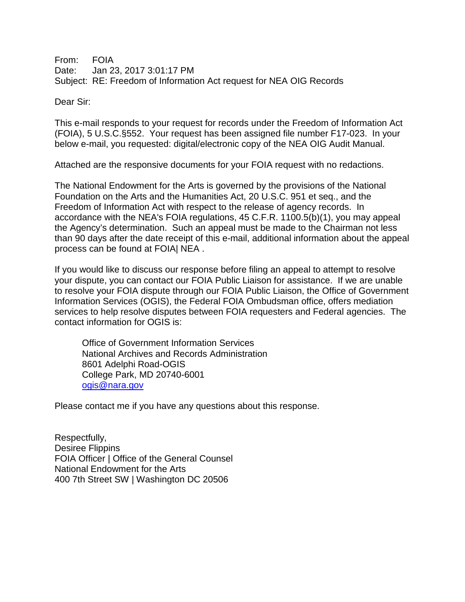From: FOIA Date: Jan 23, 2017 3:01:17 PM Subject: RE: Freedom of Information Act request for NEA OIG Records

Dear Sir:

This e-mail responds to your request for records under the Freedom of Information Act (FOIA), 5 U.S.C.§552. Your request has been assigned file number F17-023. In your below e-mail, you requested: digital/electronic copy of the NEA OIG Audit Manual.

Attached are the responsive documents for your FOIA request with no redactions.

The National Endowment for the Arts is governed by the provisions of the National Foundation on the Arts and the Humanities Act, 20 U.S.C. 951 et seq., and the Freedom of Information Act with respect to the release of agency records. In accordance with the NEA's FOIA regulations, 45 C.F.R. 1100.5(b)(1), you may appeal the Agency's determination. Such an appeal must be made to the Chairman not less than 90 days after the date receipt of this e-mail, additional information about the appeal process can be found at FOIA| NEA .

If you would like to discuss our response before filing an appeal to attempt to resolve your dispute, you can contact our FOIA Public Liaison for assistance. If we are unable to resolve your FOIA dispute through our FOIA Public Liaison, the Office of Government Information Services (OGIS), the Federal FOIA Ombudsman office, offers mediation services to help resolve disputes between FOIA requesters and Federal agencies. The contact information for OGIS is:

Office of Government Information Services National Archives and Records Administration 8601 Adelphi Road-OGIS College Park, MD 20740-6001 [ogis@nara.gov](mailto:ogis@nara.gov?subject=FOIA%20Request)

Please contact me if you have any questions about this response.

Respectfully, Desiree Flippins FOIA Officer | Office of the General Counsel National Endowment for the Arts 400 7th Street SW | Washington DC 20506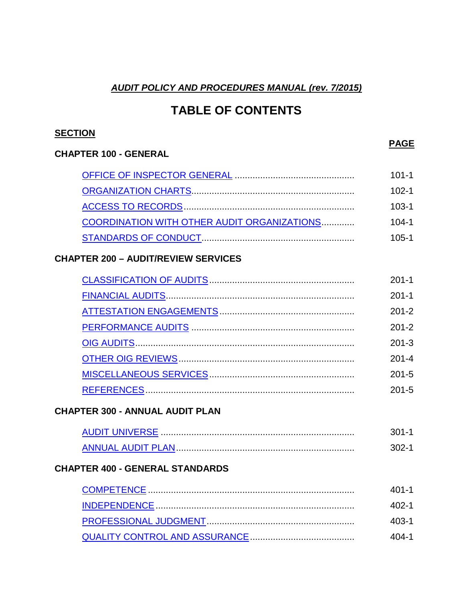## *AUDIT POLICY AND PROCEDURES MANUAL (rev. 7/2015)*

## **TABLE OF CONTENTS**

### **SECTION**

### **PAGE**

### **CHAPTER 100 - GENERAL**

|                                             | $101 - 1$ |
|---------------------------------------------|-----------|
|                                             | $102 - 1$ |
|                                             | 103-1     |
| COORDINATION WITH OTHER AUDIT ORGANIZATIONS | $104 - 1$ |
|                                             | $105-1$   |

### **CHAPTER 200 – AUDIT/REVIEW SERVICES**

| $201 - 1$ |
|-----------|
| $201 - 1$ |
| $201 - 2$ |
| $201 - 2$ |
| $201 - 3$ |
| $201 - 4$ |
| $201 - 5$ |
| $201 - 5$ |

### **CHAPTER 300 - ANNUAL AUDIT PLAN**

| <b>AUDIT UNIVERSE</b> |  |
|-----------------------|--|
| ANNUAL AUDIT PLAN.    |  |

### **CHAPTER 400 - GENERAL STANDARDS**

| 401-1 |
|-------|
| 402-1 |
| 403-1 |
| 404-1 |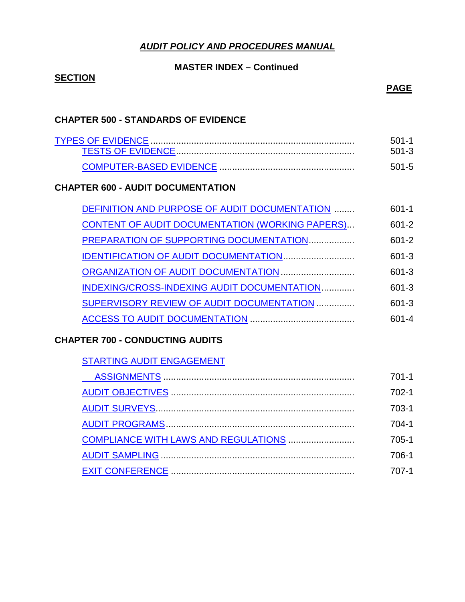#### **MASTER INDEX – Continued**

### **SECTION**

### **CHAPTER 500 - STANDARDS OF EVIDENCE**

| 501-3 |
|-------|
|       |

### **CHAPTER 600 - AUDIT DOCUMENTATION**

| DEFINITION AND PURPOSE OF AUDIT DOCUMENTATION   | $601 - 1$ |
|-------------------------------------------------|-----------|
| CONTENT OF AUDIT DOCUMENTATION (WORKING PAPERS) | $601 - 2$ |
| PREPARATION OF SUPPORTING DOCUMENTATION         | $601 - 2$ |
| IDENTIFICATION OF AUDIT DOCUMENTATION           | $601 - 3$ |
| ORGANIZATION OF AUDIT DOCUMENTATION             | 601-3     |
| INDEXING/CROSS-INDEXING AUDIT DOCUMENTATION     | 601-3     |
| SUPERVISORY REVIEW OF AUDIT DOCUMENTATION       | 601-3     |
|                                                 | 601-4     |

### **CHAPTER 700 - CONDUCTING AUDITS**

| $701 - 1$ |
|-----------|
|           |
| $702 - 1$ |
| $703-1$   |
| $704-1$   |
| $705-1$   |
| 706-1     |
| 707-1     |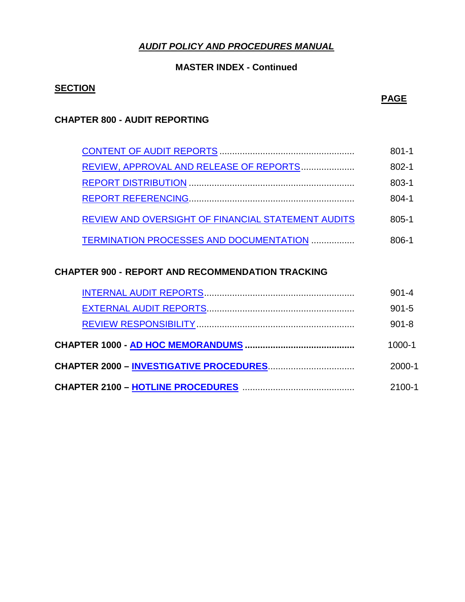#### **MASTER INDEX - Continued**

### **SECTION**

### **PAGE**

## **CHAPTER 800 - AUDIT REPORTING**

|                                                    | $801 - 1$ |
|----------------------------------------------------|-----------|
| REVIEW, APPROVAL AND RELEASE OF REPORTS            | $802 - 1$ |
|                                                    | 803-1     |
|                                                    | $804 - 1$ |
| REVIEW AND OVERSIGHT OF FINANCIAL STATEMENT AUDITS | 805-1     |
| TERMINATION PROCESSES AND DOCUMENTATION            | 806-1     |

### **CHAPTER 900 - REPORT AND RECOMMENDATION TRACKING**

| $901 - 4$  |
|------------|
| $901 - 5$  |
| $901 - 8$  |
| $1000 - 1$ |
| 2000-1     |
| 2100-1     |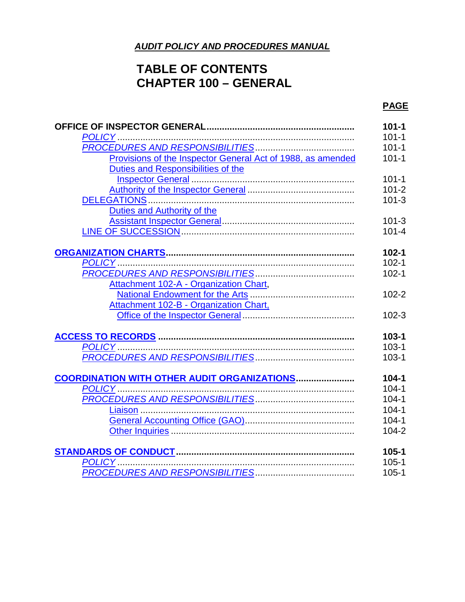## **TABLE OF CONTENTS CHAPTER 100 – GENERAL**

### **PAGE**

<span id="page-5-0"></span>

| $101 - 1$<br>$101 - 1$<br>Provisions of the Inspector General Act of 1988, as amended<br>$101 - 1$<br>Duties and Responsibilities of the<br>$101 - 1$<br>$101 - 2$<br>$101 - 3$<br>Duties and Authority of the<br>$101 - 3$<br>$101 - 4$<br>$102 - 1$<br>$102 - 1$<br>$102 - 1$<br>Attachment 102-A - Organization Chart,<br>$102 - 2$<br><b>Attachment 102-B - Organization Chart,</b><br>$102 - 3$<br>$103 - 1$<br>$103 - 1$<br>$103 - 1$<br><b>COORDINATION WITH OTHER AUDIT ORGANIZATIONS</b><br>$104 - 1$<br>$104 - 1$<br>$104 - 1$<br>$104 - 1$<br>$104 - 1$<br>$104 - 2$<br>$105 - 1$<br>$105 - 1$<br>$105 - 1$ |  |  |
|------------------------------------------------------------------------------------------------------------------------------------------------------------------------------------------------------------------------------------------------------------------------------------------------------------------------------------------------------------------------------------------------------------------------------------------------------------------------------------------------------------------------------------------------------------------------------------------------------------------------|--|--|
|                                                                                                                                                                                                                                                                                                                                                                                                                                                                                                                                                                                                                        |  |  |
|                                                                                                                                                                                                                                                                                                                                                                                                                                                                                                                                                                                                                        |  |  |
|                                                                                                                                                                                                                                                                                                                                                                                                                                                                                                                                                                                                                        |  |  |
|                                                                                                                                                                                                                                                                                                                                                                                                                                                                                                                                                                                                                        |  |  |
|                                                                                                                                                                                                                                                                                                                                                                                                                                                                                                                                                                                                                        |  |  |
|                                                                                                                                                                                                                                                                                                                                                                                                                                                                                                                                                                                                                        |  |  |
|                                                                                                                                                                                                                                                                                                                                                                                                                                                                                                                                                                                                                        |  |  |
|                                                                                                                                                                                                                                                                                                                                                                                                                                                                                                                                                                                                                        |  |  |
|                                                                                                                                                                                                                                                                                                                                                                                                                                                                                                                                                                                                                        |  |  |
|                                                                                                                                                                                                                                                                                                                                                                                                                                                                                                                                                                                                                        |  |  |
|                                                                                                                                                                                                                                                                                                                                                                                                                                                                                                                                                                                                                        |  |  |
|                                                                                                                                                                                                                                                                                                                                                                                                                                                                                                                                                                                                                        |  |  |
|                                                                                                                                                                                                                                                                                                                                                                                                                                                                                                                                                                                                                        |  |  |
|                                                                                                                                                                                                                                                                                                                                                                                                                                                                                                                                                                                                                        |  |  |
|                                                                                                                                                                                                                                                                                                                                                                                                                                                                                                                                                                                                                        |  |  |
|                                                                                                                                                                                                                                                                                                                                                                                                                                                                                                                                                                                                                        |  |  |
|                                                                                                                                                                                                                                                                                                                                                                                                                                                                                                                                                                                                                        |  |  |
|                                                                                                                                                                                                                                                                                                                                                                                                                                                                                                                                                                                                                        |  |  |
|                                                                                                                                                                                                                                                                                                                                                                                                                                                                                                                                                                                                                        |  |  |
|                                                                                                                                                                                                                                                                                                                                                                                                                                                                                                                                                                                                                        |  |  |
|                                                                                                                                                                                                                                                                                                                                                                                                                                                                                                                                                                                                                        |  |  |
|                                                                                                                                                                                                                                                                                                                                                                                                                                                                                                                                                                                                                        |  |  |
|                                                                                                                                                                                                                                                                                                                                                                                                                                                                                                                                                                                                                        |  |  |
|                                                                                                                                                                                                                                                                                                                                                                                                                                                                                                                                                                                                                        |  |  |
|                                                                                                                                                                                                                                                                                                                                                                                                                                                                                                                                                                                                                        |  |  |
|                                                                                                                                                                                                                                                                                                                                                                                                                                                                                                                                                                                                                        |  |  |
|                                                                                                                                                                                                                                                                                                                                                                                                                                                                                                                                                                                                                        |  |  |
|                                                                                                                                                                                                                                                                                                                                                                                                                                                                                                                                                                                                                        |  |  |
|                                                                                                                                                                                                                                                                                                                                                                                                                                                                                                                                                                                                                        |  |  |
|                                                                                                                                                                                                                                                                                                                                                                                                                                                                                                                                                                                                                        |  |  |
|                                                                                                                                                                                                                                                                                                                                                                                                                                                                                                                                                                                                                        |  |  |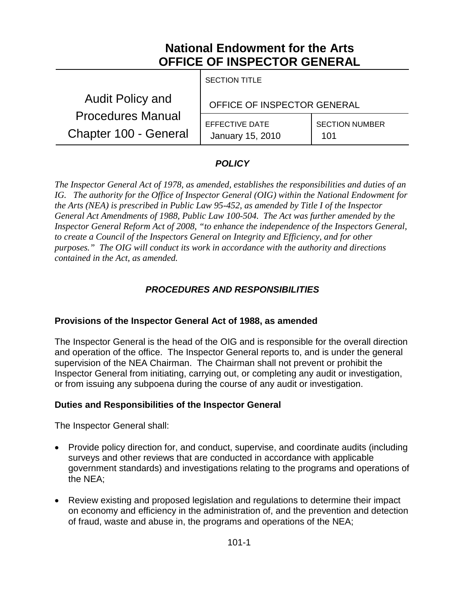<span id="page-6-0"></span>

|                          | <b>SECTION TITLE</b>        |                       |
|--------------------------|-----------------------------|-----------------------|
| <b>Audit Policy and</b>  | OFFICE OF INSPECTOR GENERAL |                       |
| <b>Procedures Manual</b> | EFFECTIVE DATE              | <b>SECTION NUMBER</b> |
| Chapter 100 - General    | January 15, 2010            | 101                   |

### *POLICY*

<span id="page-6-1"></span>*The Inspector General Act of 1978, as amended, establishes the responsibilities and duties of an IG. The authority for the Office of Inspector General (OIG) within the National Endowment for the Arts (NEA) is prescribed in Public Law 95-452, as amended by Title I of the Inspector General Act Amendments of 1988, Public Law 100-504. The Act was further amended by the Inspector General Reform Act of 2008, "to enhance the independence of the Inspectors General, to create a Council of the Inspectors General on Integrity and Efficiency, and for other purposes." The OIG will conduct its work in accordance with the authority and directions contained in the Act, as amended.*

### *PROCEDURES AND RESPONSIBILITIES*

### <span id="page-6-2"></span>**Provisions of the Inspector General Act of 1988, as amended**

The Inspector General is the head of the OIG and is responsible for the overall direction and operation of the office. The Inspector General reports to, and is under the general supervision of the NEA Chairman. The Chairman shall not prevent or prohibit the Inspector General from initiating, carrying out, or completing any audit or investigation, or from issuing any subpoena during the course of any audit or investigation.

### **Duties and Responsibilities of the Inspector General**

The Inspector General shall:

- Provide policy direction for, and conduct, supervise, and coordinate audits (including surveys and other reviews that are conducted in accordance with applicable government standards) and investigations relating to the programs and operations of the NEA;
- Review existing and proposed legislation and regulations to determine their impact on economy and efficiency in the administration of, and the prevention and detection of fraud, waste and abuse in, the programs and operations of the NEA;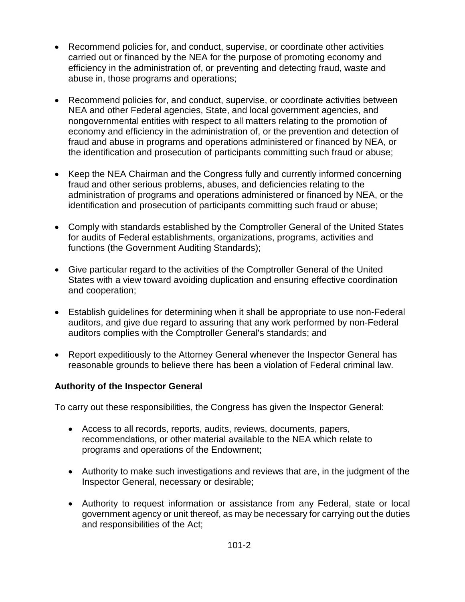- Recommend policies for, and conduct, supervise, or coordinate other activities carried out or financed by the NEA for the purpose of promoting economy and efficiency in the administration of, or preventing and detecting fraud, waste and abuse in, those programs and operations;
- Recommend policies for, and conduct, supervise, or coordinate activities between NEA and other Federal agencies, State, and local government agencies, and nongovernmental entities with respect to all matters relating to the promotion of economy and efficiency in the administration of, or the prevention and detection of fraud and abuse in programs and operations administered or financed by NEA, or the identification and prosecution of participants committing such fraud or abuse;
- Keep the NEA Chairman and the Congress fully and currently informed concerning fraud and other serious problems, abuses, and deficiencies relating to the administration of programs and operations administered or financed by NEA, or the identification and prosecution of participants committing such fraud or abuse;
- Comply with standards established by the Comptroller General of the United States for audits of Federal establishments, organizations, programs, activities and functions (the Government Auditing Standards);
- Give particular regard to the activities of the Comptroller General of the United States with a view toward avoiding duplication and ensuring effective coordination and cooperation;
- Establish guidelines for determining when it shall be appropriate to use non-Federal auditors, and give due regard to assuring that any work performed by non-Federal auditors complies with the Comptroller General's standards; and
- Report expeditiously to the Attorney General whenever the Inspector General has reasonable grounds to believe there has been a violation of Federal criminal law.

## <span id="page-7-0"></span>**Authority of the Inspector General**

To carry out these responsibilities, the Congress has given the Inspector General:

- Access to all records, reports, audits, reviews, documents, papers, recommendations, or other material available to the NEA which relate to programs and operations of the Endowment;
- Authority to make such investigations and reviews that are, in the judgment of the Inspector General, necessary or desirable;
- Authority to request information or assistance from any Federal, state or local government agency or unit thereof, as may be necessary for carrying out the duties and responsibilities of the Act;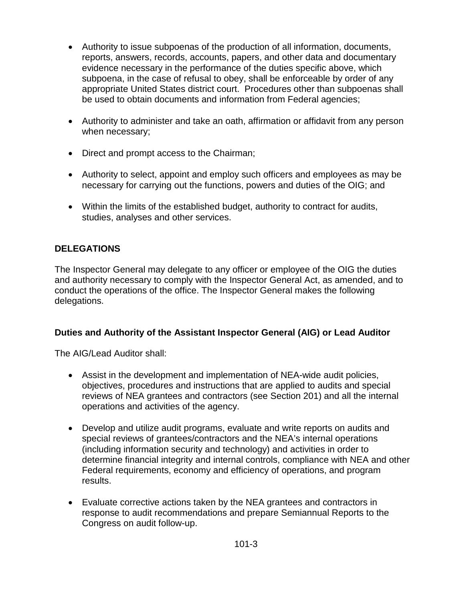- Authority to issue subpoenas of the production of all information, documents, reports, answers, records, accounts, papers, and other data and documentary evidence necessary in the performance of the duties specific above, which subpoena, in the case of refusal to obey, shall be enforceable by order of any appropriate United States district court. Procedures other than subpoenas shall be used to obtain documents and information from Federal agencies;
- Authority to administer and take an oath, affirmation or affidavit from any person when necessary;
- Direct and prompt access to the Chairman;
- Authority to select, appoint and employ such officers and employees as may be necessary for carrying out the functions, powers and duties of the OIG; and
- Within the limits of the established budget, authority to contract for audits, studies, analyses and other services.

## <span id="page-8-0"></span>**DELEGATIONS**

The Inspector General may delegate to any officer or employee of the OIG the duties and authority necessary to comply with the Inspector General Act, as amended, and to conduct the operations of the office. The Inspector General makes the following delegations.

### <span id="page-8-1"></span>**Duties and Authority of the Assistant Inspector General (AIG) or Lead Auditor**

The AIG/Lead Auditor shall:

- Assist in the development and implementation of NEA-wide audit policies, objectives, procedures and instructions that are applied to audits and special reviews of NEA grantees and contractors (see Section 201) and all the internal operations and activities of the agency.
- Develop and utilize audit programs, evaluate and write reports on audits and special reviews of grantees/contractors and the NEA's internal operations (including information security and technology) and activities in order to determine financial integrity and internal controls, compliance with NEA and other Federal requirements, economy and efficiency of operations, and program results.
- Evaluate corrective actions taken by the NEA grantees and contractors in response to audit recommendations and prepare Semiannual Reports to the Congress on audit follow-up.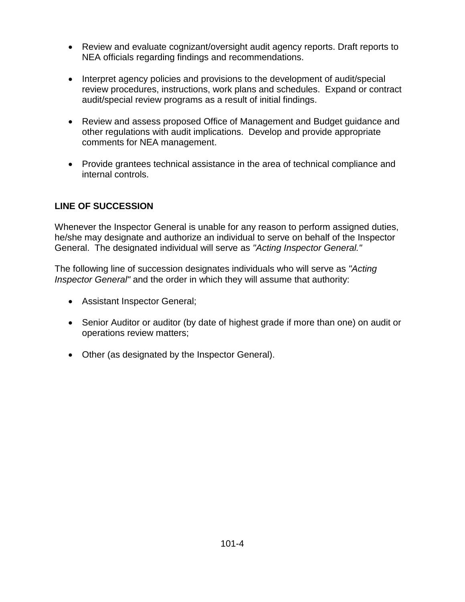- Review and evaluate cognizant/oversight audit agency reports. Draft reports to NEA officials regarding findings and recommendations.
- Interpret agency policies and provisions to the development of audit/special review procedures, instructions, work plans and schedules. Expand or contract audit/special review programs as a result of initial findings.
- Review and assess proposed Office of Management and Budget guidance and other regulations with audit implications. Develop and provide appropriate comments for NEA management.
- Provide grantees technical assistance in the area of technical compliance and internal controls.

### <span id="page-9-0"></span>**LINE OF SUCCESSION**

Whenever the Inspector General is unable for any reason to perform assigned duties, he/she may designate and authorize an individual to serve on behalf of the Inspector General. The designated individual will serve as *"Acting Inspector General."*

The following line of succession designates individuals who will serve as *"Acting Inspector General"* and the order in which they will assume that authority:

- Assistant Inspector General;
- Senior Auditor or auditor (by date of highest grade if more than one) on audit or operations review matters;
- Other (as designated by the Inspector General).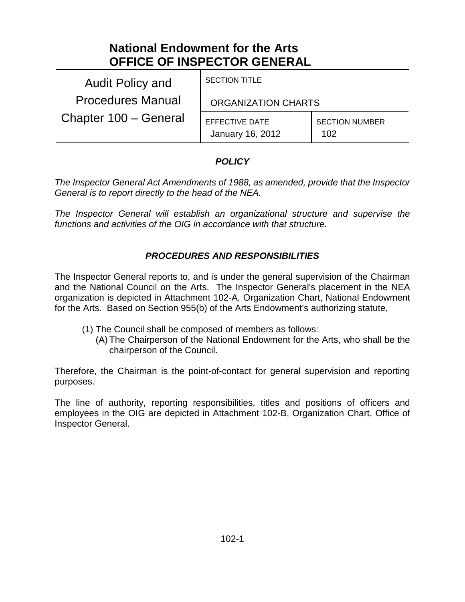<span id="page-10-0"></span>

| <b>Audit Policy and</b>  | <b>SECTION TITLE</b>               |                              |
|--------------------------|------------------------------------|------------------------------|
| <b>Procedures Manual</b> | <b>ORGANIZATION CHARTS</b>         |                              |
| Chapter 100 – General    | EFFECTIVE DATE<br>January 16, 2012 | <b>SECTION NUMBER</b><br>102 |
|                          |                                    |                              |

### *POLICY*

*The Inspector General Act Amendments of 1988, as amended, provide that the Inspector General is to report directly to the head of the NEA.*

*The Inspector General will establish an organizational structure and supervise the functions and activities of the OIG in accordance with that structure.*

## *PROCEDURES AND RESPONSIBILITIES*

The Inspector General reports to, and is under the general supervision of the Chairman and the National Council on the Arts. The Inspector General's placement in the NEA organization is depicted in Attachment 102-A, Organization Chart, National Endowment for the Arts. Based on Section 955(b) of the Arts Endowment's authorizing statute,

- (1) The Council shall be composed of members as follows:
	- (A) The Chairperson of the National Endowment for the Arts, who shall be the chairperson of the Council.

Therefore, the Chairman is the point-of-contact for general supervision and reporting purposes.

The line of authority, reporting responsibilities, titles and positions of officers and employees in the OIG are depicted in Attachment 102-B, Organization Chart, Office of Inspector General.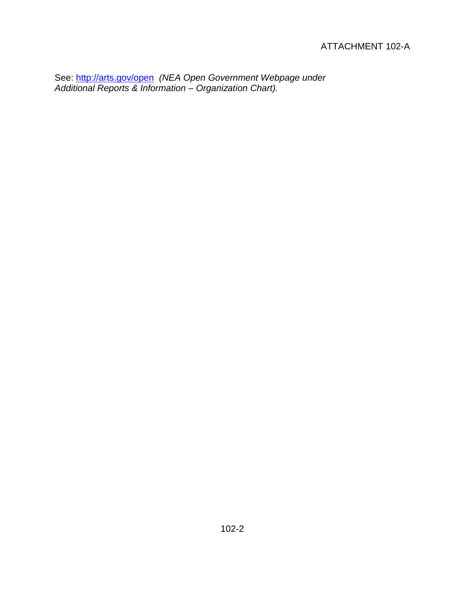### ATTACHMENT 102-A

<span id="page-11-0"></span>See:<http://arts.gov/open>*(NEA Open Government Webpage under Additional Reports & Information – Organization Chart).*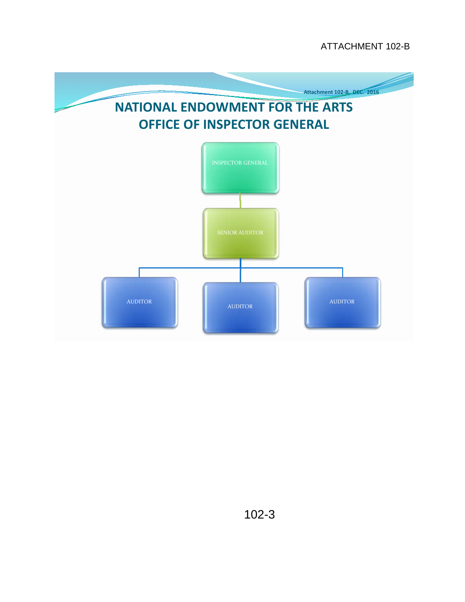<span id="page-12-0"></span>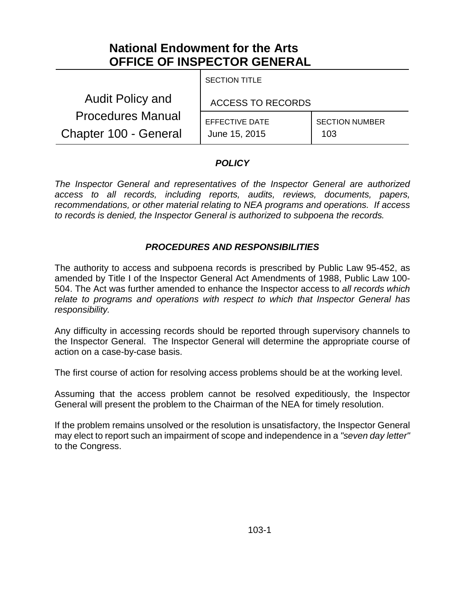<span id="page-13-0"></span>

|                          | <b>SECTION TITLE</b>     |                       |
|--------------------------|--------------------------|-----------------------|
| <b>Audit Policy and</b>  | <b>ACCESS TO RECORDS</b> |                       |
| <b>Procedures Manual</b> | <b>EFFECTIVE DATE</b>    | <b>SECTION NUMBER</b> |
| Chapter 100 - General    | June 15, 2015            | 103                   |

### *POLICY*

*The Inspector General and representatives of the Inspector General are authorized access to all records, including reports, audits, reviews, documents, papers, recommendations, or other material relating to NEA programs and operations. If access to records is denied, the Inspector General is authorized to subpoena the records.*

### *PROCEDURES AND RESPONSIBILITIES*

The authority to access and subpoena records is prescribed by Public Law 95-452, as amended by Title I of the Inspector General Act Amendments of 1988, Public Law 100- 504. The Act was further amended to enhance the Inspector access to *all records which relate to programs and operations with respect to which that Inspector General has responsibility.*

Any difficulty in accessing records should be reported through supervisory channels to the Inspector General. The Inspector General will determine the appropriate course of action on a case-by-case basis.

The first course of action for resolving access problems should be at the working level.

Assuming that the access problem cannot be resolved expeditiously, the Inspector General will present the problem to the Chairman of the NEA for timely resolution.

If the problem remains unsolved or the resolution is unsatisfactory, the Inspector General may elect to report such an impairment of scope and independence in a *"seven day letter"*  to the Congress.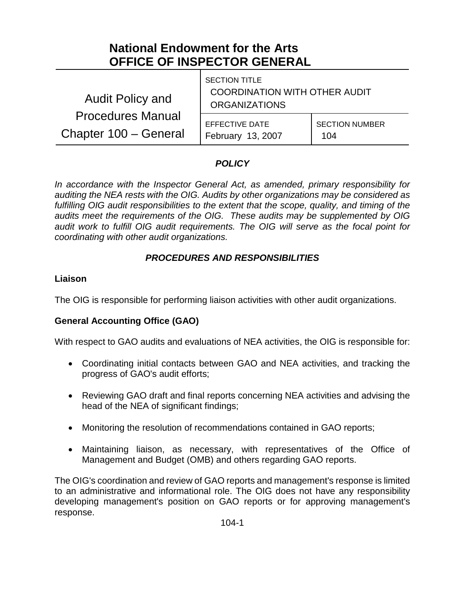<span id="page-14-0"></span>

| <b>Audit Policy and</b>  | <b>SECTION TITLE</b><br><b>COORDINATION WITH OTHER AUDIT</b><br><b>ORGANIZATIONS</b> |                       |
|--------------------------|--------------------------------------------------------------------------------------|-----------------------|
| <b>Procedures Manual</b> | EFFECTIVE DATE                                                                       | <b>SECTION NUMBER</b> |
| Chapter 100 – General    | February 13, 2007                                                                    | 104                   |

### *POLICY*

*In accordance with the Inspector General Act, as amended, primary responsibility for auditing the NEA rests with the OIG. Audits by other organizations may be considered as fulfilling OIG audit responsibilities to the extent that the scope, quality, and timing of the audits meet the requirements of the OIG. These audits may be supplemented by OIG audit work to fulfill OIG audit requirements. The OIG will serve as the focal point for coordinating with other audit organizations.*

### *PROCEDURES AND RESPONSIBILITIES*

### <span id="page-14-1"></span>**Liaison**

The OIG is responsible for performing liaison activities with other audit organizations.

## <span id="page-14-2"></span>**General Accounting Office (GAO)**

With respect to GAO audits and evaluations of NEA activities, the OIG is responsible for:

- Coordinating initial contacts between GAO and NEA activities, and tracking the progress of GAO's audit efforts;
- Reviewing GAO draft and final reports concerning NEA activities and advising the head of the NEA of significant findings;
- Monitoring the resolution of recommendations contained in GAO reports;
- Maintaining liaison, as necessary, with representatives of the Office of Management and Budget (OMB) and others regarding GAO reports.

The OIG's coordination and review of GAO reports and management's response is limited to an administrative and informational role. The OIG does not have any responsibility developing management's position on GAO reports or for approving management's response.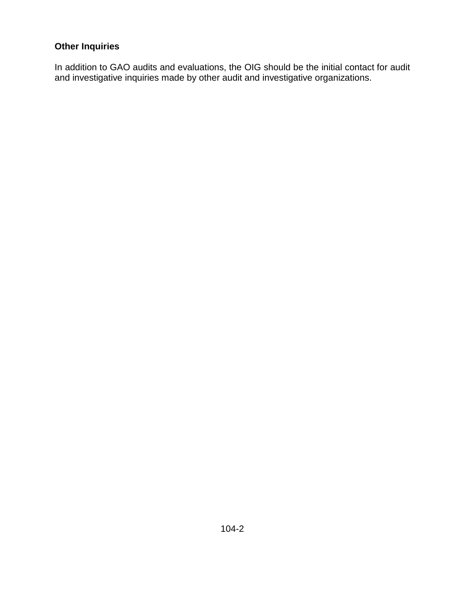## <span id="page-15-0"></span>**Other Inquiries**

In addition to GAO audits and evaluations, the OIG should be the initial contact for audit and investigative inquiries made by other audit and investigative organizations.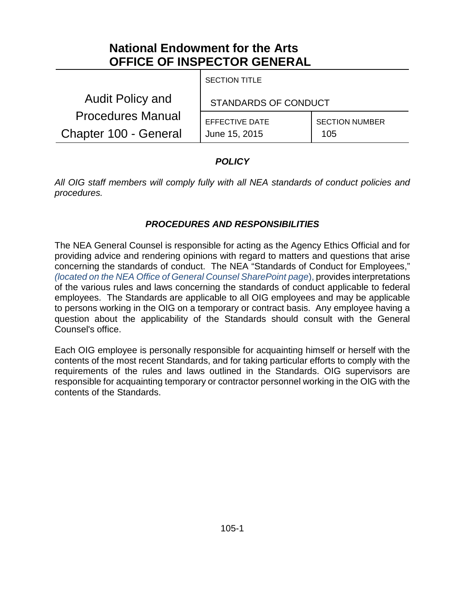<span id="page-16-0"></span>

|                          | <b>SECTION TITLE</b>        |                       |
|--------------------------|-----------------------------|-----------------------|
| <b>Audit Policy and</b>  | <b>STANDARDS OF CONDUCT</b> |                       |
| <b>Procedures Manual</b> | EFFECTIVE DATE              | <b>SECTION NUMBER</b> |
| Chapter 100 - General    | June 15, 2015               | 105                   |

## *POLICY*

*All OIG staff members will comply fully with all NEA standards of conduct policies and procedures.*

## *PROCEDURES AND RESPONSIBILITIES*

The NEA General Counsel is responsible for acting as the Agency Ethics Official and for providing advice and rendering opinions with regard to matters and questions that arise concerning the standards of conduct. The NEA "Standards of Conduct for Employees," *(located on the NEA Office of General Counsel SharePoint page*), provides interpretations of the various rules and laws concerning the standards of conduct applicable to federal employees. The Standards are applicable to all OIG employees and may be applicable to persons working in the OIG on a temporary or contract basis. Any employee having a question about the applicability of the Standards should consult with the General Counsel's office.

Each OIG employee is personally responsible for acquainting himself or herself with the contents of the most recent Standards, and for taking particular efforts to comply with the requirements of the rules and laws outlined in the Standards. OIG supervisors are responsible for acquainting temporary or contractor personnel working in the OIG with the contents of the Standards.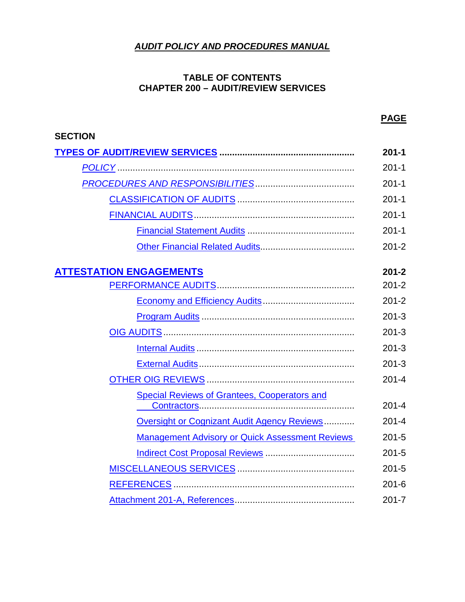### **TABLE OF CONTENTS CHAPTER 200 – AUDIT/REVIEW SERVICES**

**PAGE**

<span id="page-17-3"></span><span id="page-17-2"></span><span id="page-17-1"></span><span id="page-17-0"></span>

| <b>SECTION</b>                                         |           |
|--------------------------------------------------------|-----------|
|                                                        | $201 - 1$ |
|                                                        | $201 - 1$ |
|                                                        | $201 - 1$ |
|                                                        | $201 - 1$ |
|                                                        | $201 - 1$ |
|                                                        | $201 - 1$ |
|                                                        | $201 - 2$ |
| <b>ATTESTATION ENGAGEMENTS</b>                         | $201 - 2$ |
|                                                        | $201 - 2$ |
|                                                        | $201 - 2$ |
|                                                        | $201 - 3$ |
|                                                        | $201 - 3$ |
|                                                        | $201 - 3$ |
|                                                        | $201 - 3$ |
|                                                        | $201 - 4$ |
| <b>Special Reviews of Grantees, Cooperators and</b>    | $201 - 4$ |
| Oversight or Cognizant Audit Agency Reviews            | $201 - 4$ |
| <b>Management Advisory or Quick Assessment Reviews</b> | $201 - 5$ |
|                                                        | $201 - 5$ |
|                                                        | $201 - 5$ |
|                                                        | $201 - 6$ |
|                                                        | $201 - 7$ |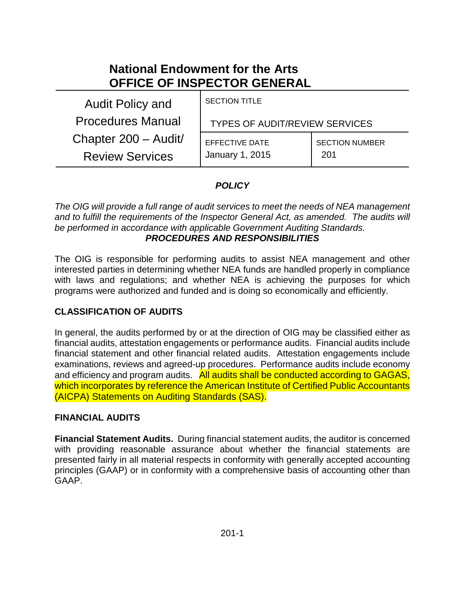| <b>Audit Policy and</b>  | <b>SECTION TITLE</b>                  |                       |
|--------------------------|---------------------------------------|-----------------------|
| <b>Procedures Manual</b> | <b>TYPES OF AUDIT/REVIEW SERVICES</b> |                       |
| Chapter 200 - Audit/     | <b>EFFECTIVE DATE</b>                 | <b>SECTION NUMBER</b> |
| <b>Review Services</b>   | January 1, 2015                       | 201                   |

## <span id="page-18-0"></span>*POLICY*

*The OIG will provide a full range of audit services to meet the needs of NEA management*  and to fulfill the requirements of the Inspector General Act, as amended. The audits will *be performed in accordance with applicable Government Auditing Standards. PROCEDURES AND RESPONSIBILITIES*

The OIG is responsible for performing audits to assist NEA management and other interested parties in determining whether NEA funds are handled properly in compliance with laws and regulations; and whether NEA is achieving the purposes for which programs were authorized and funded and is doing so economically and efficiently.

## <span id="page-18-1"></span>**CLASSIFICATION OF AUDITS**

In general, the audits performed by or at the direction of OIG may be classified either as financial audits, attestation engagements or performance audits. Financial audits include financial statement and other financial related audits. Attestation engagements include examinations, reviews and agreed-up procedures. Performance audits include economy and efficiency and program audits. All audits shall be conducted according to GAGAS, which incorporates by reference the American Institute of Certified Public Accountants (AICPA) Statements on Auditing Standards (SAS).

## **FINANCIAL AUDITS**

<span id="page-18-2"></span>**Financial Statement Audits.** During financial statement audits, the auditor is concerned with providing reasonable assurance about whether the financial statements are presented fairly in all material respects in conformity with generally accepted accounting principles (GAAP) or in conformity with a comprehensive basis of accounting other than GAAP.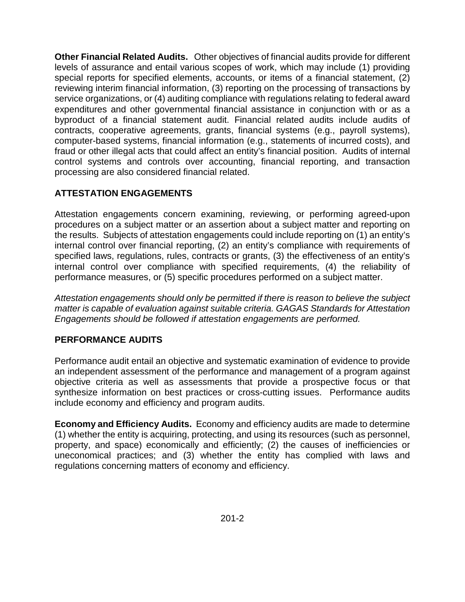<span id="page-19-2"></span>**Other Financial Related Audits.** Other objectives of financial audits provide for different levels of assurance and entail various scopes of work, which may include (1) providing special reports for specified elements, accounts, or items of a financial statement, (2) reviewing interim financial information, (3) reporting on the processing of transactions by service organizations, or (4) auditing compliance with regulations relating to federal award expenditures and other governmental financial assistance in conjunction with or as a byproduct of a financial statement audit. Financial related audits include audits of contracts, cooperative agreements, grants, financial systems (e.g., payroll systems), computer-based systems, financial information (e.g., statements of incurred costs), and fraud or other illegal acts that could affect an entity's financial position. Audits of internal control systems and controls over accounting, financial reporting, and transaction processing are also considered financial related.

### <span id="page-19-0"></span>**ATTESTATION ENGAGEMENTS**

Attestation engagements concern examining, reviewing, or performing agreed-upon procedures on a subject matter or an assertion about a subject matter and reporting on the results. Subjects of attestation engagements could include reporting on (1) an entity's internal control over financial reporting, (2) an entity's compliance with requirements of specified laws, regulations, rules, contracts or grants, (3) the effectiveness of an entity's internal control over compliance with specified requirements, (4) the reliability of performance measures, or (5) specific procedures performed on a subject matter.

*Attestation engagements should only be permitted if there is reason to believe the subject matter is capable of evaluation against suitable criteria. GAGAS Standards for Attestation Engagements should be followed if attestation engagements are performed.*

## <span id="page-19-1"></span>**PERFORMANCE AUDITS**

Performance audit entail an objective and systematic examination of evidence to provide an independent assessment of the performance and management of a program against objective criteria as well as assessments that provide a prospective focus or that synthesize information on best practices or cross-cutting issues. Performance audits include economy and efficiency and program audits.

<span id="page-19-3"></span>**Economy and Efficiency Audits.** Economy and efficiency audits are made to determine (1) whether the entity is acquiring, protecting, and using its resources (such as personnel, property, and space) economically and efficiently; (2) the causes of inefficiencies or uneconomical practices; and (3) whether the entity has complied with laws and regulations concerning matters of economy and efficiency.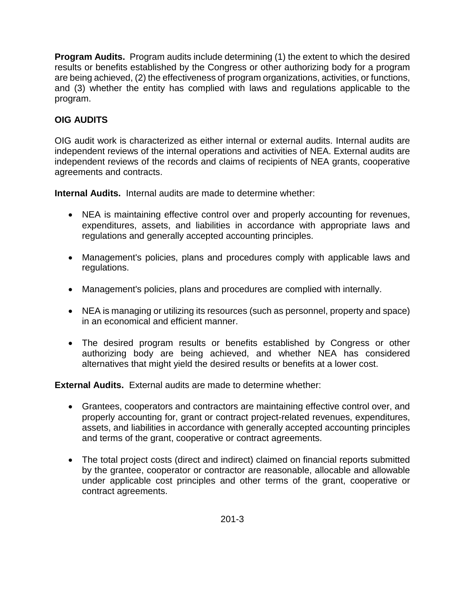<span id="page-20-1"></span>**Program Audits.** Program audits include determining (1) the extent to which the desired results or benefits established by the Congress or other authorizing body for a program are being achieved, (2) the effectiveness of program organizations, activities, or functions, and (3) whether the entity has complied with laws and regulations applicable to the program.

## <span id="page-20-0"></span>**OIG AUDITS**

OIG audit work is characterized as either internal or external audits. Internal audits are independent reviews of the internal operations and activities of NEA. External audits are independent reviews of the records and claims of recipients of NEA grants, cooperative agreements and contracts.

**Internal Audits.** Internal audits are made to determine whether:

- NEA is maintaining effective control over and properly accounting for revenues, expenditures, assets, and liabilities in accordance with appropriate laws and regulations and generally accepted accounting principles.
- Management's policies, plans and procedures comply with applicable laws and regulations.
- Management's policies, plans and procedures are complied with internally.
- NEA is managing or utilizing its resources (such as personnel, property and space) in an economical and efficient manner.
- The desired program results or benefits established by Congress or other authorizing body are being achieved, and whether NEA has considered alternatives that might yield the desired results or benefits at a lower cost.

**External Audits.** External audits are made to determine whether:

- Grantees, cooperators and contractors are maintaining effective control over, and properly accounting for, grant or contract project-related revenues, expenditures, assets, and liabilities in accordance with generally accepted accounting principles and terms of the grant, cooperative or contract agreements.
- The total project costs (direct and indirect) claimed on financial reports submitted by the grantee, cooperator or contractor are reasonable, allocable and allowable under applicable cost principles and other terms of the grant, cooperative or contract agreements.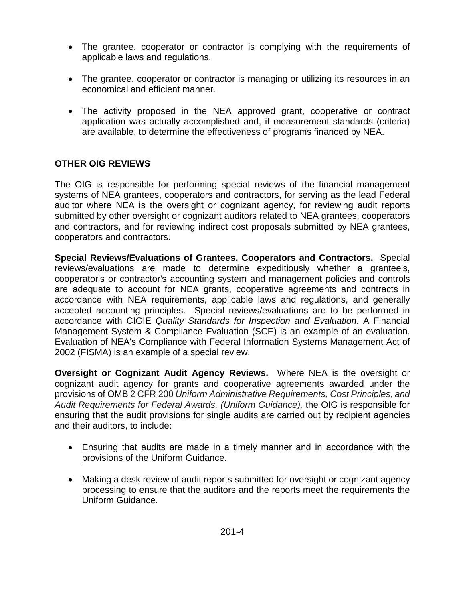- The grantee, cooperator or contractor is complying with the requirements of applicable laws and regulations.
- The grantee, cooperator or contractor is managing or utilizing its resources in an economical and efficient manner.
- The activity proposed in the NEA approved grant, cooperative or contract application was actually accomplished and, if measurement standards (criteria) are available, to determine the effectiveness of programs financed by NEA.

### <span id="page-21-0"></span>**OTHER OIG REVIEWS**

The OIG is responsible for performing special reviews of the financial management systems of NEA grantees, cooperators and contractors, for serving as the lead Federal auditor where NEA is the oversight or cognizant agency, for reviewing audit reports submitted by other oversight or cognizant auditors related to NEA grantees, cooperators and contractors, and for reviewing indirect cost proposals submitted by NEA grantees, cooperators and contractors.

<span id="page-21-1"></span>**Special Reviews/Evaluations of Grantees, Cooperators and Contractors.** Special reviews/evaluations are made to determine expeditiously whether a grantee's, cooperator's or contractor's accounting system and management policies and controls are adequate to account for NEA grants, cooperative agreements and contracts in accordance with NEA requirements, applicable laws and regulations, and generally accepted accounting principles. Special reviews/evaluations are to be performed in accordance with CIGIE *Quality Standards for Inspection and Evaluation*. A Financial Management System & Compliance Evaluation (SCE) is an example of an evaluation. Evaluation of NEA's Compliance with Federal Information Systems Management Act of 2002 (FISMA) is an example of a special review.

<span id="page-21-2"></span>**Oversight or Cognizant Audit Agency Reviews.** Where NEA is the oversight or cognizant audit agency for grants and cooperative agreements awarded under the provisions of OMB 2 CFR 200 *Uniform Administrative Requirements, Cost Principles, and Audit Requirements for Federal Awards, (Uniform Guidance),* the OIG is responsible for ensuring that the audit provisions for single audits are carried out by recipient agencies and their auditors, to include:

- Ensuring that audits are made in a timely manner and in accordance with the provisions of the Uniform Guidance.
- Making a desk review of audit reports submitted for oversight or cognizant agency processing to ensure that the auditors and the reports meet the requirements the Uniform Guidance.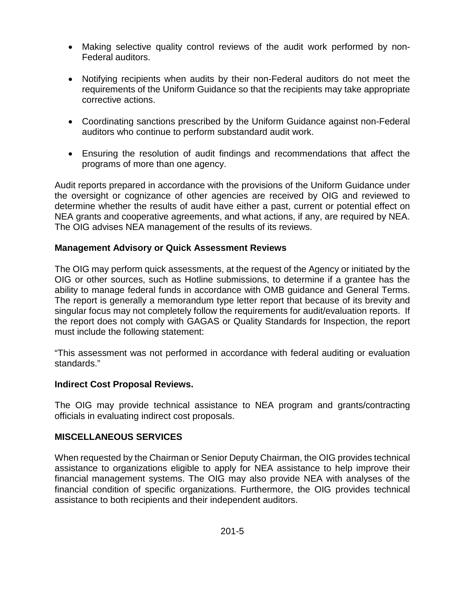- Making selective quality control reviews of the audit work performed by non-Federal auditors.
- Notifying recipients when audits by their non-Federal auditors do not meet the requirements of the Uniform Guidance so that the recipients may take appropriate corrective actions.
- Coordinating sanctions prescribed by the Uniform Guidance against non-Federal auditors who continue to perform substandard audit work.
- Ensuring the resolution of audit findings and recommendations that affect the programs of more than one agency.

Audit reports prepared in accordance with the provisions of the Uniform Guidance under the oversight or cognizance of other agencies are received by OIG and reviewed to determine whether the results of audit have either a past, current or potential effect on NEA grants and cooperative agreements, and what actions, if any, are required by NEA. The OIG advises NEA management of the results of its reviews.

### <span id="page-22-1"></span>**Management Advisory or Quick Assessment Reviews**

The OIG may perform quick assessments, at the request of the Agency or initiated by the OIG or other sources, such as Hotline submissions, to determine if a grantee has the ability to manage federal funds in accordance with OMB guidance and General Terms. The report is generally a memorandum type letter report that because of its brevity and singular focus may not completely follow the requirements for audit/evaluation reports. If the report does not comply with GAGAS or Quality Standards for Inspection, the report must include the following statement:

"This assessment was not performed in accordance with federal auditing or evaluation standards."

#### <span id="page-22-2"></span>**Indirect Cost Proposal Reviews.**

The OIG may provide technical assistance to NEA program and grants/contracting officials in evaluating indirect cost proposals.

#### <span id="page-22-0"></span>**MISCELLANEOUS SERVICES**

When requested by the Chairman or Senior Deputy Chairman, the OIG provides technical assistance to organizations eligible to apply for NEA assistance to help improve their financial management systems. The OIG may also provide NEA with analyses of the financial condition of specific organizations. Furthermore, the OIG provides technical assistance to both recipients and their independent auditors.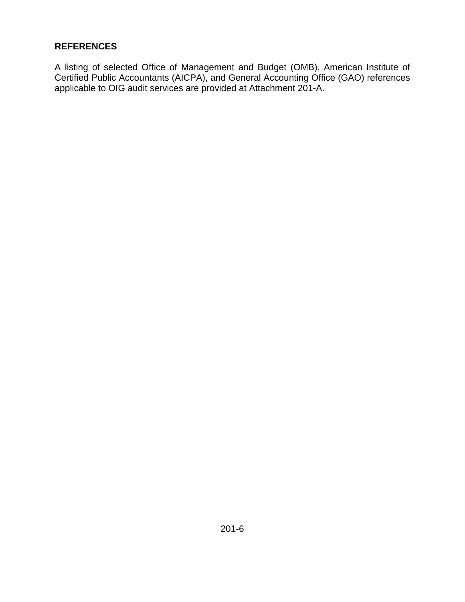### **REFERENCES**

A listing of selected Office of Management and Budget (OMB), American Institute of Certified Public Accountants (AICPA), and General Accounting Office (GAO) references applicable to OIG audit services are provided at Attachment 201-A.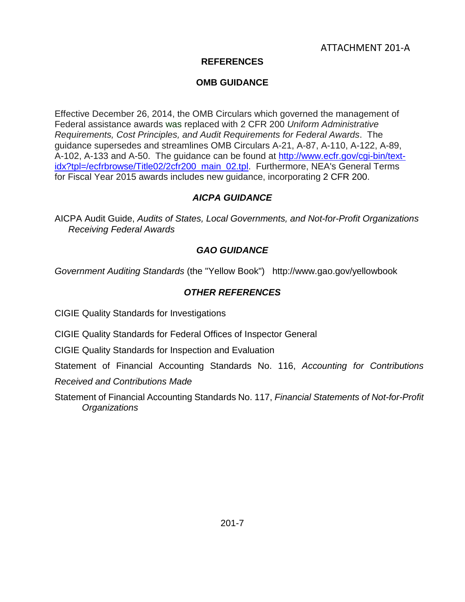### <span id="page-24-0"></span>**REFERENCES**

#### **OMB GUIDANCE**

<span id="page-24-1"></span>Effective December 26, 2014, the OMB Circulars which governed the management of Federal assistance awards was replaced with 2 CFR 200 *Uniform Administrative Requirements, Cost Principles, and Audit Requirements for Federal Awards*. The guidance supersedes and streamlines OMB Circulars A-21, A-87, A-110, A-122, A-89, A-102, A-133 and A-50. The guidance can be found at [http://www.ecfr.gov/cgi-bin/text](http://www.ecfr.gov/cgi-bin/text-idx?tpl=/ecfrbrowse/Title02/2cfr200_main_02.tpl)[idx?tpl=/ecfrbrowse/Title02/2cfr200\\_main\\_02.tpl.](http://www.ecfr.gov/cgi-bin/text-idx?tpl=/ecfrbrowse/Title02/2cfr200_main_02.tpl) Furthermore, NEA's General Terms for Fiscal Year 2015 awards includes new guidance, incorporating 2 CFR 200.

### *AICPA GUIDANCE*

AICPA Audit Guide, *Audits of States, Local Governments, and Not-for-Profit Organizations Receiving Federal Awards*

### *GAO GUIDANCE*

*Government Auditing Standards* (the "Yellow Book") http://www.gao.gov/yellowbook

#### *OTHER REFERENCES*

CIGIE Quality Standards for Investigations

CIGIE Quality Standards for Federal Offices of Inspector General

CIGIE Quality Standards for Inspection and Evaluation

Statement of Financial Accounting Standards No. 116, *Accounting for Contributions* 

*Received and Contributions Made*

Statement of Financial Accounting Standards No. 117, *Financial Statements of Not-for-Profit Organizations*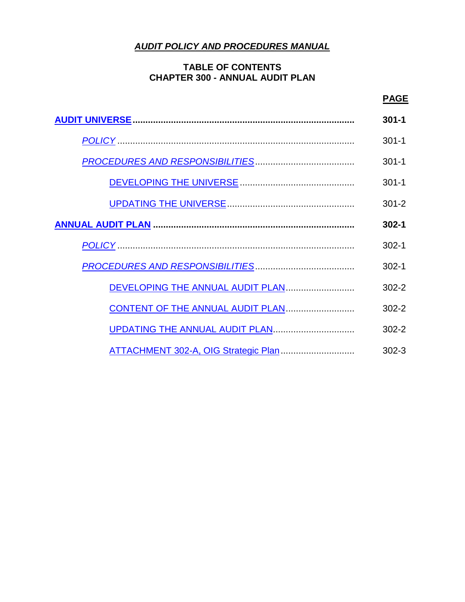### **TABLE OF CONTENTS CHAPTER 300 - ANNUAL AUDIT PLAN**

## **PAGE**

|                                  | $301 - 1$ |
|----------------------------------|-----------|
|                                  | $301 - 1$ |
|                                  | $301 - 1$ |
|                                  | $301 - 1$ |
|                                  | $301 - 2$ |
|                                  | $302 - 1$ |
|                                  | $302 - 1$ |
|                                  | $302 - 1$ |
| DEVELOPING THE ANNUAL AUDIT PLAN | $302 - 2$ |
|                                  | $302 - 2$ |
|                                  | $302 - 2$ |
|                                  | $302 - 3$ |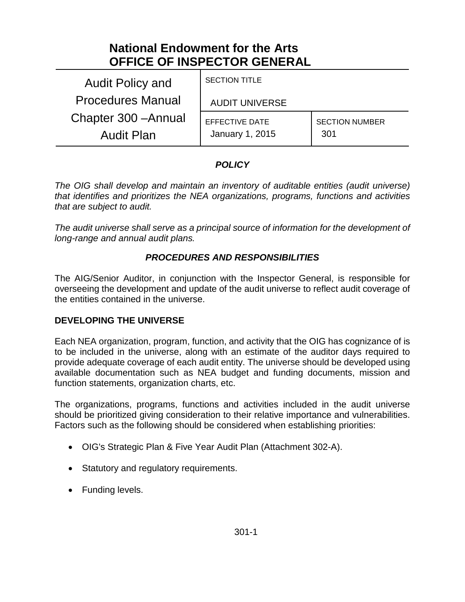<span id="page-26-0"></span>

| <b>Audit Policy and</b>  | <b>SECTION TITLE</b>  |                       |
|--------------------------|-----------------------|-----------------------|
| <b>Procedures Manual</b> | <b>AUDIT UNIVERSE</b> |                       |
| Chapter 300 - Annual     | EFFECTIVE DATE        | <b>SECTION NUMBER</b> |
| <b>Audit Plan</b>        | January 1, 2015       | 301                   |

## <span id="page-26-1"></span>*POLICY*

*The OIG shall develop and maintain an inventory of auditable entities (audit universe) that identifies and prioritizes the NEA organizations, programs, functions and activities that are subject to audit.*

*The audit universe shall serve as a principal source of information for the development of long-range and annual audit plans.*

### <span id="page-26-2"></span>*PROCEDURES AND RESPONSIBILITIES*

The AIG/Senior Auditor, in conjunction with the Inspector General, is responsible for overseeing the development and update of the audit universe to reflect audit coverage of the entities contained in the universe.

### **DEVELOPING THE UNIVERSE**

Each NEA organization, program, function, and activity that the OIG has cognizance of is to be included in the universe, along with an estimate of the auditor days required to provide adequate coverage of each audit entity. The universe should be developed using available documentation such as NEA budget and funding documents, mission and function statements, organization charts, etc.

The organizations, programs, functions and activities included in the audit universe should be prioritized giving consideration to their relative importance and vulnerabilities. Factors such as the following should be considered when establishing priorities:

- OIG's Strategic Plan & Five Year Audit Plan (Attachment 302-A).
- Statutory and regulatory requirements.
- Funding levels.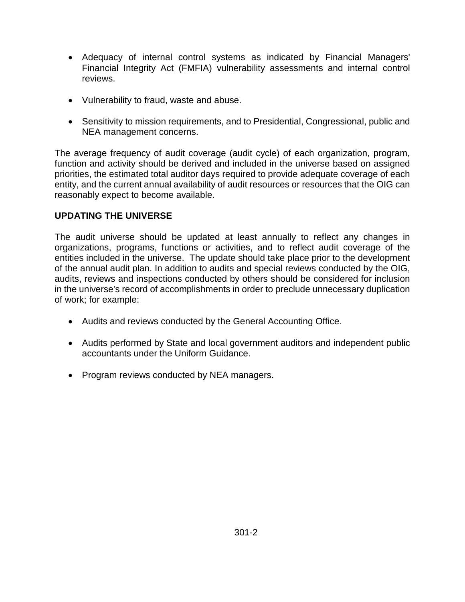- Adequacy of internal control systems as indicated by Financial Managers' Financial Integrity Act (FMFIA) vulnerability assessments and internal control reviews.
- Vulnerability to fraud, waste and abuse.
- Sensitivity to mission requirements, and to Presidential, Congressional, public and NEA management concerns.

The average frequency of audit coverage (audit cycle) of each organization, program, function and activity should be derived and included in the universe based on assigned priorities, the estimated total auditor days required to provide adequate coverage of each entity, and the current annual availability of audit resources or resources that the OIG can reasonably expect to become available.

### <span id="page-27-0"></span>**UPDATING THE UNIVERSE**

The audit universe should be updated at least annually to reflect any changes in organizations, programs, functions or activities, and to reflect audit coverage of the entities included in the universe. The update should take place prior to the development of the annual audit plan. In addition to audits and special reviews conducted by the OIG, audits, reviews and inspections conducted by others should be considered for inclusion in the universe's record of accomplishments in order to preclude unnecessary duplication of work; for example:

- Audits and reviews conducted by the General Accounting Office.
- Audits performed by State and local government auditors and independent public accountants under the Uniform Guidance.
- Program reviews conducted by NEA managers.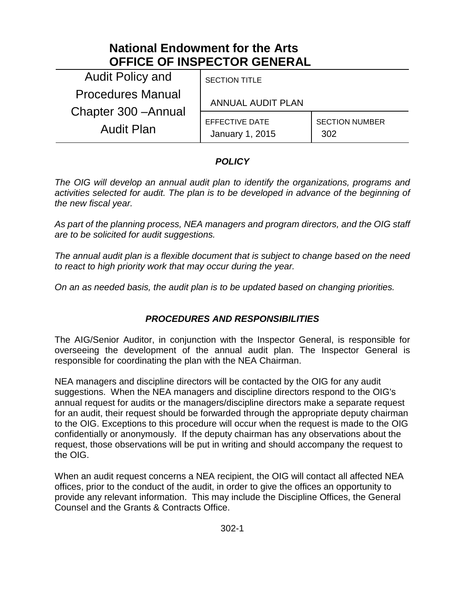<span id="page-28-0"></span>

| <b>Audit Policy and</b>                   | <b>SECTION TITLE</b>              |                              |
|-------------------------------------------|-----------------------------------|------------------------------|
| <b>Procedures Manual</b>                  | <b>ANNUAL AUDIT PLAN</b>          |                              |
| Chapter 300 - Annual<br><b>Audit Plan</b> | EFFECTIVE DATE<br>January 1, 2015 | <b>SECTION NUMBER</b><br>302 |

### <span id="page-28-1"></span>*POLICY*

*The OIG will develop an annual audit plan to identify the organizations, programs and activities selected for audit. The plan is to be developed in advance of the beginning of the new fiscal year.*

*As part of the planning process, NEA managers and program directors, and the OIG staff are to be solicited for audit suggestions.*

*The annual audit plan is a flexible document that is subject to change based on the need to react to high priority work that may occur during the year.*

*On an as needed basis, the audit plan is to be updated based on changing priorities.*

## <span id="page-28-2"></span>*PROCEDURES AND RESPONSIBILITIES*

The AIG/Senior Auditor, in conjunction with the Inspector General, is responsible for overseeing the development of the annual audit plan. The Inspector General is responsible for coordinating the plan with the NEA Chairman.

NEA managers and discipline directors will be contacted by the OIG for any audit suggestions. When the NEA managers and discipline directors respond to the OIG's annual request for audits or the managers/discipline directors make a separate request for an audit, their request should be forwarded through the appropriate deputy chairman to the OIG. Exceptions to this procedure will occur when the request is made to the OIG confidentially or anonymously. If the deputy chairman has any observations about the request, those observations will be put in writing and should accompany the request to the OIG.

When an audit request concerns a NEA recipient, the OIG will contact all affected NEA offices, prior to the conduct of the audit, in order to give the offices an opportunity to provide any relevant information. This may include the Discipline Offices, the General Counsel and the Grants & Contracts Office.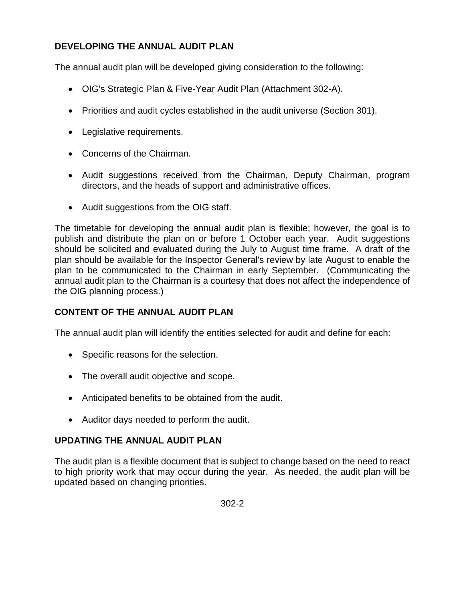### <span id="page-29-0"></span>**DEVELOPING THE ANNUAL AUDIT PLAN**

The annual audit plan will be developed giving consideration to the following:

- OIG's Strategic Plan & Five-Year Audit Plan (Attachment 302-A).
- Priorities and audit cycles established in the audit universe (Section 301).
- Legislative requirements.
- Concerns of the Chairman.
- Audit suggestions received from the Chairman, Deputy Chairman, program directors, and the heads of support and administrative offices.
- Audit suggestions from the OIG staff.

The timetable for developing the annual audit plan is flexible; however, the goal is to publish and distribute the plan on or before 1 October each year. Audit suggestions should be solicited and evaluated during the July to August time frame. A draft of the plan should be available for the Inspector General's review by late August to enable the plan to be communicated to the Chairman in early September. (Communicating the annual audit plan to the Chairman is a courtesy that does not affect the independence of the OIG planning process.)

### <span id="page-29-1"></span>**CONTENT OF THE ANNUAL AUDIT PLAN**

The annual audit plan will identify the entities selected for audit and define for each:

- Specific reasons for the selection.
- The overall audit objective and scope.
- Anticipated benefits to be obtained from the audit.
- Auditor days needed to perform the audit.

### <span id="page-29-2"></span>**UPDATING THE ANNUAL AUDIT PLAN**

The audit plan is a flexible document that is subject to change based on the need to react to high priority work that may occur during the year. As needed, the audit plan will be updated based on changing priorities.

302-2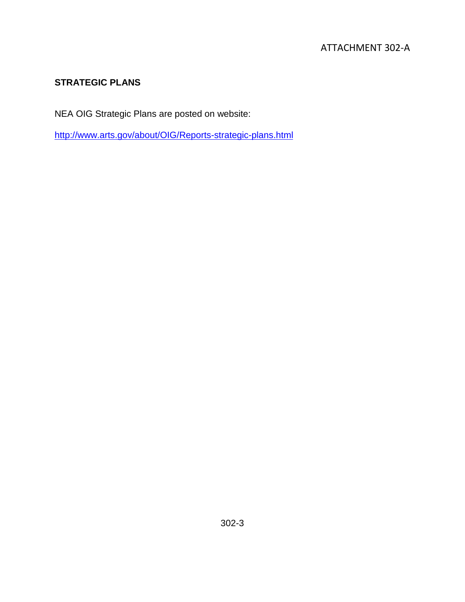## ATTACHMENT 302-A

## <span id="page-30-0"></span>**STRATEGIC PLANS**

NEA OIG Strategic Plans are posted on website:

<http://www.arts.gov/about/OIG/Reports-strategic-plans.html>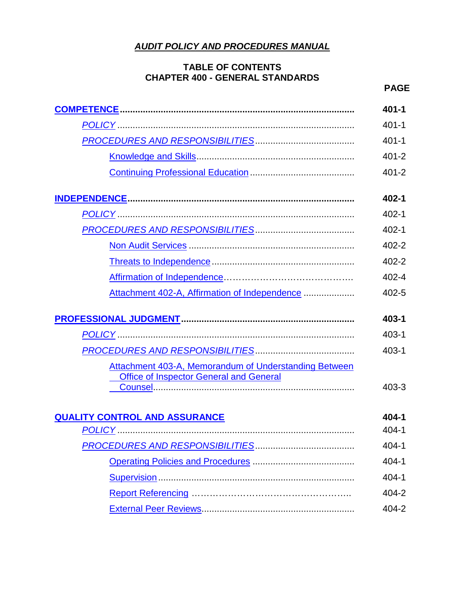#### **TABLE OF CONTENTS CHAPTER 400 - GENERAL STANDARDS**

<span id="page-31-18"></span><span id="page-31-17"></span><span id="page-31-16"></span><span id="page-31-15"></span><span id="page-31-14"></span><span id="page-31-13"></span><span id="page-31-12"></span><span id="page-31-11"></span><span id="page-31-10"></span><span id="page-31-9"></span><span id="page-31-8"></span><span id="page-31-7"></span><span id="page-31-6"></span><span id="page-31-5"></span><span id="page-31-4"></span><span id="page-31-3"></span><span id="page-31-2"></span><span id="page-31-1"></span><span id="page-31-0"></span>

|                                                       | $401 - 1$ |
|-------------------------------------------------------|-----------|
|                                                       | $401 - 1$ |
|                                                       | $401 - 1$ |
|                                                       | $401 - 2$ |
|                                                       | $401 - 2$ |
|                                                       | 402-1     |
|                                                       | $402 - 1$ |
|                                                       | $402 - 1$ |
|                                                       | $402 - 2$ |
|                                                       | $402 - 2$ |
|                                                       | $402 - 4$ |
| Attachment 402-A, Affirmation of Independence         | 402-5     |
|                                                       |           |
|                                                       | 403-1     |
|                                                       | $403 - 1$ |
|                                                       | $403 - 1$ |
| Attachment 403-A, Memorandum of Understanding Between |           |
| Office of Inspector General and General               | $403 - 3$ |
|                                                       | 404-1     |
| <b>QUALITY CONTROL AND ASSURANCE</b>                  | $404 - 1$ |
|                                                       | $404 - 1$ |
|                                                       | $404 - 1$ |
|                                                       | $404 - 1$ |
|                                                       | 404-2     |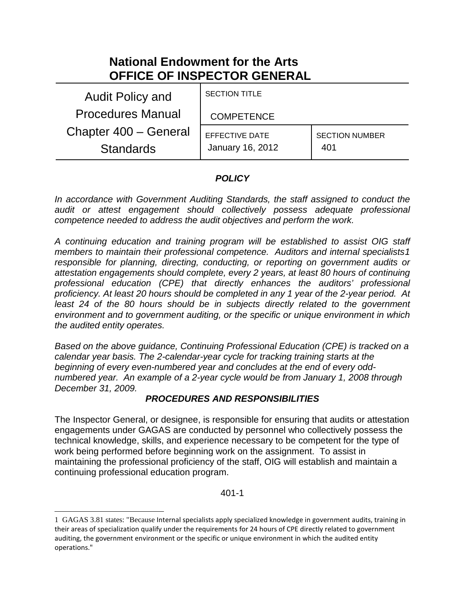<span id="page-32-0"></span>

| <b>Audit Policy and</b>  | <b>SECTION TITLE</b>  |                       |
|--------------------------|-----------------------|-----------------------|
| <b>Procedures Manual</b> | <b>COMPETENCE</b>     |                       |
| Chapter 400 - General    | <b>EFFECTIVE DATE</b> | <b>SECTION NUMBER</b> |
| <b>Standards</b>         | January 16, 2012      | 401                   |

### *POLICY*

*In accordance with Government Auditing Standards, the staff assigned to conduct the audit or attest engagement should collectively possess adequate professional competence needed to address the audit objectives and perform the work.*

*A continuing education and training program will be established to assist OIG staff members to maintain their professional competence. Auditors and internal specialists[1](#page-32-1) responsible for planning, directing, conducting, or reporting on government audits or attestation engagements should complete, every 2 years, at least 80 hours of continuing professional education (CPE) that directly enhances the auditors' professional proficiency. At least 20 hours should be completed in any 1 year of the 2-year period. At*  least 24 of the 80 hours should be in subjects directly related to the government *environment and to government auditing, or the specific or unique environment in which the audited entity operates.* 

*Based on the above guidance, Continuing Professional Education (CPE) is tracked on a calendar year basis. The 2-calendar-year cycle for tracking training starts at the beginning of every even-numbered year and concludes at the end of every oddnumbered year. An example of a 2-year cycle would be from January 1, 2008 through December 31, 2009.*

### *PROCEDURES AND RESPONSIBILITIES*

The Inspector General, or designee, is responsible for ensuring that audits or attestation engagements under GAGAS are conducted by personnel who collectively possess the technical knowledge, skills, and experience necessary to be competent for the type of work being performed before beginning work on the assignment. To assist in maintaining the professional proficiency of the staff, OIG will establish and maintain a continuing professional education program.

401-1

 $\overline{a}$ 

<span id="page-32-1"></span><sup>1</sup> GAGAS 3.81 states: "Because Internal specialists apply specialized knowledge in government audits, training in their areas of specialization qualify under the requirements for 24 hours of CPE directly related to government auditing, the government environment or the specific or unique environment in which the audited entity operations."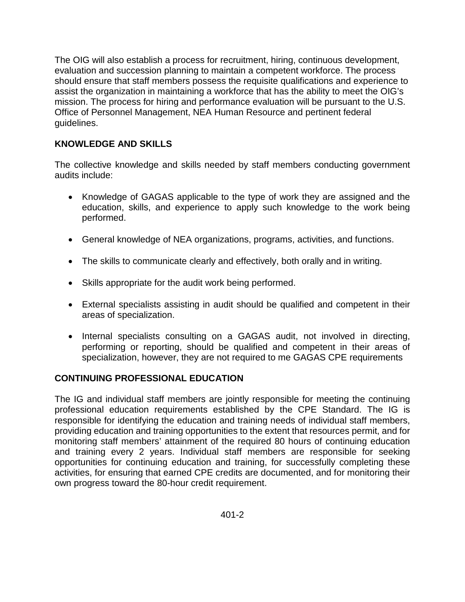The OIG will also establish a process for recruitment, hiring, continuous development, evaluation and succession planning to maintain a competent workforce. The process should ensure that staff members possess the requisite qualifications and experience to assist the organization in maintaining a workforce that has the ability to meet the OIG's mission. The process for hiring and performance evaluation will be pursuant to the U.S. Office of Personnel Management, NEA Human Resource and pertinent federal guidelines.

### **KNOWLEDGE AND SKILLS**

The collective knowledge and skills needed by staff members conducting government audits include:

- Knowledge of GAGAS applicable to the type of work they are assigned and the education, skills, and experience to apply such knowledge to the work being performed.
- General knowledge of NEA organizations, programs, activities, and functions.
- The skills to communicate clearly and effectively, both orally and in writing.
- Skills appropriate for the audit work being performed.
- External specialists assisting in audit should be qualified and competent in their areas of specialization.
- Internal specialists consulting on a GAGAS audit, not involved in directing, performing or reporting, should be qualified and competent in their areas of specialization, however, they are not required to me GAGAS CPE requirements

### **CONTINUING PROFESSIONAL EDUCATION**

The IG and individual staff members are jointly responsible for meeting the continuing professional education requirements established by the CPE Standard. The IG is responsible for identifying the education and training needs of individual staff members, providing education and training opportunities to the extent that resources permit, and for monitoring staff members' attainment of the required 80 hours of continuing education and training every 2 years. Individual staff members are responsible for seeking opportunities for continuing education and training, for successfully completing these activities, for ensuring that earned CPE credits are documented, and for monitoring their own progress toward the 80-hour credit requirement.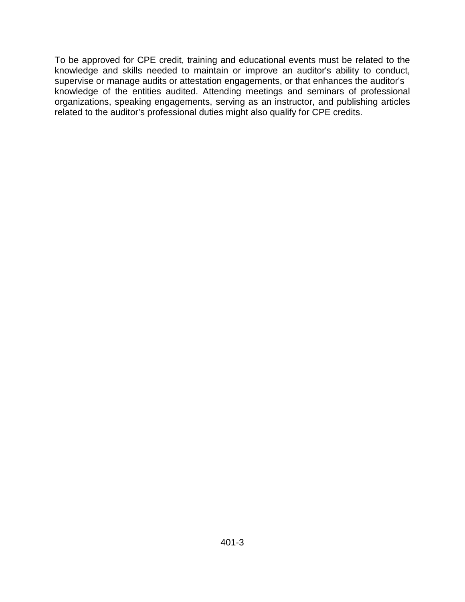To be approved for CPE credit, training and educational events must be related to the knowledge and skills needed to maintain or improve an auditor's ability to conduct, supervise or manage audits or attestation engagements, or that enhances the auditor's knowledge of the entities audited. Attending meetings and seminars of professional organizations, speaking engagements, serving as an instructor, and publishing articles related to the auditor's professional duties might also qualify for CPE credits.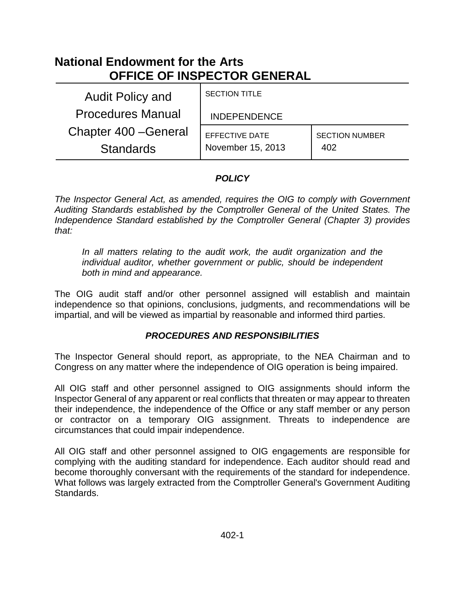<span id="page-35-0"></span>

| <b>Audit Policy and</b>  | <b>SECTION TITLE</b>  |                       |
|--------------------------|-----------------------|-----------------------|
| <b>Procedures Manual</b> | <b>INDEPENDENCE</b>   |                       |
| Chapter 400 – General    | <b>EFFECTIVE DATE</b> | <b>SECTION NUMBER</b> |
| <b>Standards</b>         | November 15, 2013     | 402                   |

### *POLICY*

*The Inspector General Act, as amended, requires the OIG to comply with Government Auditing Standards established by the Comptroller General of the United States. The Independence Standard established by the Comptroller General (Chapter 3) provides that:*

*In all matters relating to the audit work, the audit organization and the individual auditor, whether government or public, should be independent both in mind and appearance.* 

The OIG audit staff and/or other personnel assigned will establish and maintain independence so that opinions, conclusions, judgments, and recommendations will be impartial, and will be viewed as impartial by reasonable and informed third parties.

## *PROCEDURES AND RESPONSIBILITIES*

The Inspector General should report, as appropriate, to the NEA Chairman and to Congress on any matter where the independence of OIG operation is being impaired.

All OIG staff and other personnel assigned to OIG assignments should inform the Inspector General of any apparent or real conflicts that threaten or may appear to threaten their independence, the independence of the Office or any staff member or any person or contractor on a temporary OIG assignment. Threats to independence are circumstances that could impair independence.

All OIG staff and other personnel assigned to OIG engagements are responsible for complying with the auditing standard for independence. Each auditor should read and become thoroughly conversant with the requirements of the standard for independence. What follows was largely extracted from the Comptroller General's Government Auditing Standards.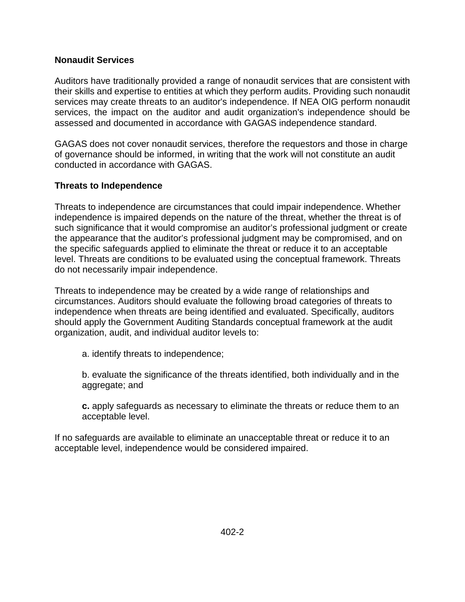#### **Nonaudit Services**

Auditors have traditionally provided a range of nonaudit services that are consistent with their skills and expertise to entities at which they perform audits. Providing such nonaudit services may create threats to an auditor's independence. If NEA OIG perform nonaudit services, the impact on the auditor and audit organization's independence should be assessed and documented in accordance with GAGAS independence standard.

GAGAS does not cover nonaudit services, therefore the requestors and those in charge of governance should be informed, in writing that the work will not constitute an audit conducted in accordance with GAGAS.

# **Threats to Independence**

Threats to independence are circumstances that could impair independence. Whether independence is impaired depends on the nature of the threat, whether the threat is of such significance that it would compromise an auditor's professional judgment or create the appearance that the auditor's professional judgment may be compromised, and on the specific safeguards applied to eliminate the threat or reduce it to an acceptable level. Threats are conditions to be evaluated using the conceptual framework. Threats do not necessarily impair independence.

Threats to independence may be created by a wide range of relationships and circumstances. Auditors should evaluate the following broad categories of threats to independence when threats are being identified and evaluated. Specifically, auditors should apply the Government Auditing Standards conceptual framework at the audit organization, audit, and individual auditor levels to:

a. identify threats to independence;

b. evaluate the significance of the threats identified, both individually and in the aggregate; and

**c.** apply safeguards as necessary to eliminate the threats or reduce them to an acceptable level.

If no safeguards are available to eliminate an unacceptable threat or reduce it to an acceptable level, independence would be considered impaired.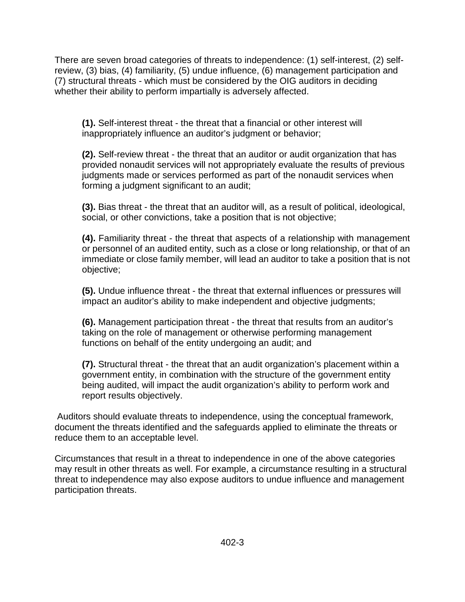There are seven broad categories of threats to independence: (1) self-interest, (2) selfreview, (3) bias, (4) familiarity, (5) undue influence, (6) management participation and (7) structural threats - which must be considered by the OIG auditors in deciding whether their ability to perform impartially is adversely affected.

**(1).** Self-interest threat - the threat that a financial or other interest will inappropriately influence an auditor's judgment or behavior;

**(2).** Self-review threat - the threat that an auditor or audit organization that has provided nonaudit services will not appropriately evaluate the results of previous judgments made or services performed as part of the nonaudit services when forming a judgment significant to an audit;

**(3).** Bias threat - the threat that an auditor will, as a result of political, ideological, social, or other convictions, take a position that is not objective;

**(4).** Familiarity threat - the threat that aspects of a relationship with management or personnel of an audited entity, such as a close or long relationship, or that of an immediate or close family member, will lead an auditor to take a position that is not objective;

**(5).** Undue influence threat - the threat that external influences or pressures will impact an auditor's ability to make independent and objective judgments;

**(6).** Management participation threat - the threat that results from an auditor's taking on the role of management or otherwise performing management functions on behalf of the entity undergoing an audit; and

**(7).** Structural threat - the threat that an audit organization's placement within a government entity, in combination with the structure of the government entity being audited, will impact the audit organization's ability to perform work and report results objectively.

Auditors should evaluate threats to independence, using the conceptual framework, document the threats identified and the safeguards applied to eliminate the threats or reduce them to an acceptable level.

Circumstances that result in a threat to independence in one of the above categories may result in other threats as well. For example, a circumstance resulting in a structural threat to independence may also expose auditors to undue influence and management participation threats.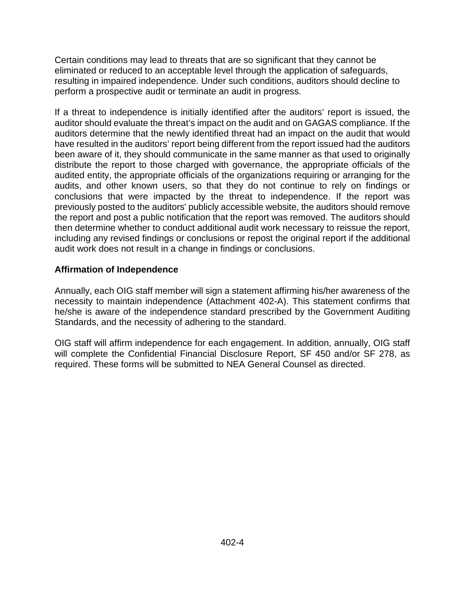Certain conditions may lead to threats that are so significant that they cannot be eliminated or reduced to an acceptable level through the application of safeguards, resulting in impaired independence. Under such conditions, auditors should decline to perform a prospective audit or terminate an audit in progress.

If a threat to independence is initially identified after the auditors' report is issued, the auditor should evaluate the threat's impact on the audit and on GAGAS compliance. If the auditors determine that the newly identified threat had an impact on the audit that would have resulted in the auditors' report being different from the report issued had the auditors been aware of it, they should communicate in the same manner as that used to originally distribute the report to those charged with governance, the appropriate officials of the audited entity, the appropriate officials of the organizations requiring or arranging for the audits, and other known users, so that they do not continue to rely on findings or conclusions that were impacted by the threat to independence. If the report was previously posted to the auditors' publicly accessible website, the auditors should remove the report and post a public notification that the report was removed. The auditors should then determine whether to conduct additional audit work necessary to reissue the report, including any revised findings or conclusions or repost the original report if the additional audit work does not result in a change in findings or conclusions.

# **Affirmation of Independence**

Annually, each OIG staff member will sign a statement affirming his/her awareness of the necessity to maintain independence (Attachment 402-A). This statement confirms that he/she is aware of the independence standard prescribed by the Government Auditing Standards, and the necessity of adhering to the standard.

OIG staff will affirm independence for each engagement. In addition, annually, OIG staff will complete the Confidential Financial Disclosure Report, SF 450 and/or SF 278, as required. These forms will be submitted to NEA General Counsel as directed.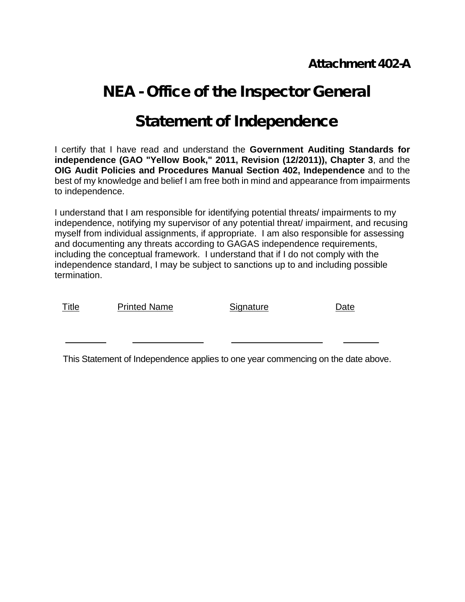# NEA - Office of the Inspector General

# Statement of Independence

I certify that I have read and understand the **Government Auditing Standards for independence (GAO "Yellow Book," 2011, Revision (12/2011)), Chapter 3**, and the **OIG Audit Policies and Procedures Manual Section 402, Independence** and to the best of my knowledge and belief I am free both in mind and appearance from impairments to independence.

I understand that I am responsible for identifying potential threats/ impairments to my independence, notifying my supervisor of any potential threat/ impairment, and recusing myself from individual assignments, if appropriate. I am also responsible for assessing and documenting any threats according to GAGAS independence requirements, including the conceptual framework. I understand that if I do not comply with the independence standard, I may be subject to sanctions up to and including possible termination.

| <u>Title</u> | <b>Printed Name</b> | <b>Signature</b> | Date |
|--------------|---------------------|------------------|------|
|              |                     |                  |      |
|              |                     |                  |      |

This Statement of Independence applies to one year commencing on the date above.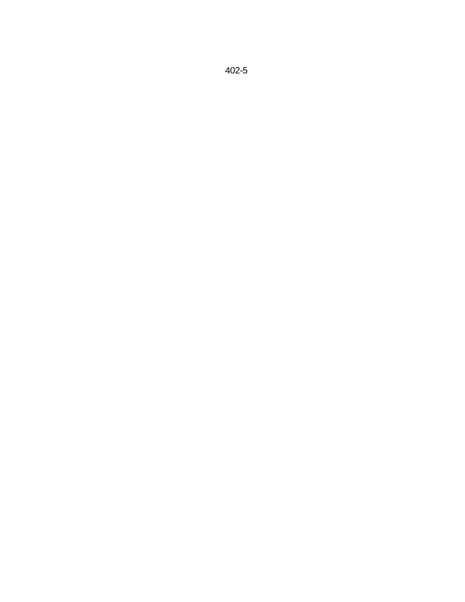402-5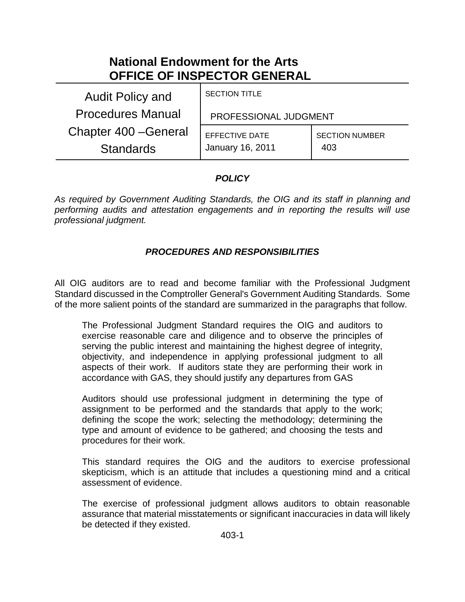# **National Endowment for the Arts OFFICE OF INSPECTOR GENERAL**

| <b>Audit Policy and</b>  | <b>SECTION TITLE</b>  |                       |
|--------------------------|-----------------------|-----------------------|
| <b>Procedures Manual</b> | PROFESSIONAL JUDGMENT |                       |
| Chapter 400 – General    | <b>EFFECTIVE DATE</b> | <b>SECTION NUMBER</b> |
| <b>Standards</b>         | January 16, 2011      | 403                   |

# *POLICY*

*As required by Government Auditing Standards, the OIG and its staff in planning and performing audits and attestation engagements and in reporting the results will use professional judgment.*

# *PROCEDURES AND RESPONSIBILITIES*

All OIG auditors are to read and become familiar with the Professional Judgment Standard discussed in the Comptroller General's Government Auditing Standards. Some of the more salient points of the standard are summarized in the paragraphs that follow.

The Professional Judgment Standard requires the OIG and auditors to exercise reasonable care and diligence and to observe the principles of serving the public interest and maintaining the highest degree of integrity, objectivity, and independence in applying professional judgment to all aspects of their work. If auditors state they are performing their work in accordance with GAS, they should justify any departures from GAS

Auditors should use professional judgment in determining the type of assignment to be performed and the standards that apply to the work; defining the scope the work; selecting the methodology; determining the type and amount of evidence to be gathered; and choosing the tests and procedures for their work.

This standard requires the OIG and the auditors to exercise professional skepticism, which is an attitude that includes a questioning mind and a critical assessment of evidence.

The exercise of professional judgment allows auditors to obtain reasonable assurance that material misstatements or significant inaccuracies in data will likely be detected if they existed.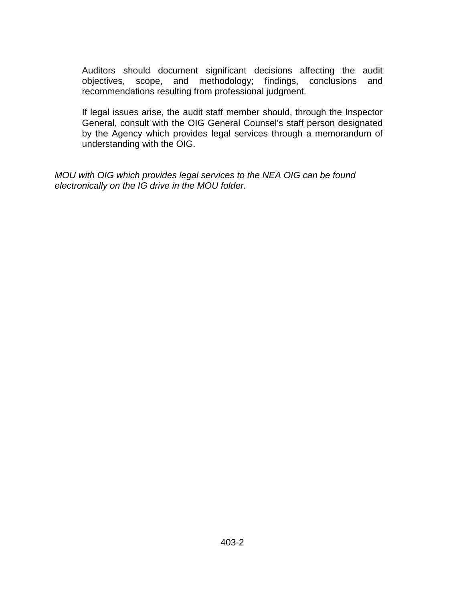Auditors should document significant decisions affecting the audit objectives, scope, and methodology; findings, conclusions and recommendations resulting from professional judgment.

If legal issues arise, the audit staff member should, through the Inspector General, consult with the OIG General Counsel's staff person designated by the Agency which provides legal services through a memorandum of understanding with the OIG.

*MOU with OIG which provides legal services to the NEA OIG can be found electronically on the IG drive in the MOU folder.*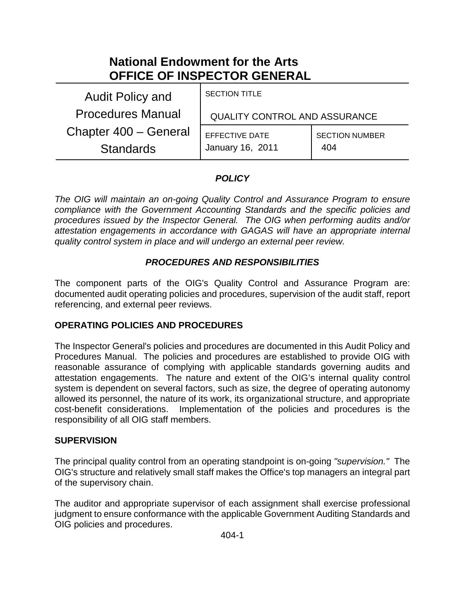# **National Endowment for the Arts OFFICE OF INSPECTOR GENERAL**

| <b>Audit Policy and</b>  | <b>SECTION TITLE</b>                 |                       |
|--------------------------|--------------------------------------|-----------------------|
| <b>Procedures Manual</b> | <b>QUALITY CONTROL AND ASSURANCE</b> |                       |
| Chapter 400 – General    | EFFECTIVE DATE                       | <b>SECTION NUMBER</b> |
| <b>Standards</b>         | January 16, 2011                     | 404                   |

# *POLICY*

*The OIG will maintain an on-going Quality Control and Assurance Program to ensure compliance with the Government Accounting Standards and the specific policies and procedures issued by the Inspector General. The OIG when performing audits and/or attestation engagements in accordance with GAGAS will have an appropriate internal quality control system in place and will undergo an external peer review.*

# *PROCEDURES AND RESPONSIBILITIES*

The component parts of the OIG's Quality Control and Assurance Program are: documented audit operating policies and procedures, supervision of the audit staff, report referencing, and external peer reviews.

# **OPERATING POLICIES AND PROCEDURES**

The Inspector General's policies and procedures are documented in this Audit Policy and Procedures Manual. The policies and procedures are established to provide OIG with reasonable assurance of complying with applicable standards governing audits and attestation engagements. The nature and extent of the OIG's internal quality control system is dependent on several factors, such as size, the degree of operating autonomy allowed its personnel, the nature of its work, its organizational structure, and appropriate cost-benefit considerations. Implementation of the policies and procedures is the responsibility of all OIG staff members.

# **SUPERVISION**

The principal quality control from an operating standpoint is on-going *"supervision."* The OIG's structure and relatively small staff makes the Office's top managers an integral part of the supervisory chain.

The auditor and appropriate supervisor of each assignment shall exercise professional judgment to ensure conformance with the applicable Government Auditing Standards and OIG policies and procedures.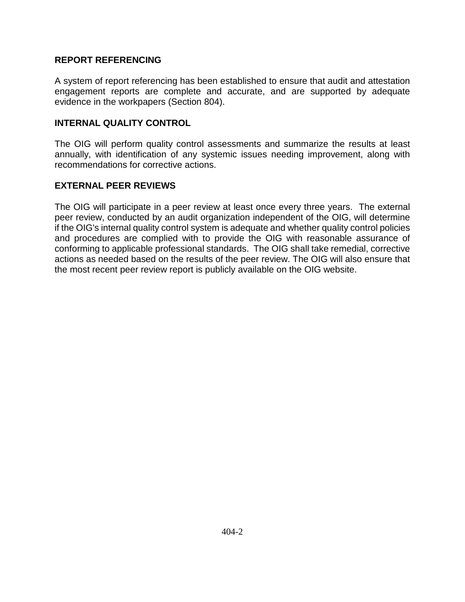#### **REPORT REFERENCING**

A system of report referencing has been established to ensure that audit and attestation engagement reports are complete and accurate, and are supported by adequate evidence in the workpapers (Section 804).

#### **INTERNAL QUALITY CONTROL**

The OIG will perform quality control assessments and summarize the results at least annually, with identification of any systemic issues needing improvement, along with recommendations for corrective actions.

# **EXTERNAL PEER REVIEWS**

The OIG will participate in a peer review at least once every three years. The external peer review, conducted by an audit organization independent of the OIG, will determine if the OIG's internal quality control system is adequate and whether quality control policies and procedures are complied with to provide the OIG with reasonable assurance of conforming to applicable professional standards. The OIG shall take remedial, corrective actions as needed based on the results of the peer review. The OIG will also ensure that the most recent peer review report is publicly available on the OIG website.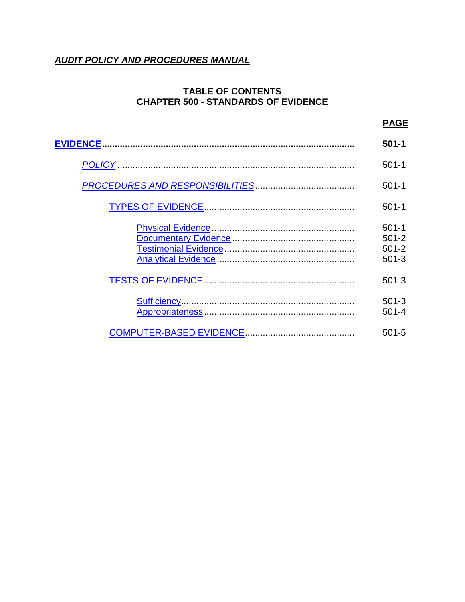# *AUDIT POLICY AND PROCEDURES MANUAL*

#### **TABLE OF CONTENTS CHAPTER 500 - STANDARDS OF EVIDENCE**

<span id="page-45-8"></span><span id="page-45-7"></span><span id="page-45-6"></span><span id="page-45-5"></span><span id="page-45-4"></span><span id="page-45-3"></span><span id="page-45-2"></span><span id="page-45-1"></span><span id="page-45-0"></span>

| $501 - 1$                                        |
|--------------------------------------------------|
| $501 - 1$                                        |
| $501 - 1$                                        |
| $501 - 1$                                        |
| $501 - 1$<br>$501 - 2$<br>$501 - 2$<br>$501 - 3$ |
| $501 - 3$                                        |
| $501 - 3$<br>$501 - 4$                           |
| $501 - 5$                                        |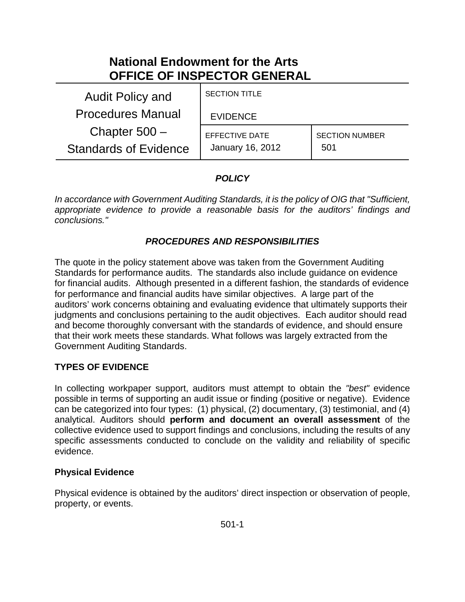# **National Endowment for the Arts OFFICE OF INSPECTOR GENERAL**

<span id="page-46-0"></span>

| <b>Audit Policy and</b>      | <b>SECTION TITLE</b> |                       |
|------------------------------|----------------------|-----------------------|
| <b>Procedures Manual</b>     | <b>EVIDENCE</b>      |                       |
| Chapter $500 -$              | EFFECTIVE DATE       | <b>SECTION NUMBER</b> |
| <b>Standards of Evidence</b> | January 16, 2012     | 501                   |

# *POLICY*

*In accordance with Government Auditing Standards, it is the policy of OIG that "Sufficient, appropriate evidence to provide a reasonable basis for the auditors' findings and conclusions."*

# *PROCEDURES AND RESPONSIBILITIES*

The quote in the policy statement above was taken from the Government Auditing Standards for performance audits. The standards also include guidance on evidence for financial audits. Although presented in a different fashion, the standards of evidence for performance and financial audits have similar objectives. A large part of the auditors' work concerns obtaining and evaluating evidence that ultimately supports their judgments and conclusions pertaining to the audit objectives. Each auditor should read and become thoroughly conversant with the standards of evidence, and should ensure that their work meets these standards. What follows was largely extracted from the Government Auditing Standards.

# **TYPES OF EVIDENCE**

In collecting workpaper support, auditors must attempt to obtain the *"best"* evidence possible in terms of supporting an audit issue or finding (positive or negative). Evidence can be categorized into four types: (1) physical, (2) documentary, (3) testimonial, and (4) analytical. Auditors should **perform and document an overall assessment** of the collective evidence used to support findings and conclusions, including the results of any specific assessments conducted to conclude on the validity and reliability of specific evidence.

# **Physical Evidence**

Physical evidence is obtained by the auditors' direct inspection or observation of people, property, or events.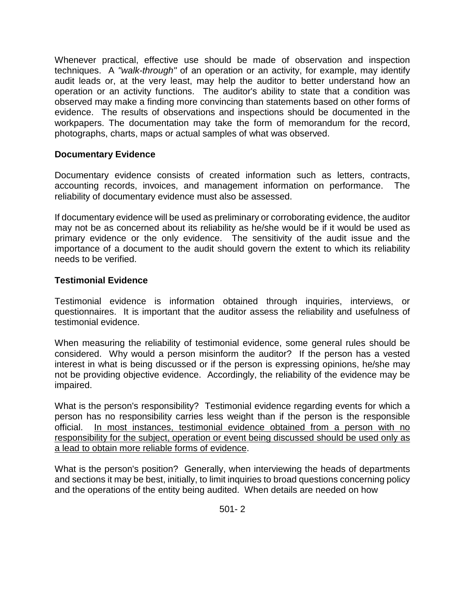Whenever practical, effective use should be made of observation and inspection techniques. A *"walk-through"* of an operation or an activity, for example, may identify audit leads or, at the very least, may help the auditor to better understand how an operation or an activity functions. The auditor's ability to state that a condition was observed may make a finding more convincing than statements based on other forms of evidence. The results of observations and inspections should be documented in the workpapers. The documentation may take the form of memorandum for the record, photographs, charts, maps or actual samples of what was observed.

#### **Documentary Evidence**

Documentary evidence consists of created information such as letters, contracts, accounting records, invoices, and management information on performance. The reliability of documentary evidence must also be assessed.

If documentary evidence will be used as preliminary or corroborating evidence, the auditor may not be as concerned about its reliability as he/she would be if it would be used as primary evidence or the only evidence. The sensitivity of the audit issue and the importance of a document to the audit should govern the extent to which its reliability needs to be verified.

#### **Testimonial Evidence**

Testimonial evidence is information obtained through inquiries, interviews, or questionnaires. It is important that the auditor assess the reliability and usefulness of testimonial evidence.

When measuring the reliability of testimonial evidence, some general rules should be considered. Why would a person misinform the auditor? If the person has a vested interest in what is being discussed or if the person is expressing opinions, he/she may not be providing objective evidence. Accordingly, the reliability of the evidence may be impaired.

What is the person's responsibility? Testimonial evidence regarding events for which a person has no responsibility carries less weight than if the person is the responsible official. In most instances, testimonial evidence obtained from a person with no responsibility for the subject, operation or event being discussed should be used only as a lead to obtain more reliable forms of evidence.

What is the person's position? Generally, when interviewing the heads of departments and sections it may be best, initially, to limit inquiries to broad questions concerning policy and the operations of the entity being audited. When details are needed on how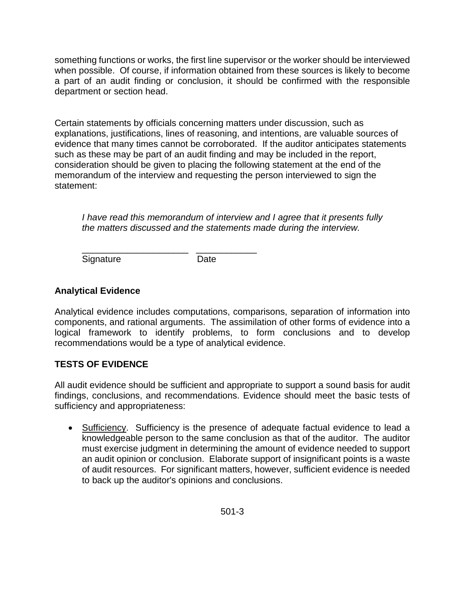something functions or works, the first line supervisor or the worker should be interviewed when possible. Of course, if information obtained from these sources is likely to become a part of an audit finding or conclusion, it should be confirmed with the responsible department or section head.

Certain statements by officials concerning matters under discussion, such as explanations, justifications, lines of reasoning, and intentions, are valuable sources of evidence that many times cannot be corroborated. If the auditor anticipates statements such as these may be part of an audit finding and may be included in the report, consideration should be given to placing the following statement at the end of the memorandum of the interview and requesting the person interviewed to sign the statement:

*I have read this memorandum of interview and I agree that it presents fully the matters discussed and the statements made during the interview.*

\_\_\_\_\_\_\_\_\_\_\_\_\_\_\_\_\_\_\_\_\_ \_\_\_\_\_\_\_\_\_\_\_\_ Signature Date

# **Analytical Evidence**

Analytical evidence includes computations, comparisons, separation of information into components, and rational arguments. The assimilation of other forms of evidence into a logical framework to identify problems, to form conclusions and to develop recommendations would be a type of analytical evidence.

# <span id="page-48-0"></span>**TESTS OF EVIDENCE**

All audit evidence should be sufficient and appropriate to support a sound basis for audit findings, conclusions, and recommendations. Evidence should meet the basic tests of sufficiency and appropriateness:

• Sufficiency. Sufficiency is the presence of adequate factual evidence to lead a knowledgeable person to the same conclusion as that of the auditor. The auditor must exercise judgment in determining the amount of evidence needed to support an audit opinion or conclusion. Elaborate support of insignificant points is a waste of audit resources. For significant matters, however, sufficient evidence is needed to back up the auditor's opinions and conclusions.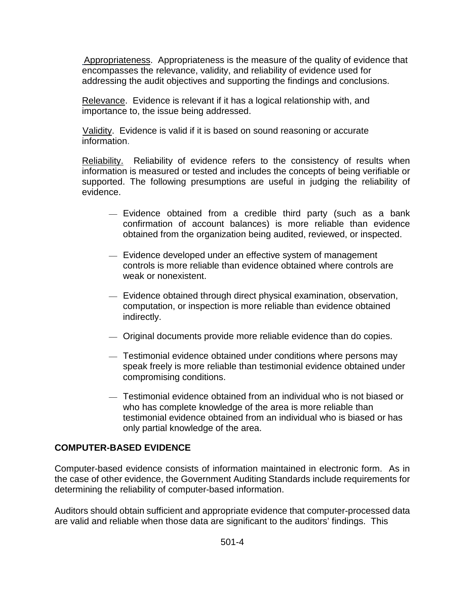Appropriateness. Appropriateness is the measure of the quality of evidence that encompasses the relevance, validity, and reliability of evidence used for addressing the audit objectives and supporting the findings and conclusions.

Relevance. Evidence is relevant if it has a logical relationship with, and importance to, the issue being addressed.

 Validity. Evidence is valid if it is based on sound reasoning or accurate information.

Reliability. Reliability of evidence refers to the consistency of results when information is measured or tested and includes the concepts of being verifiable or supported. The following presumptions are useful in judging the reliability of evidence.

- Evidence obtained from a credible third party (such as a bank confirmation of account balances) is more reliable than evidence obtained from the organization being audited, reviewed, or inspected.
- Evidence developed under an effective system of management controls is more reliable than evidence obtained where controls are weak or nonexistent.
- Evidence obtained through direct physical examination, observation, computation, or inspection is more reliable than evidence obtained indirectly.
- Original documents provide more reliable evidence than do copies.
- Testimonial evidence obtained under conditions where persons may speak freely is more reliable than testimonial evidence obtained under compromising conditions.
- Testimonial evidence obtained from an individual who is not biased or who has complete knowledge of the area is more reliable than testimonial evidence obtained from an individual who is biased or has only partial knowledge of the area.

# **COMPUTER-BASED EVIDENCE**

Computer-based evidence consists of information maintained in electronic form. As in the case of other evidence, the Government Auditing Standards include requirements for determining the reliability of computer-based information.

Auditors should obtain sufficient and appropriate evidence that computer-processed data are valid and reliable when those data are significant to the auditors' findings. This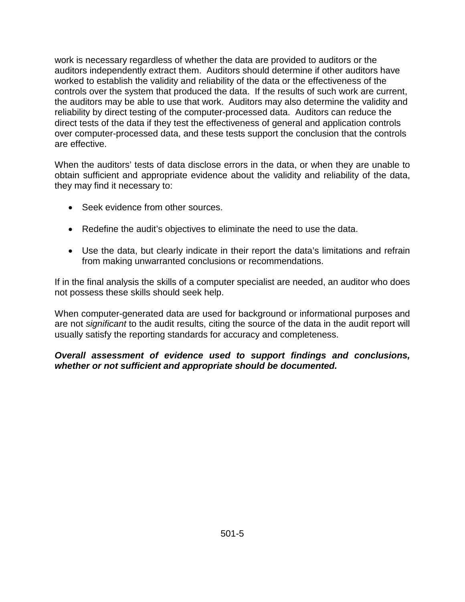work is necessary regardless of whether the data are provided to auditors or the auditors independently extract them. Auditors should determine if other auditors have worked to establish the validity and reliability of the data or the effectiveness of the controls over the system that produced the data. If the results of such work are current, the auditors may be able to use that work. Auditors may also determine the validity and reliability by direct testing of the computer-processed data. Auditors can reduce the direct tests of the data if they test the effectiveness of general and application controls over computer-processed data, and these tests support the conclusion that the controls are effective.

When the auditors' tests of data disclose errors in the data, or when they are unable to obtain sufficient and appropriate evidence about the validity and reliability of the data, they may find it necessary to:

- Seek evidence from other sources.
- Redefine the audit's objectives to eliminate the need to use the data.
- Use the data, but clearly indicate in their report the data's limitations and refrain from making unwarranted conclusions or recommendations.

If in the final analysis the skills of a computer specialist are needed, an auditor who does not possess these skills should seek help.

When computer-generated data are used for background or informational purposes and are not *significant* to the audit results, citing the source of the data in the audit report will usually satisfy the reporting standards for accuracy and completeness.

# *Overall assessment of evidence used to support findings and conclusions, whether or not sufficient and appropriate should be documented.*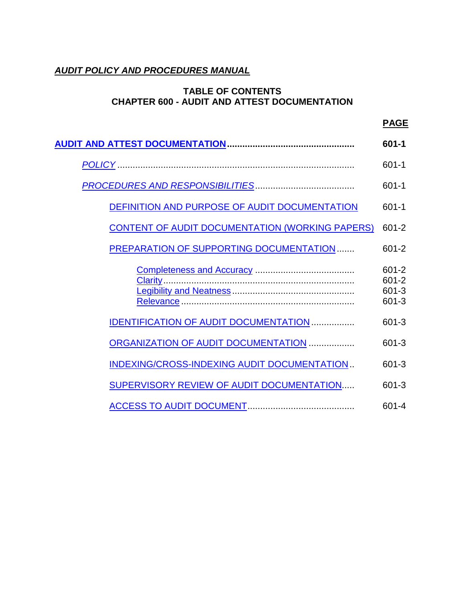# *AUDIT POLICY AND PROCEDURES MANUAL*

#### **TABLE OF CONTENTS CHAPTER 600 - AUDIT AND ATTEST DOCUMENTATION**

|                                                        | $601 - 1$                        |
|--------------------------------------------------------|----------------------------------|
|                                                        | $601 - 1$                        |
|                                                        | $601 - 1$                        |
| DEFINITION AND PURPOSE OF AUDIT DOCUMENTATION          | $601 - 1$                        |
| <b>CONTENT OF AUDIT DOCUMENTATION (WORKING PAPERS)</b> | 601-2                            |
| PREPARATION OF SUPPORTING DOCUMENTATION                | 601-2                            |
|                                                        | 601-2<br>601-2<br>601-3<br>601-3 |
| IDENTIFICATION OF AUDIT DOCUMENTATION                  | 601-3                            |
| ORGANIZATION OF AUDIT DOCUMENTATION                    | 601-3                            |
| INDEXING/CROSS-INDEXING AUDIT DOCUMENTATION            | 601-3                            |
| SUPERVISORY REVIEW OF AUDIT DOCUMENTATION              | 601-3                            |
|                                                        | 601-4                            |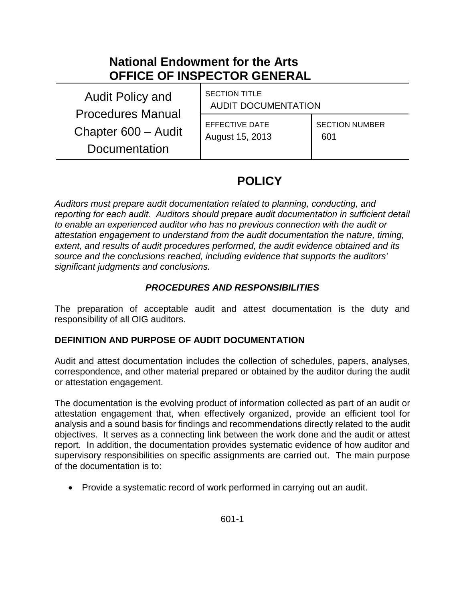# **National Endowment for the Arts OFFICE OF INSPECTOR GENERAL**

<span id="page-52-0"></span>

| <b>Audit Policy and</b>  | <b>SECTION TITLE</b>       |                       |
|--------------------------|----------------------------|-----------------------|
| <b>Procedures Manual</b> | <b>AUDIT DOCUMENTATION</b> |                       |
| Chapter 600 - Audit      | <b>EFFECTIVE DATE</b>      | <b>SECTION NUMBER</b> |
| Documentation            | August 15, 2013            | 601                   |

# **POLICY**

<span id="page-52-1"></span>*Auditors must prepare audit documentation related to planning, conducting, and reporting for each audit. Auditors should prepare audit documentation in sufficient detail to enable an experienced auditor who has no previous connection with the audit or attestation engagement to understand from the audit documentation the nature, timing, extent, and results of audit procedures performed, the audit evidence obtained and its source and the conclusions reached, including evidence that supports the auditors' significant judgments and conclusions.*

# <span id="page-52-2"></span>*PROCEDURES AND RESPONSIBILITIES*

The preparation of acceptable audit and attest documentation is the duty and responsibility of all OIG auditors.

# <span id="page-52-3"></span>**DEFINITION AND PURPOSE OF AUDIT DOCUMENTATION**

Audit and attest documentation includes the collection of schedules, papers, analyses, correspondence, and other material prepared or obtained by the auditor during the audit or attestation engagement.

The documentation is the evolving product of information collected as part of an audit or attestation engagement that, when effectively organized, provide an efficient tool for analysis and a sound basis for findings and recommendations directly related to the audit objectives. It serves as a connecting link between the work done and the audit or attest report. In addition, the documentation provides systematic evidence of how auditor and supervisory responsibilities on specific assignments are carried out. The main purpose of the documentation is to:

• Provide a systematic record of work performed in carrying out an audit.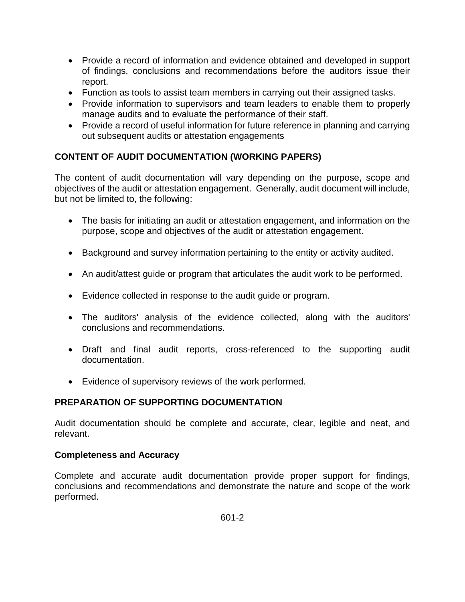- Provide a record of information and evidence obtained and developed in support of findings, conclusions and recommendations before the auditors issue their report.
- Function as tools to assist team members in carrying out their assigned tasks.
- Provide information to supervisors and team leaders to enable them to properly manage audits and to evaluate the performance of their staff.
- Provide a record of useful information for future reference in planning and carrying out subsequent audits or attestation engagements

# <span id="page-53-0"></span>**CONTENT OF AUDIT DOCUMENTATION (WORKING PAPERS)**

The content of audit documentation will vary depending on the purpose, scope and objectives of the audit or attestation engagement. Generally, audit document will include, but not be limited to, the following:

- The basis for initiating an audit or attestation engagement, and information on the purpose, scope and objectives of the audit or attestation engagement.
- Background and survey information pertaining to the entity or activity audited.
- An audit/attest guide or program that articulates the audit work to be performed.
- Evidence collected in response to the audit guide or program.
- The auditors' analysis of the evidence collected, along with the auditors' conclusions and recommendations.
- Draft and final audit reports, cross-referenced to the supporting audit documentation.
- Evidence of supervisory reviews of the work performed.

# <span id="page-53-1"></span>**PREPARATION OF SUPPORTING DOCUMENTATION**

Audit documentation should be complete and accurate, clear, legible and neat, and relevant.

#### <span id="page-53-2"></span>**Completeness and Accuracy**

Complete and accurate audit documentation provide proper support for findings, conclusions and recommendations and demonstrate the nature and scope of the work performed.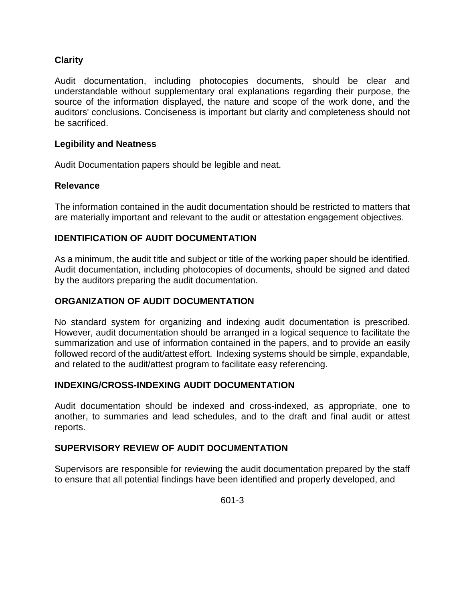# <span id="page-54-0"></span>**Clarity**

Audit documentation, including photocopies documents, should be clear and understandable without supplementary oral explanations regarding their purpose, the source of the information displayed, the nature and scope of the work done, and the auditors' conclusions. Conciseness is important but clarity and completeness should not be sacrificed.

#### <span id="page-54-1"></span>**Legibility and Neatness**

Audit Documentation papers should be legible and neat.

#### <span id="page-54-2"></span>**Relevance**

The information contained in the audit documentation should be restricted to matters that are materially important and relevant to the audit or attestation engagement objectives.

# <span id="page-54-3"></span>**IDENTIFICATION OF AUDIT DOCUMENTATION**

As a minimum, the audit title and subject or title of the working paper should be identified. Audit documentation, including photocopies of documents, should be signed and dated by the auditors preparing the audit documentation.

# <span id="page-54-4"></span>**ORGANIZATION OF AUDIT DOCUMENTATION**

No standard system for organizing and indexing audit documentation is prescribed. However, audit documentation should be arranged in a logical sequence to facilitate the summarization and use of information contained in the papers, and to provide an easily followed record of the audit/attest effort. Indexing systems should be simple, expandable, and related to the audit/attest program to facilitate easy referencing.

#### <span id="page-54-5"></span>**INDEXING/CROSS-INDEXING AUDIT DOCUMENTATION**

Audit documentation should be indexed and cross-indexed, as appropriate, one to another, to summaries and lead schedules, and to the draft and final audit or attest reports.

# <span id="page-54-6"></span>**SUPERVISORY REVIEW OF AUDIT DOCUMENTATION**

Supervisors are responsible for reviewing the audit documentation prepared by the staff to ensure that all potential findings have been identified and properly developed, and

601-3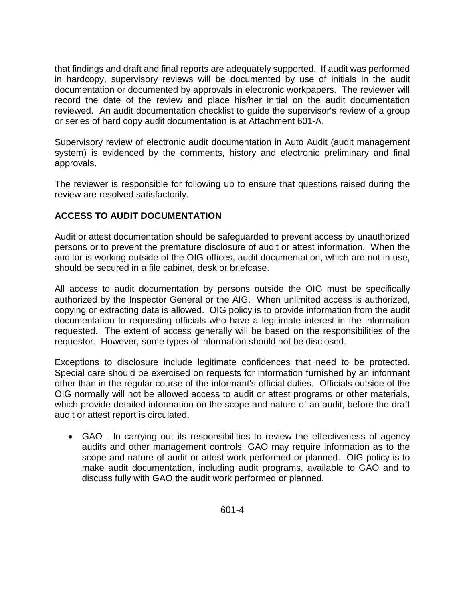that findings and draft and final reports are adequately supported. If audit was performed in hardcopy, supervisory reviews will be documented by use of initials in the audit documentation or documented by approvals in electronic workpapers. The reviewer will record the date of the review and place his/her initial on the audit documentation reviewed. An audit documentation checklist to guide the supervisor's review of a group or series of hard copy audit documentation is at Attachment 601-A.

Supervisory review of electronic audit documentation in Auto Audit (audit management system) is evidenced by the comments, history and electronic preliminary and final approvals.

The reviewer is responsible for following up to ensure that questions raised during the review are resolved satisfactorily.

# <span id="page-55-0"></span>**ACCESS TO AUDIT DOCUMENTATION**

Audit or attest documentation should be safeguarded to prevent access by unauthorized persons or to prevent the premature disclosure of audit or attest information. When the auditor is working outside of the OIG offices, audit documentation, which are not in use, should be secured in a file cabinet, desk or briefcase.

All access to audit documentation by persons outside the OIG must be specifically authorized by the Inspector General or the AIG. When unlimited access is authorized, copying or extracting data is allowed. OIG policy is to provide information from the audit documentation to requesting officials who have a legitimate interest in the information requested. The extent of access generally will be based on the responsibilities of the requestor. However, some types of information should not be disclosed.

Exceptions to disclosure include legitimate confidences that need to be protected. Special care should be exercised on requests for information furnished by an informant other than in the regular course of the informant's official duties. Officials outside of the OIG normally will not be allowed access to audit or attest programs or other materials, which provide detailed information on the scope and nature of an audit, before the draft audit or attest report is circulated.

• GAO - In carrying out its responsibilities to review the effectiveness of agency audits and other management controls, GAO may require information as to the scope and nature of audit or attest work performed or planned. OIG policy is to make audit documentation, including audit programs, available to GAO and to discuss fully with GAO the audit work performed or planned.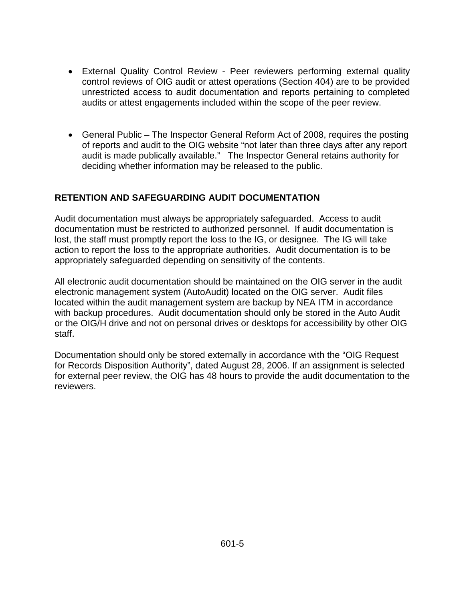- External Quality Control Review Peer reviewers performing external quality control reviews of OIG audit or attest operations (Section 404) are to be provided unrestricted access to audit documentation and reports pertaining to completed audits or attest engagements included within the scope of the peer review.
- General Public The Inspector General Reform Act of 2008, requires the posting of reports and audit to the OIG website "not later than three days after any report audit is made publically available." The Inspector General retains authority for deciding whether information may be released to the public.

# **RETENTION AND SAFEGUARDING AUDIT DOCUMENTATION**

Audit documentation must always be appropriately safeguarded. Access to audit documentation must be restricted to authorized personnel. If audit documentation is lost, the staff must promptly report the loss to the IG, or designee. The IG will take action to report the loss to the appropriate authorities. Audit documentation is to be appropriately safeguarded depending on sensitivity of the contents.

All electronic audit documentation should be maintained on the OIG server in the audit electronic management system (AutoAudit) located on the OIG server. Audit files located within the audit management system are backup by NEA ITM in accordance with backup procedures. Audit documentation should only be stored in the Auto Audit or the OIG/H drive and not on personal drives or desktops for accessibility by other OIG staff.

Documentation should only be stored externally in accordance with the "OIG Request for Records Disposition Authority", dated August 28, 2006. If an assignment is selected for external peer review, the OIG has 48 hours to provide the audit documentation to the reviewers.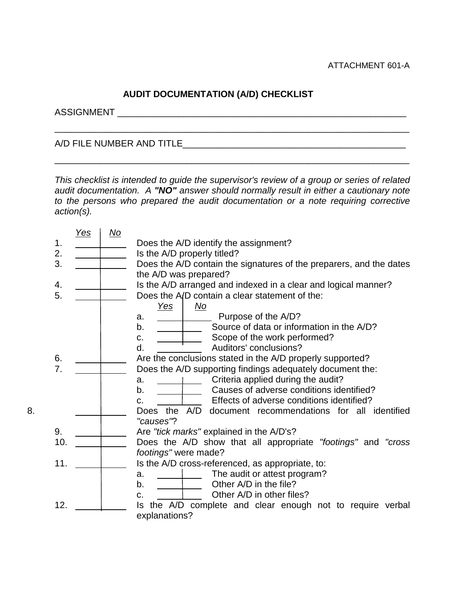# **AUDIT DOCUMENTATION (A/D) CHECKLIST**

ASSIGNMENT \_\_\_\_\_\_\_\_\_\_\_\_\_\_\_\_\_\_\_\_\_\_\_\_\_\_\_\_\_\_\_\_\_\_\_\_\_\_\_\_\_\_\_\_\_\_\_\_\_\_\_\_\_\_\_\_\_

A/D FILE NUMBER AND TITLE\_\_\_\_\_\_\_\_\_\_\_\_\_\_\_\_\_\_\_\_\_\_\_\_\_\_\_\_\_\_\_\_\_\_\_\_\_\_\_\_\_\_\_\_

*This checklist is intended to guide the supervisor's review of a group or series of related audit documentation. A "NO" answer should normally result in either a cautionary note to the persons who prepared the audit documentation or a note requiring corrective action(s).*

\_\_\_\_\_\_\_\_\_\_\_\_\_\_\_\_\_\_\_\_\_\_\_\_\_\_\_\_\_\_\_\_\_\_\_\_\_\_\_\_\_\_\_\_\_\_\_\_\_\_\_\_\_\_\_\_\_\_\_\_\_\_\_\_\_\_\_\_\_\_

\_\_\_\_\_\_\_\_\_\_\_\_\_\_\_\_\_\_\_\_\_\_\_\_\_\_\_\_\_\_\_\_\_\_\_\_\_\_\_\_\_\_\_\_\_\_\_\_\_\_\_\_\_\_\_\_\_\_\_\_\_\_\_\_\_\_\_\_\_\_

|    |     | <u>Yes</u> | <u>No</u> |                                                                     |
|----|-----|------------|-----------|---------------------------------------------------------------------|
|    | 1.  |            |           | Does the A/D identify the assignment?                               |
|    | 2.  |            |           | Is the A/D properly titled?                                         |
|    | 3.  |            |           | Does the A/D contain the signatures of the preparers, and the dates |
|    |     |            |           | the A/D was prepared?                                               |
|    | 4.  |            |           | Is the A/D arranged and indexed in a clear and logical manner?      |
|    | 5.  |            |           | Does the A/D contain a clear statement of the:                      |
|    |     |            |           | <u>Yes</u><br><u>No</u>                                             |
|    |     |            |           | Purpose of the A/D?<br>a.                                           |
|    |     |            |           | Source of data or information in the A/D?<br>b.                     |
|    |     |            |           | Scope of the work performed?<br>C.                                  |
|    |     |            |           | Auditors' conclusions?<br>d.                                        |
|    | 6.  |            |           | Are the conclusions stated in the A/D properly supported?           |
|    | 7.  |            |           | Does the A/D supporting findings adequately document the:           |
|    |     |            |           | Criteria applied during the audit?<br>a.                            |
|    |     |            |           | Causes of adverse conditions identified?<br>b.                      |
|    |     |            |           | Effects of adverse conditions identified?<br>C.                     |
| 8. |     |            |           | Does the A/D document recommendations for all identified            |
|    |     |            |           | "causes"?                                                           |
|    | 9.  |            |           | Are "tick marks" explained in the A/D's?                            |
|    | 10. |            |           | Does the A/D show that all appropriate "footings" and "cross"       |
|    |     |            |           | footings" were made?                                                |
|    | 11. |            |           | Is the A/D cross-referenced, as appropriate, to:                    |
|    |     |            |           | The audit or attest program?<br>a.                                  |
|    |     |            |           | Other A/D in the file?<br>b.                                        |
|    |     |            |           | Other A/D in other files?<br>C.                                     |
|    | 12. |            |           | the A/D complete and clear enough not to require verbal<br>ls       |
|    |     |            |           | explanations?                                                       |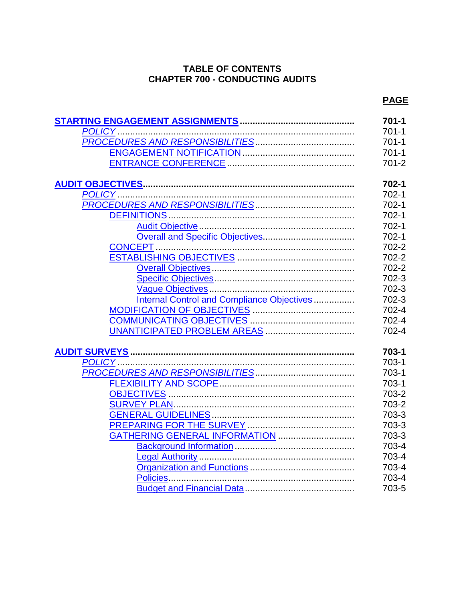### **TABLE OF CONTENTS CHAPTER 700 - CONDUCTING AUDITS**

# **PAGE**

|                                            | $701 - 1$ |
|--------------------------------------------|-----------|
|                                            | $701 - 1$ |
|                                            | $701 - 1$ |
|                                            | $701 - 1$ |
|                                            | $701 - 2$ |
|                                            | 702-1     |
|                                            | $702-1$   |
|                                            | $702-1$   |
|                                            | $702 - 1$ |
|                                            | $702 - 1$ |
|                                            | $702 - 1$ |
|                                            | 702-2     |
|                                            | 702-2     |
|                                            | 702-2     |
|                                            | 702-3     |
|                                            | 702-3     |
| Internal Control and Compliance Objectives | 702-3     |
|                                            | 702-4     |
|                                            | 702-4     |
|                                            | 702-4     |
|                                            | 703-1     |
|                                            | $703-1$   |
|                                            | $703-1$   |
|                                            | $703-1$   |
|                                            | 703-2     |
|                                            | 703-2     |
|                                            | 703-3     |
|                                            | 703-3     |
| GATHERING GENERAL INFORMATION              | 703-3     |
|                                            | 703-4     |
|                                            | 703-4     |
|                                            | 703-4     |
|                                            | 703-4     |
|                                            | 703-5     |
|                                            |           |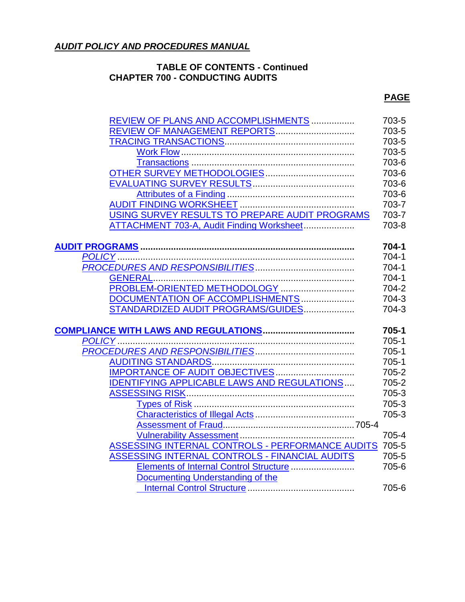### *AUDIT POLICY AND PROCEDURES MANUAL*

#### **TABLE OF CONTENTS - Continued CHAPTER 700 - CONDUCTING AUDITS**

# **PAGE**

<span id="page-59-9"></span><span id="page-59-8"></span><span id="page-59-7"></span><span id="page-59-6"></span><span id="page-59-5"></span><span id="page-59-4"></span><span id="page-59-3"></span><span id="page-59-2"></span><span id="page-59-1"></span><span id="page-59-0"></span>

| REVIEW OF PLANS AND ACCOMPLISHMENTS                    | 703-5   |
|--------------------------------------------------------|---------|
|                                                        | 703-5   |
|                                                        | 703-5   |
|                                                        | 703-5   |
|                                                        | 703-6   |
|                                                        | 703-6   |
|                                                        | 703-6   |
|                                                        | 703-6   |
|                                                        | 703-7   |
| USING SURVEY RESULTS TO PREPARE AUDIT PROGRAMS         | 703-7   |
|                                                        | 703-8   |
| ATTACHMENT 703-A, Audit Finding Worksheet              |         |
|                                                        | 704-1   |
|                                                        | $704-1$ |
|                                                        | 704-1   |
|                                                        | 704-1   |
| PROBLEM-ORIENTED METHODOLOGY                           | 704-2   |
| DOCUMENTATION OF ACCOMPLISHMENTS                       | 704-3   |
| STANDARDIZED AUDIT PROGRAMS/GUIDES                     | 704-3   |
|                                                        | 705-1   |
| POLICY                                                 | 705-1   |
|                                                        | 705-1   |
|                                                        |         |
|                                                        | $705-1$ |
| IMPORTANCE OF AUDIT OBJECTIVES                         | 705-2   |
| <b>IDENTIFYING APPLICABLE LAWS AND REGULATIONS</b>     | 705-2   |
|                                                        | 705-3   |
|                                                        | 705-3   |
|                                                        | 705-3   |
|                                                        |         |
|                                                        | 705-4   |
| ASSESSING INTERNAL CONTROLS - PERFORMANCE AUDITS 705-5 |         |
| ASSESSING INTERNAL CONTROLS - FINANCIAL AUDITS         | 705-5   |
| Elements of Internal Control Structure                 | 705-6   |
| Documenting Understanding of the                       |         |
|                                                        | 705-6   |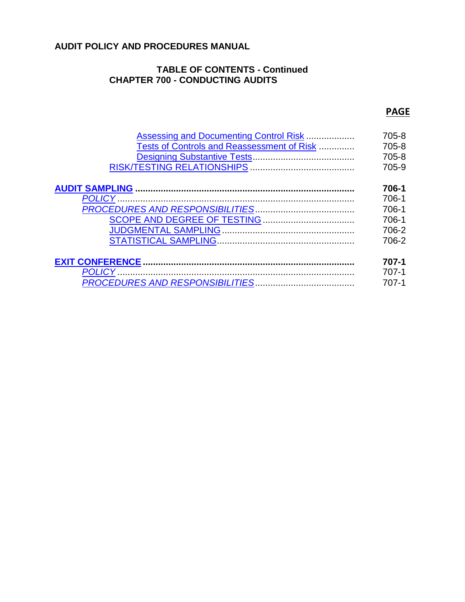# **AUDIT POLICY AND PROCEDURES MANUAL**

### **TABLE OF CONTENTS - Continued CHAPTER 700 - CONDUCTING AUDITS**

# **PAGE**

| Assessing and Documenting Control Risk<br>Tests of Controls and Reassessment of Risk | 705-8<br>705-8<br>705-8<br>705-9 |
|--------------------------------------------------------------------------------------|----------------------------------|
|                                                                                      | 706-1                            |
|                                                                                      | 706-1                            |
|                                                                                      | 706-1                            |
|                                                                                      | 706-1                            |
|                                                                                      | 706-2                            |
|                                                                                      | 706-2                            |
|                                                                                      | 707-1                            |
| <b>POLICY</b>                                                                        | 707-1                            |
|                                                                                      | 707-1                            |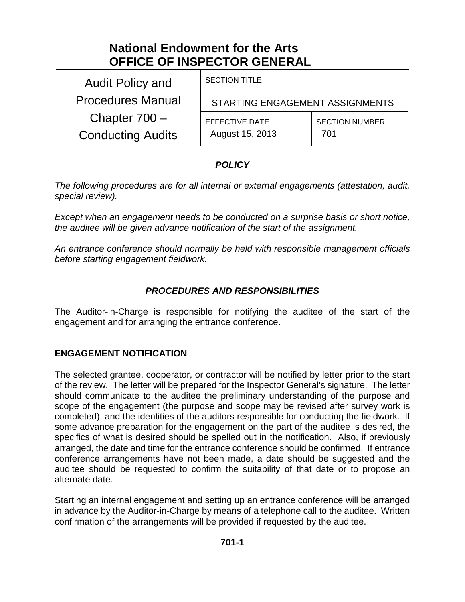# **National Endowment for the Arts OFFICE OF INSPECTOR GENERAL**

<span id="page-61-0"></span>

| <b>Audit Policy and</b>  | <b>SECTION TITLE</b>            |                       |
|--------------------------|---------------------------------|-----------------------|
| <b>Procedures Manual</b> | STARTING ENGAGEMENT ASSIGNMENTS |                       |
| Chapter $700 -$          | <b>EFFECTIVE DATE</b>           | <b>SECTION NUMBER</b> |
| <b>Conducting Audits</b> | August 15, 2013                 | 701                   |

# <span id="page-61-1"></span>*POLICY*

*The following procedures are for all internal or external engagements (attestation, audit, special review).* 

*Except when an engagement needs to be conducted on a surprise basis or short notice, the auditee will be given advance notification of the start of the assignment.*

*An entrance conference should normally be held with responsible management officials before starting engagement fieldwork.*

# <span id="page-61-2"></span>*PROCEDURES AND RESPONSIBILITIES*

The Auditor-in-Charge is responsible for notifying the auditee of the start of the engagement and for arranging the entrance conference.

# <span id="page-61-3"></span>**ENGAGEMENT NOTIFICATION**

The selected grantee, cooperator, or contractor will be notified by letter prior to the start of the review. The letter will be prepared for the Inspector General's signature. The letter should communicate to the auditee the preliminary understanding of the purpose and scope of the engagement (the purpose and scope may be revised after survey work is completed), and the identities of the auditors responsible for conducting the fieldwork. If some advance preparation for the engagement on the part of the auditee is desired, the specifics of what is desired should be spelled out in the notification. Also, if previously arranged, the date and time for the entrance conference should be confirmed. If entrance conference arrangements have not been made, a date should be suggested and the auditee should be requested to confirm the suitability of that date or to propose an alternate date.

Starting an internal engagement and setting up an entrance conference will be arranged in advance by the Auditor-in-Charge by means of a telephone call to the auditee. Written confirmation of the arrangements will be provided if requested by the auditee.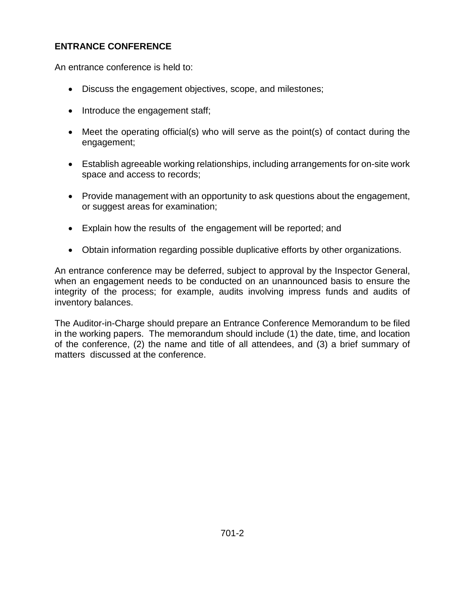# <span id="page-62-0"></span>**ENTRANCE CONFERENCE**

An entrance conference is held to:

- Discuss the engagement objectives, scope, and milestones;
- Introduce the engagement staff;
- Meet the operating official(s) who will serve as the point(s) of contact during the engagement;
- Establish agreeable working relationships, including arrangements for on-site work space and access to records;
- Provide management with an opportunity to ask questions about the engagement, or suggest areas for examination;
- Explain how the results of the engagement will be reported; and
- Obtain information regarding possible duplicative efforts by other organizations.

An entrance conference may be deferred, subject to approval by the Inspector General, when an engagement needs to be conducted on an unannounced basis to ensure the integrity of the process; for example, audits involving impress funds and audits of inventory balances.

The Auditor-in-Charge should prepare an Entrance Conference Memorandum to be filed in the working papers. The memorandum should include (1) the date, time, and location of the conference, (2) the name and title of all attendees, and (3) a brief summary of matters discussed at the conference.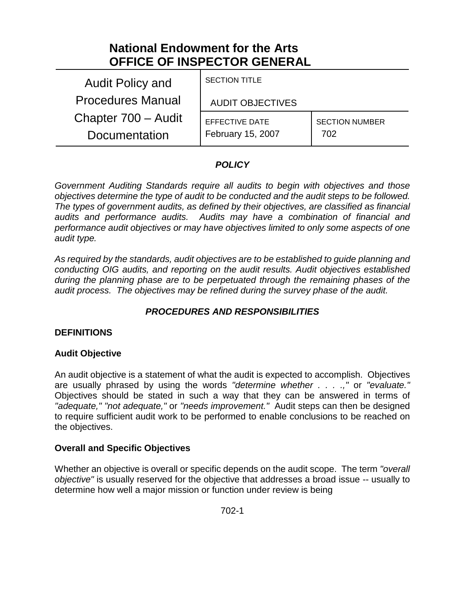# **National Endowment for the Arts OFFICE OF INSPECTOR GENERAL**

<span id="page-63-0"></span>

| <b>Audit Policy and</b>  | <b>SECTION TITLE</b>    |                       |
|--------------------------|-------------------------|-----------------------|
| <b>Procedures Manual</b> | <b>AUDIT OBJECTIVES</b> |                       |
| Chapter 700 - Audit      | <b>EFFECTIVE DATE</b>   | <b>SECTION NUMBER</b> |
| Documentation            | February 15, 2007       | 702                   |

# <span id="page-63-1"></span>*POLICY*

*Government Auditing Standards require all audits to begin with objectives and those objectives determine the type of audit to be conducted and the audit steps to be followed. The types of government audits, as defined by their objectives, are classified as financial audits and performance audits. Audits may have a combination of financial and performance audit objectives or may have objectives limited to only some aspects of one audit type.*

*As required by the standards, audit objectives are to be established to guide planning and conducting OIG audits, and reporting on the audit results. Audit objectives established during the planning phase are to be perpetuated through the remaining phases of the audit process. The objectives may be refined during the survey phase of the audit.*

# <span id="page-63-2"></span>*PROCEDURES AND RESPONSIBILITIES*

# <span id="page-63-3"></span>**DEFINITIONS**

#### <span id="page-63-4"></span>**Audit Objective**

An audit objective is a statement of what the audit is expected to accomplish. Objectives are usually phrased by using the words *"determine whether . . . .,"* or *"evaluate."*  Objectives should be stated in such a way that they can be answered in terms of *"adequate," "not adequate,"* or *"needs improvement."* Audit steps can then be designed to require sufficient audit work to be performed to enable conclusions to be reached on the objectives.

#### <span id="page-63-5"></span>**Overall and Specific Objectives**

Whether an objective is overall or specific depends on the audit scope. The term *"overall objective"* is usually reserved for the objective that addresses a broad issue -- usually to determine how well a major mission or function under review is being

702-1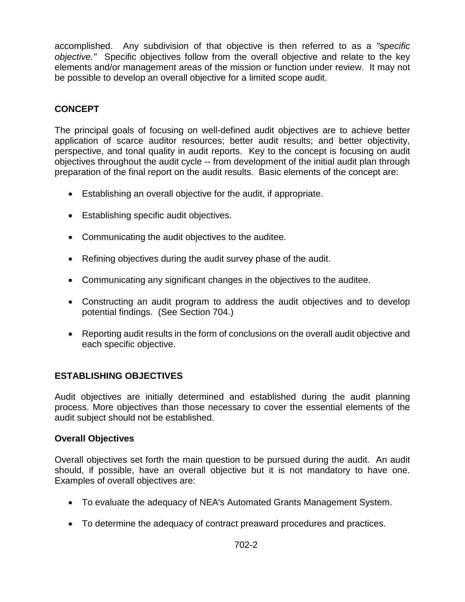accomplished. Any subdivision of that objective is then referred to as a *"specific objective."* Specific objectives follow from the overall objective and relate to the key elements and/or management areas of the mission or function under review. It may not be possible to develop an overall objective for a limited scope audit.

# <span id="page-64-0"></span>**CONCEPT**

The principal goals of focusing on well-defined audit objectives are to achieve better application of scarce auditor resources; better audit results; and better objectivity, perspective, and tonal quality in audit reports. Key to the concept is focusing on audit objectives throughout the audit cycle -- from development of the initial audit plan through preparation of the final report on the audit results. Basic elements of the concept are:

- Establishing an overall objective for the audit, if appropriate.
- Establishing specific audit objectives.
- Communicating the audit objectives to the auditee.
- Refining objectives during the audit survey phase of the audit.
- Communicating any significant changes in the objectives to the auditee.
- Constructing an audit program to address the audit objectives and to develop potential findings. (See Section 704.)
- Reporting audit results in the form of conclusions on the overall audit objective and each specific objective.

# <span id="page-64-1"></span>**ESTABLISHING OBJECTIVES**

Audit objectives are initially determined and established during the audit planning process. More objectives than those necessary to cover the essential elements of the audit subject should not be established.

# <span id="page-64-2"></span>**Overall Objectives**

Overall objectives set forth the main question to be pursued during the audit. An audit should, if possible, have an overall objective but it is not mandatory to have one. Examples of overall objectives are:

- To evaluate the adequacy of NEA's Automated Grants Management System.
- To determine the adequacy of contract preaward procedures and practices.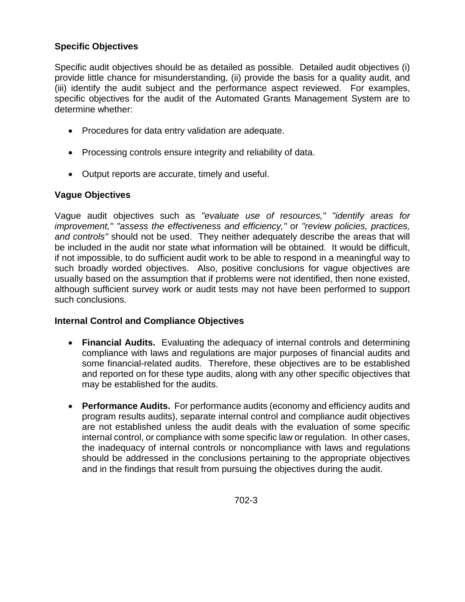# <span id="page-65-0"></span>**Specific Objectives**

Specific audit objectives should be as detailed as possible. Detailed audit objectives (i) provide little chance for misunderstanding, (ii) provide the basis for a quality audit, and (iii) identify the audit subject and the performance aspect reviewed. For examples, specific objectives for the audit of the Automated Grants Management System are to determine whether:

- Procedures for data entry validation are adequate.
- Processing controls ensure integrity and reliability of data.
- Output reports are accurate, timely and useful.

#### <span id="page-65-1"></span>**Vague Objectives**

Vague audit objectives such as *"evaluate use of resources," "identify areas for improvement," "assess the effectiveness and efficiency,"* or *"review policies, practices, and controls"* should not be used. They neither adequately describe the areas that will be included in the audit nor state what information will be obtained. It would be difficult, if not impossible, to do sufficient audit work to be able to respond in a meaningful way to such broadly worded objectives. Also, positive conclusions for vague objectives are usually based on the assumption that if problems were not identified, then none existed, although sufficient survey work or audit tests may not have been performed to support such conclusions.

#### <span id="page-65-2"></span>**Internal Control and Compliance Objectives**

- **Financial Audits.** Evaluating the adequacy of internal controls and determining compliance with laws and regulations are major purposes of financial audits and some financial-related audits. Therefore, these objectives are to be established and reported on for these type audits, along with any other specific objectives that may be established for the audits.
- **Performance Audits.** For performance audits (economy and efficiency audits and program results audits), separate internal control and compliance audit objectives are not established unless the audit deals with the evaluation of some specific internal control, or compliance with some specific law or regulation. In other cases, the inadequacy of internal controls or noncompliance with laws and regulations should be addressed in the conclusions pertaining to the appropriate objectives and in the findings that result from pursuing the objectives during the audit.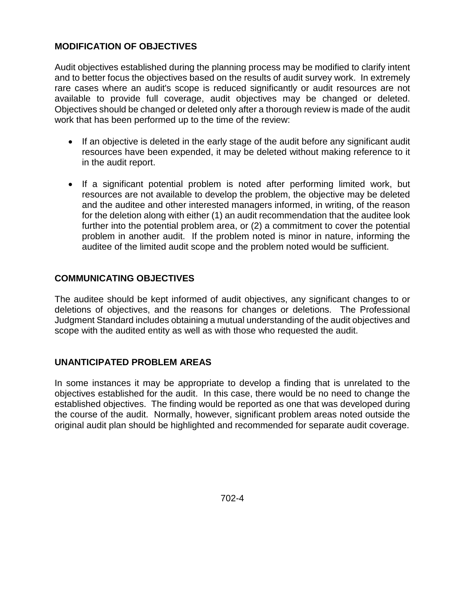#### <span id="page-66-0"></span>**MODIFICATION OF OBJECTIVES**

Audit objectives established during the planning process may be modified to clarify intent and to better focus the objectives based on the results of audit survey work. In extremely rare cases where an audit's scope is reduced significantly or audit resources are not available to provide full coverage, audit objectives may be changed or deleted. Objectives should be changed or deleted only after a thorough review is made of the audit work that has been performed up to the time of the review:

- If an objective is deleted in the early stage of the audit before any significant audit resources have been expended, it may be deleted without making reference to it in the audit report.
- If a significant potential problem is noted after performing limited work, but resources are not available to develop the problem, the objective may be deleted and the auditee and other interested managers informed, in writing, of the reason for the deletion along with either (1) an audit recommendation that the auditee look further into the potential problem area, or (2) a commitment to cover the potential problem in another audit. If the problem noted is minor in nature, informing the auditee of the limited audit scope and the problem noted would be sufficient.

#### <span id="page-66-1"></span>**COMMUNICATING OBJECTIVES**

The auditee should be kept informed of audit objectives, any significant changes to or deletions of objectives, and the reasons for changes or deletions. The Professional Judgment Standard includes obtaining a mutual understanding of the audit objectives and scope with the audited entity as well as with those who requested the audit.

#### <span id="page-66-2"></span>**UNANTICIPATED PROBLEM AREAS**

In some instances it may be appropriate to develop a finding that is unrelated to the objectives established for the audit. In this case, there would be no need to change the established objectives. The finding would be reported as one that was developed during the course of the audit. Normally, however, significant problem areas noted outside the original audit plan should be highlighted and recommended for separate audit coverage.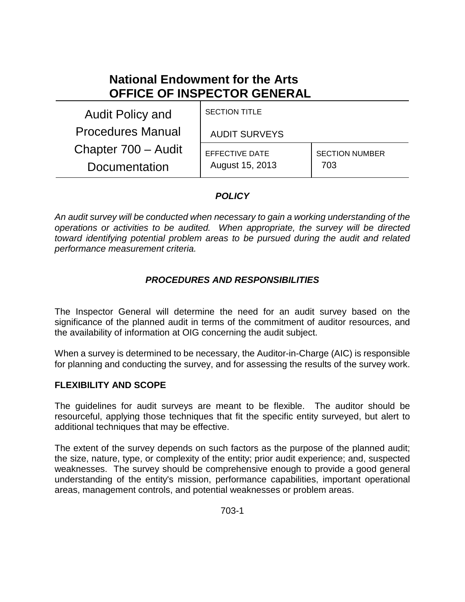# **National Endowment for the Arts OFFICE OF INSPECTOR GENERAL**

<span id="page-67-0"></span>

| <b>Audit Policy and</b>  | <b>SECTION TITLE</b> |                       |
|--------------------------|----------------------|-----------------------|
| <b>Procedures Manual</b> | <b>AUDIT SURVEYS</b> |                       |
| Chapter 700 – Audit      | EFFECTIVE DATE       | <b>SECTION NUMBER</b> |
| Documentation            | August 15, 2013      | 703                   |

# <span id="page-67-1"></span>*POLICY*

*An audit survey will be conducted when necessary to gain a working understanding of the operations or activities to be audited. When appropriate, the survey will be directed toward identifying potential problem areas to be pursued during the audit and related performance measurement criteria.*

# <span id="page-67-2"></span>*PROCEDURES AND RESPONSIBILITIES*

The Inspector General will determine the need for an audit survey based on the significance of the planned audit in terms of the commitment of auditor resources, and the availability of information at OIG concerning the audit subject.

When a survey is determined to be necessary, the Auditor-in-Charge (AIC) is responsible for planning and conducting the survey, and for assessing the results of the survey work.

#### <span id="page-67-3"></span>**FLEXIBILITY AND SCOPE**

The guidelines for audit surveys are meant to be flexible. The auditor should be resourceful, applying those techniques that fit the specific entity surveyed, but alert to additional techniques that may be effective.

The extent of the survey depends on such factors as the purpose of the planned audit; the size, nature, type, or complexity of the entity; prior audit experience; and, suspected weaknesses. The survey should be comprehensive enough to provide a good general understanding of the entity's mission, performance capabilities, important operational areas, management controls, and potential weaknesses or problem areas.

703-1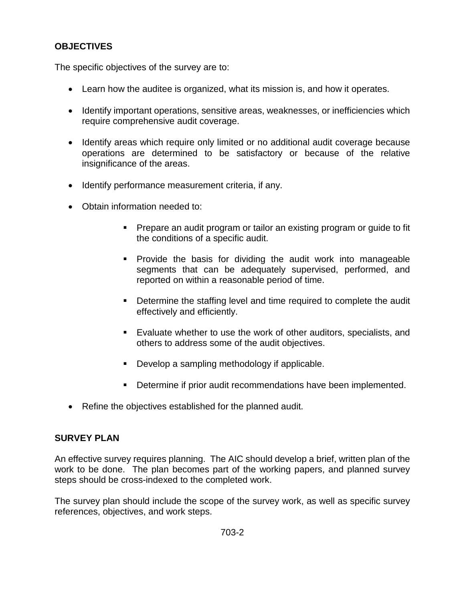# <span id="page-68-0"></span>**OBJECTIVES**

The specific objectives of the survey are to:

- Learn how the auditee is organized, what its mission is, and how it operates.
- Identify important operations, sensitive areas, weaknesses, or inefficiencies which require comprehensive audit coverage.
- Identify areas which require only limited or no additional audit coverage because operations are determined to be satisfactory or because of the relative insignificance of the areas.
- Identify performance measurement criteria, if any.
- Obtain information needed to:
	- **Prepare an audit program or tailor an existing program or guide to fit** the conditions of a specific audit.
	- **Provide the basis for dividing the audit work into manageable** segments that can be adequately supervised, performed, and reported on within a reasonable period of time.
	- **•** Determine the staffing level and time required to complete the audit effectively and efficiently.
	- Evaluate whether to use the work of other auditors, specialists, and others to address some of the audit objectives.
	- Develop a sampling methodology if applicable.
	- Determine if prior audit recommendations have been implemented.
- Refine the objectives established for the planned audit.

#### <span id="page-68-1"></span>**SURVEY PLAN**

An effective survey requires planning. The AIC should develop a brief, written plan of the work to be done. The plan becomes part of the working papers, and planned survey steps should be cross-indexed to the completed work.

The survey plan should include the scope of the survey work, as well as specific survey references, objectives, and work steps.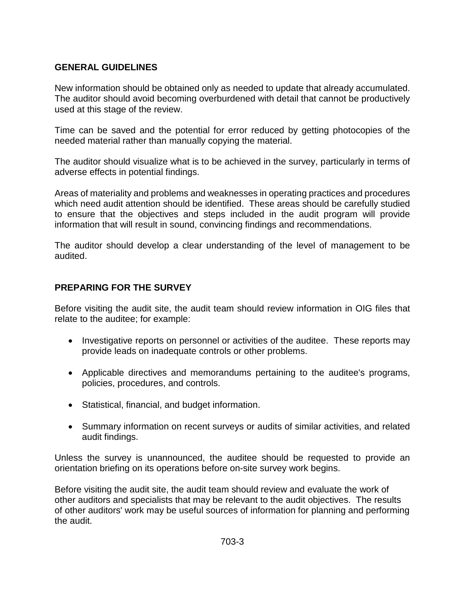# <span id="page-69-0"></span>**GENERAL GUIDELINES**

New information should be obtained only as needed to update that already accumulated. The auditor should avoid becoming overburdened with detail that cannot be productively used at this stage of the review.

Time can be saved and the potential for error reduced by getting photocopies of the needed material rather than manually copying the material.

The auditor should visualize what is to be achieved in the survey, particularly in terms of adverse effects in potential findings.

Areas of materiality and problems and weaknesses in operating practices and procedures which need audit attention should be identified. These areas should be carefully studied to ensure that the objectives and steps included in the audit program will provide information that will result in sound, convincing findings and recommendations.

The auditor should develop a clear understanding of the level of management to be audited.

# <span id="page-69-1"></span>**PREPARING FOR THE SURVEY**

Before visiting the audit site, the audit team should review information in OIG files that relate to the auditee; for example:

- Investigative reports on personnel or activities of the auditee. These reports may provide leads on inadequate controls or other problems.
- Applicable directives and memorandums pertaining to the auditee's programs, policies, procedures, and controls.
- Statistical, financial, and budget information.
- Summary information on recent surveys or audits of similar activities, and related audit findings.

Unless the survey is unannounced, the auditee should be requested to provide an orientation briefing on its operations before on-site survey work begins.

Before visiting the audit site, the audit team should review and evaluate the work of other auditors and specialists that may be relevant to the audit objectives. The results of other auditors' work may be useful sources of information for planning and performing the audit.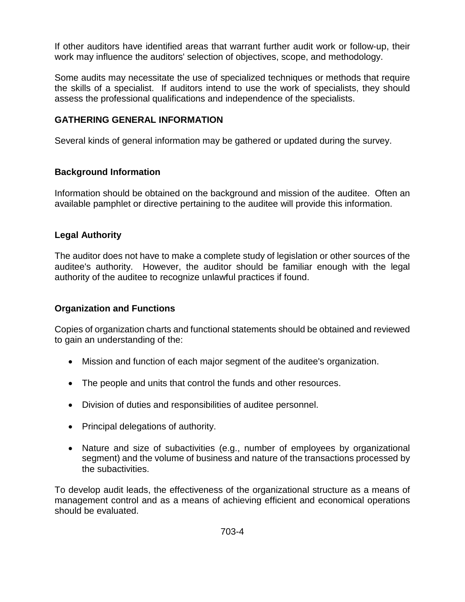If other auditors have identified areas that warrant further audit work or follow-up, their work may influence the auditors' selection of objectives, scope, and methodology.

Some audits may necessitate the use of specialized techniques or methods that require the skills of a specialist. If auditors intend to use the work of specialists, they should assess the professional qualifications and independence of the specialists.

#### <span id="page-70-0"></span>**GATHERING GENERAL INFORMATION**

Several kinds of general information may be gathered or updated during the survey.

# <span id="page-70-1"></span>**Background Information**

Information should be obtained on the background and mission of the auditee. Often an available pamphlet or directive pertaining to the auditee will provide this information.

#### <span id="page-70-2"></span>**Legal Authority**

The auditor does not have to make a complete study of legislation or other sources of the auditee's authority. However, the auditor should be familiar enough with the legal authority of the auditee to recognize unlawful practices if found.

#### <span id="page-70-3"></span>**Organization and Functions**

Copies of organization charts and functional statements should be obtained and reviewed to gain an understanding of the:

- Mission and function of each major segment of the auditee's organization.
- The people and units that control the funds and other resources.
- Division of duties and responsibilities of auditee personnel.
- Principal delegations of authority.
- Nature and size of subactivities (e.g., number of employees by organizational segment) and the volume of business and nature of the transactions processed by the subactivities.

To develop audit leads, the effectiveness of the organizational structure as a means of management control and as a means of achieving efficient and economical operations should be evaluated.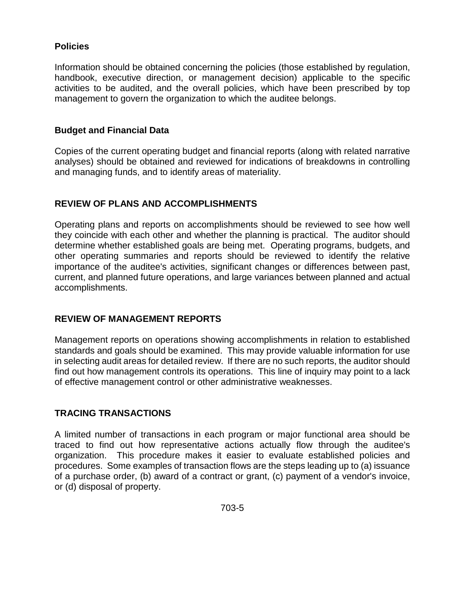#### <span id="page-71-0"></span>**Policies**

Information should be obtained concerning the policies (those established by regulation, handbook, executive direction, or management decision) applicable to the specific activities to be audited, and the overall policies, which have been prescribed by top management to govern the organization to which the auditee belongs.

#### <span id="page-71-1"></span>**Budget and Financial Data**

Copies of the current operating budget and financial reports (along with related narrative analyses) should be obtained and reviewed for indications of breakdowns in controlling and managing funds, and to identify areas of materiality.

# **REVIEW OF PLANS AND ACCOMPLISHMENTS**

Operating plans and reports on accomplishments should be reviewed to see how well they coincide with each other and whether the planning is practical. The auditor should determine whether established goals are being met. Operating programs, budgets, and other operating summaries and reports should be reviewed to identify the relative importance of the auditee's activities, significant changes or differences between past, current, and planned future operations, and large variances between planned and actual accomplishments.

# **REVIEW OF MANAGEMENT REPORTS**

Management reports on operations showing accomplishments in relation to established standards and goals should be examined. This may provide valuable information for use in selecting audit areas for detailed review. If there are no such reports, the auditor should find out how management controls its operations. This line of inquiry may point to a lack of effective management control or other administrative weaknesses.

# **TRACING TRANSACTIONS**

A limited number of transactions in each program or major functional area should be traced to find out how representative actions actually flow through the auditee's organization. This procedure makes it easier to evaluate established policies and procedures. Some examples of transaction flows are the steps leading up to (a) issuance of a purchase order, (b) award of a contract or grant, (c) payment of a vendor's invoice, or (d) disposal of property.

703-5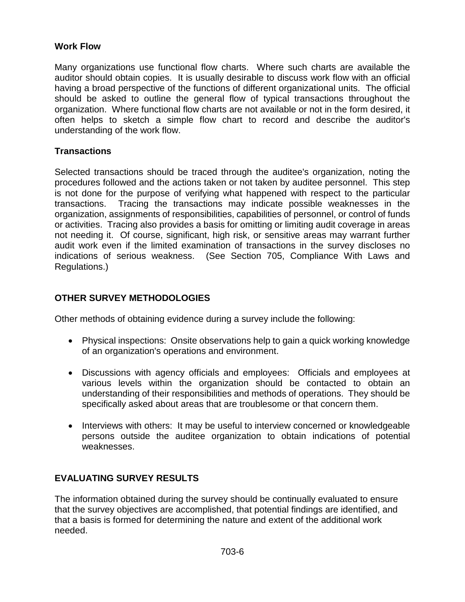#### **Work Flow**

Many organizations use functional flow charts. Where such charts are available the auditor should obtain copies. It is usually desirable to discuss work flow with an official having a broad perspective of the functions of different organizational units. The official should be asked to outline the general flow of typical transactions throughout the organization. Where functional flow charts are not available or not in the form desired, it often helps to sketch a simple flow chart to record and describe the auditor's understanding of the work flow.

#### **Transactions**

Selected transactions should be traced through the auditee's organization, noting the procedures followed and the actions taken or not taken by auditee personnel. This step is not done for the purpose of verifying what happened with respect to the particular transactions. Tracing the transactions may indicate possible weaknesses in the organization, assignments of responsibilities, capabilities of personnel, or control of funds or activities. Tracing also provides a basis for omitting or limiting audit coverage in areas not needing it. Of course, significant, high risk, or sensitive areas may warrant further audit work even if the limited examination of transactions in the survey discloses no indications of serious weakness. (See Section 705, Compliance With Laws and Regulations.)

## **OTHER SURVEY METHODOLOGIES**

Other methods of obtaining evidence during a survey include the following:

- Physical inspections: Onsite observations help to gain a quick working knowledge of an organization's operations and environment.
- Discussions with agency officials and employees: Officials and employees at various levels within the organization should be contacted to obtain an understanding of their responsibilities and methods of operations. They should be specifically asked about areas that are troublesome or that concern them.
- Interviews with others: It may be useful to interview concerned or knowledgeable persons outside the auditee organization to obtain indications of potential weaknesses.

### **EVALUATING SURVEY RESULTS**

The information obtained during the survey should be continually evaluated to ensure that the survey objectives are accomplished, that potential findings are identified, and that a basis is formed for determining the nature and extent of the additional work needed.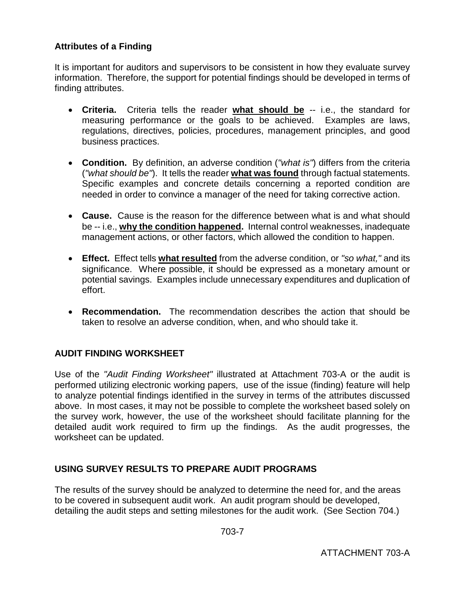## **Attributes of a Finding**

It is important for auditors and supervisors to be consistent in how they evaluate survey information. Therefore, the support for potential findings should be developed in terms of finding attributes.

- **Criteria.** Criteria tells the reader **what should be** -- i.e., the standard for measuring performance or the goals to be achieved. Examples are laws, regulations, directives, policies, procedures, management principles, and good business practices.
- **Condition.** By definition, an adverse condition (*"what is"*) differs from the criteria (*"what should be"*). It tells the reader **what was found** through factual statements. Specific examples and concrete details concerning a reported condition are needed in order to convince a manager of the need for taking corrective action.
- **Cause.** Cause is the reason for the difference between what is and what should be -- i.e., **why the condition happened.** Internal control weaknesses, inadequate management actions, or other factors, which allowed the condition to happen.
- **Effect.** Effect tells **what resulted** from the adverse condition, or *"so what,"* and its significance. Where possible, it should be expressed as a monetary amount or potential savings. Examples include unnecessary expenditures and duplication of effort.
- **Recommendation.** The recommendation describes the action that should be taken to resolve an adverse condition, when, and who should take it.

# **AUDIT FINDING WORKSHEET**

Use of the *"Audit Finding Worksheet"* illustrated at Attachment 703-A or the audit is performed utilizing electronic working papers, use of the issue (finding) feature will help to analyze potential findings identified in the survey in terms of the attributes discussed above. In most cases, it may not be possible to complete the worksheet based solely on the survey work, however, the use of the worksheet should facilitate planning for the detailed audit work required to firm up the findings. As the audit progresses, the worksheet can be updated.

### **USING SURVEY RESULTS TO PREPARE AUDIT PROGRAMS**

The results of the survey should be analyzed to determine the need for, and the areas to be covered in subsequent audit work. An audit program should be developed, detailing the audit steps and setting milestones for the audit work. (See Section 704.)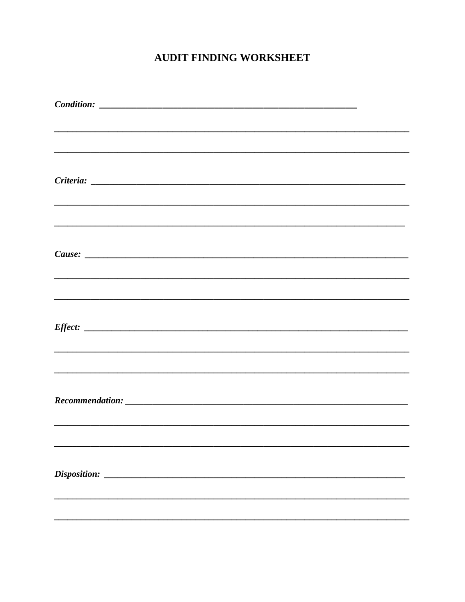# AUDIT FINDING WORKSHEET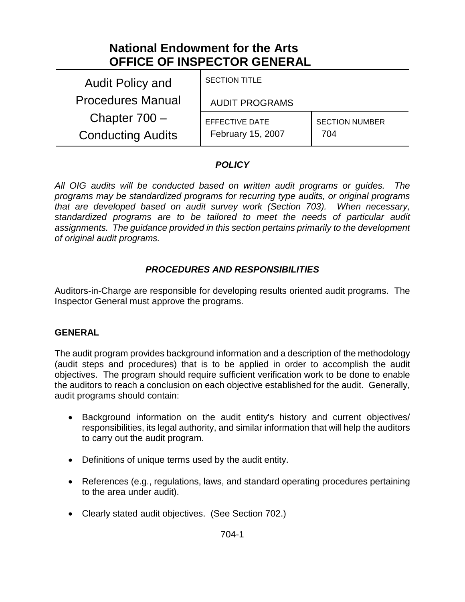# **National Endowment for the Arts OFFICE OF INSPECTOR GENERAL**

| <b>Audit Policy and</b>  | <b>SECTION TITLE</b>  |                       |
|--------------------------|-----------------------|-----------------------|
| <b>Procedures Manual</b> | <b>AUDIT PROGRAMS</b> |                       |
| Chapter $700 -$          | EFFECTIVE DATE        | <b>SECTION NUMBER</b> |
| <b>Conducting Audits</b> | February 15, 2007     | 704                   |

## *POLICY*

*All OIG audits will be conducted based on written audit programs or guides. The programs may be standardized programs for recurring type audits, or original programs that are developed based on audit survey work (Section 703). When necessary, standardized programs are to be tailored to meet the needs of particular audit assignments. The guidance provided in this section pertains primarily to the development of original audit programs.*

# *PROCEDURES AND RESPONSIBILITIES*

Auditors-in-Charge are responsible for developing results oriented audit programs. The Inspector General must approve the programs.

### **GENERAL**

The audit program provides background information and a description of the methodology (audit steps and procedures) that is to be applied in order to accomplish the audit objectives. The program should require sufficient verification work to be done to enable the auditors to reach a conclusion on each objective established for the audit. Generally, audit programs should contain:

- Background information on the audit entity's history and current objectives/ responsibilities, its legal authority, and similar information that will help the auditors to carry out the audit program.
- Definitions of unique terms used by the audit entity.
- References (e.g., regulations, laws, and standard operating procedures pertaining to the area under audit).
- Clearly stated audit objectives. (See Section 702.)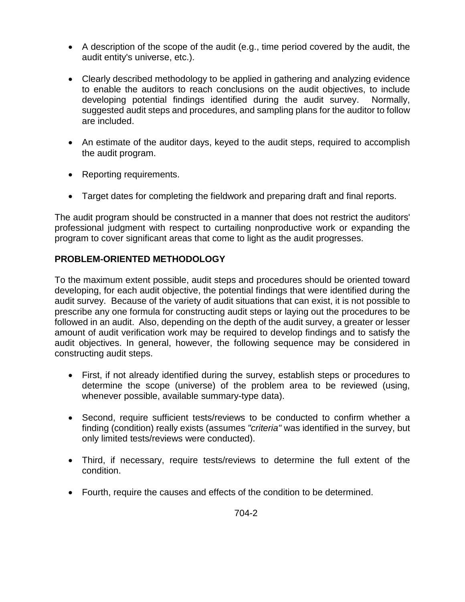- A description of the scope of the audit (e.g., time period covered by the audit, the audit entity's universe, etc.).
- Clearly described methodology to be applied in gathering and analyzing evidence to enable the auditors to reach conclusions on the audit objectives, to include developing potential findings identified during the audit survey. Normally, suggested audit steps and procedures, and sampling plans for the auditor to follow are included.
- An estimate of the auditor days, keyed to the audit steps, required to accomplish the audit program.
- Reporting requirements.
- Target dates for completing the fieldwork and preparing draft and final reports.

The audit program should be constructed in a manner that does not restrict the auditors' professional judgment with respect to curtailing nonproductive work or expanding the program to cover significant areas that come to light as the audit progresses.

### **PROBLEM-ORIENTED METHODOLOGY**

To the maximum extent possible, audit steps and procedures should be oriented toward developing, for each audit objective, the potential findings that were identified during the audit survey. Because of the variety of audit situations that can exist, it is not possible to prescribe any one formula for constructing audit steps or laying out the procedures to be followed in an audit. Also, depending on the depth of the audit survey, a greater or lesser amount of audit verification work may be required to develop findings and to satisfy the audit objectives. In general, however, the following sequence may be considered in constructing audit steps.

- First, if not already identified during the survey, establish steps or procedures to determine the scope (universe) of the problem area to be reviewed (using, whenever possible, available summary-type data).
- Second, require sufficient tests/reviews to be conducted to confirm whether a finding (condition) really exists (assumes *"criteria"* was identified in the survey, but only limited tests/reviews were conducted).
- Third, if necessary, require tests/reviews to determine the full extent of the condition.
- Fourth, require the causes and effects of the condition to be determined.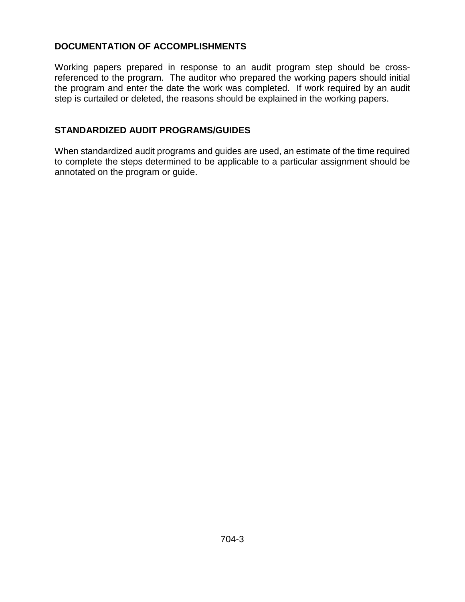## **DOCUMENTATION OF ACCOMPLISHMENTS**

Working papers prepared in response to an audit program step should be crossreferenced to the program. The auditor who prepared the working papers should initial the program and enter the date the work was completed. If work required by an audit step is curtailed or deleted, the reasons should be explained in the working papers.

### **STANDARDIZED AUDIT PROGRAMS/GUIDES**

When standardized audit programs and guides are used, an estimate of the time required to complete the steps determined to be applicable to a particular assignment should be annotated on the program or guide.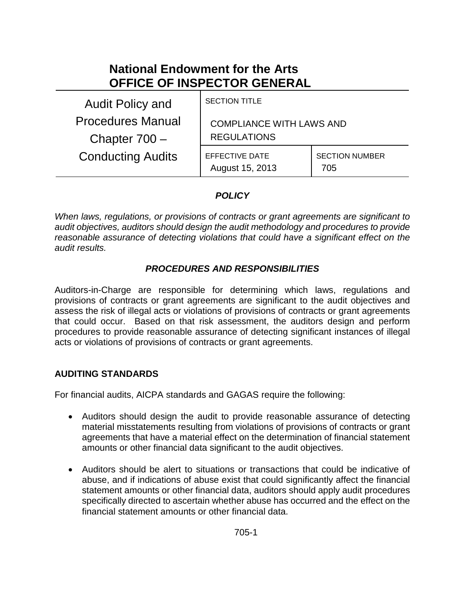# **National Endowment for the Arts OFFICE OF INSPECTOR GENERAL**

| <b>Audit Policy and</b>  | <b>SECTION TITLE</b>                     |                              |
|--------------------------|------------------------------------------|------------------------------|
| <b>Procedures Manual</b> | <b>COMPLIANCE WITH LAWS AND</b>          |                              |
| Chapter $700 -$          | <b>REGULATIONS</b>                       |                              |
| <b>Conducting Audits</b> | <b>EFFECTIVE DATE</b><br>August 15, 2013 | <b>SECTION NUMBER</b><br>705 |

## *POLICY*

*When laws, regulations, or provisions of contracts or grant agreements are significant to audit objectives, auditors should design the audit methodology and procedures to provide reasonable assurance of detecting violations that could have a significant effect on the audit results.* 

### *PROCEDURES AND RESPONSIBILITIES*

Auditors-in-Charge are responsible for determining which laws, regulations and provisions of contracts or grant agreements are significant to the audit objectives and assess the risk of illegal acts or violations of provisions of contracts or grant agreements that could occur. Based on that risk assessment, the auditors design and perform procedures to provide reasonable assurance of detecting significant instances of illegal acts or violations of provisions of contracts or grant agreements.

### **AUDITING STANDARDS**

For financial audits, AICPA standards and GAGAS require the following:

- Auditors should design the audit to provide reasonable assurance of detecting material misstatements resulting from violations of provisions of contracts or grant agreements that have a material effect on the determination of financial statement amounts or other financial data significant to the audit objectives.
- Auditors should be alert to situations or transactions that could be indicative of abuse, and if indications of abuse exist that could significantly affect the financial statement amounts or other financial data, auditors should apply audit procedures specifically directed to ascertain whether abuse has occurred and the effect on the financial statement amounts or other financial data.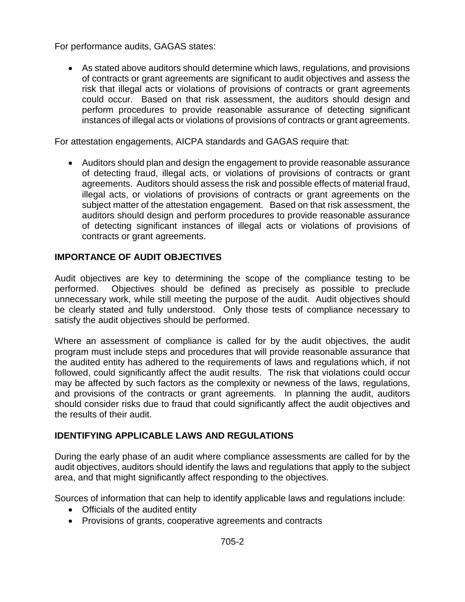For performance audits, GAGAS states:

• As stated above auditors should determine which laws, regulations, and provisions of contracts or grant agreements are significant to audit objectives and assess the risk that illegal acts or violations of provisions of contracts or grant agreements could occur. Based on that risk assessment, the auditors should design and perform procedures to provide reasonable assurance of detecting significant instances of illegal acts or violations of provisions of contracts or grant agreements.

For attestation engagements, AICPA standards and GAGAS require that:

• Auditors should plan and design the engagement to provide reasonable assurance of detecting fraud, illegal acts, or violations of provisions of contracts or grant agreements. Auditors should assess the risk and possible effects of material fraud, illegal acts, or violations of provisions of contracts or grant agreements on the subject matter of the attestation engagement. Based on that risk assessment, the auditors should design and perform procedures to provide reasonable assurance of detecting significant instances of illegal acts or violations of provisions of contracts or grant agreements.

### **IMPORTANCE OF AUDIT OBJECTIVES**

Audit objectives are key to determining the scope of the compliance testing to be performed. Objectives should be defined as precisely as possible to preclude unnecessary work, while still meeting the purpose of the audit. Audit objectives should be clearly stated and fully understood. Only those tests of compliance necessary to satisfy the audit objectives should be performed.

Where an assessment of compliance is called for by the audit objectives, the audit program must include steps and procedures that will provide reasonable assurance that the audited entity has adhered to the requirements of laws and regulations which, if not followed, could significantly affect the audit results. The risk that violations could occur may be affected by such factors as the complexity or newness of the laws, regulations, and provisions of the contracts or grant agreements. In planning the audit, auditors should consider risks due to fraud that could significantly affect the audit objectives and the results of their audit.

# **IDENTIFYING APPLICABLE LAWS AND REGULATIONS**

During the early phase of an audit where compliance assessments are called for by the audit objectives, auditors should identify the laws and regulations that apply to the subject area, and that might significantly affect responding to the objectives.

Sources of information that can help to identify applicable laws and regulations include:

- Officials of the audited entity
- Provisions of grants, cooperative agreements and contracts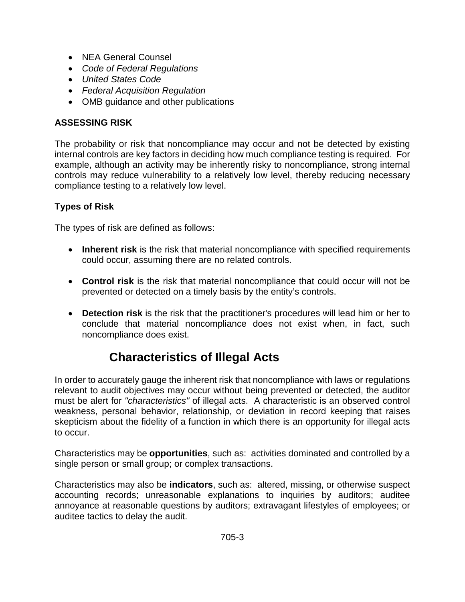- NEA General Counsel
- *Code of Federal Regulations*
- *United States Code*
- *Federal Acquisition Regulation*
- OMB guidance and other publications

## **ASSESSING RISK**

The probability or risk that noncompliance may occur and not be detected by existing internal controls are key factors in deciding how much compliance testing is required. For example, although an activity may be inherently risky to noncompliance, strong internal controls may reduce vulnerability to a relatively low level, thereby reducing necessary compliance testing to a relatively low level.

# **Types of Risk**

The types of risk are defined as follows:

- **Inherent risk** is the risk that material noncompliance with specified requirements could occur, assuming there are no related controls.
- **Control risk** is the risk that material noncompliance that could occur will not be prevented or detected on a timely basis by the entity's controls.
- **Detection risk** is the risk that the practitioner's procedures will lead him or her to conclude that material noncompliance does not exist when, in fact, such noncompliance does exist.

# **Characteristics of Illegal Acts**

In order to accurately gauge the inherent risk that noncompliance with laws or regulations relevant to audit objectives may occur without being prevented or detected, the auditor must be alert for *"characteristics"* of illegal acts. A characteristic is an observed control weakness, personal behavior, relationship, or deviation in record keeping that raises skepticism about the fidelity of a function in which there is an opportunity for illegal acts to occur.

Characteristics may be **opportunities**, such as: activities dominated and controlled by a single person or small group; or complex transactions.

Characteristics may also be **indicators**, such as: altered, missing, or otherwise suspect accounting records; unreasonable explanations to inquiries by auditors; auditee annoyance at reasonable questions by auditors; extravagant lifestyles of employees; or auditee tactics to delay the audit.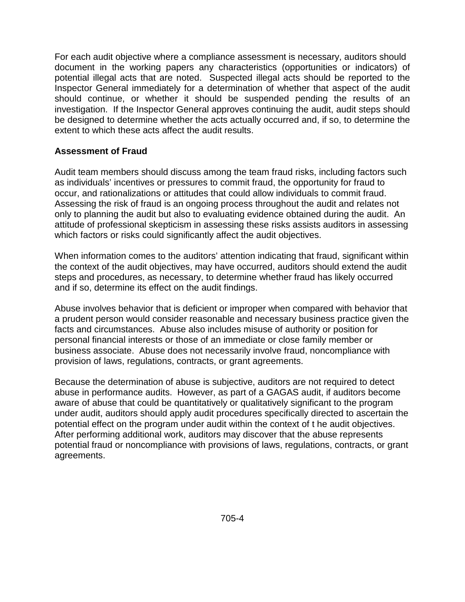For each audit objective where a compliance assessment is necessary, auditors should document in the working papers any characteristics (opportunities or indicators) of potential illegal acts that are noted. Suspected illegal acts should be reported to the Inspector General immediately for a determination of whether that aspect of the audit should continue, or whether it should be suspended pending the results of an investigation. If the Inspector General approves continuing the audit, audit steps should be designed to determine whether the acts actually occurred and, if so, to determine the extent to which these acts affect the audit results.

#### **Assessment of Fraud**

Audit team members should discuss among the team fraud risks, including factors such as individuals' incentives or pressures to commit fraud, the opportunity for fraud to occur, and rationalizations or attitudes that could allow individuals to commit fraud. Assessing the risk of fraud is an ongoing process throughout the audit and relates not only to planning the audit but also to evaluating evidence obtained during the audit. An attitude of professional skepticism in assessing these risks assists auditors in assessing which factors or risks could significantly affect the audit objectives.

When information comes to the auditors' attention indicating that fraud, significant within the context of the audit objectives, may have occurred, auditors should extend the audit steps and procedures, as necessary, to determine whether fraud has likely occurred and if so, determine its effect on the audit findings.

Abuse involves behavior that is deficient or improper when compared with behavior that a prudent person would consider reasonable and necessary business practice given the facts and circumstances. Abuse also includes misuse of authority or position for personal financial interests or those of an immediate or close family member or business associate. Abuse does not necessarily involve fraud, noncompliance with provision of laws, regulations, contracts, or grant agreements.

Because the determination of abuse is subjective, auditors are not required to detect abuse in performance audits. However, as part of a GAGAS audit, if auditors become aware of abuse that could be quantitatively or qualitatively significant to the program under audit, auditors should apply audit procedures specifically directed to ascertain the potential effect on the program under audit within the context of t he audit objectives. After performing additional work, auditors may discover that the abuse represents potential fraud or noncompliance with provisions of laws, regulations, contracts, or grant agreements.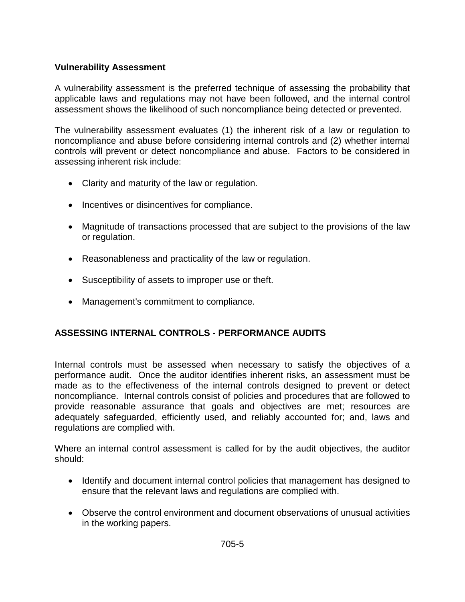## **Vulnerability Assessment**

A vulnerability assessment is the preferred technique of assessing the probability that applicable laws and regulations may not have been followed, and the internal control assessment shows the likelihood of such noncompliance being detected or prevented.

The vulnerability assessment evaluates (1) the inherent risk of a law or regulation to noncompliance and abuse before considering internal controls and (2) whether internal controls will prevent or detect noncompliance and abuse. Factors to be considered in assessing inherent risk include:

- Clarity and maturity of the law or regulation.
- Incentives or disincentives for compliance.
- Magnitude of transactions processed that are subject to the provisions of the law or regulation.
- Reasonableness and practicality of the law or regulation.
- Susceptibility of assets to improper use or theft.
- Management's commitment to compliance.

# **ASSESSING INTERNAL CONTROLS - PERFORMANCE AUDITS**

Internal controls must be assessed when necessary to satisfy the objectives of a performance audit. Once the auditor identifies inherent risks, an assessment must be made as to the effectiveness of the internal controls designed to prevent or detect noncompliance. Internal controls consist of policies and procedures that are followed to provide reasonable assurance that goals and objectives are met; resources are adequately safeguarded, efficiently used, and reliably accounted for; and, laws and regulations are complied with.

Where an internal control assessment is called for by the audit objectives, the auditor should:

- Identify and document internal control policies that management has designed to ensure that the relevant laws and regulations are complied with.
- Observe the control environment and document observations of unusual activities in the working papers.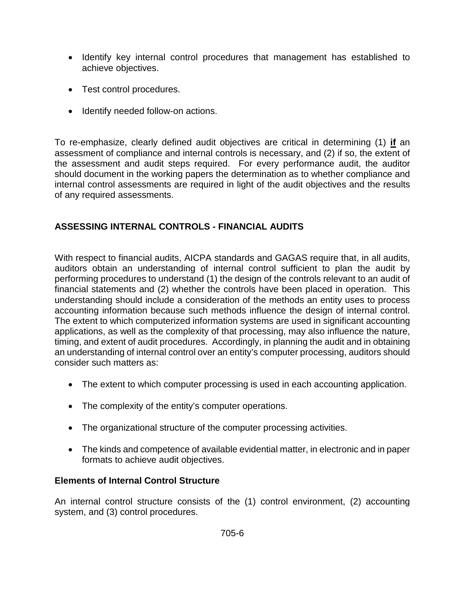- Identify key internal control procedures that management has established to achieve objectives.
- Test control procedures.
- Identify needed follow-on actions.

To re-emphasize, clearly defined audit objectives are critical in determining (1) **if** an assessment of compliance and internal controls is necessary, and (2) if so, the extent of the assessment and audit steps required. For every performance audit, the auditor should document in the working papers the determination as to whether compliance and internal control assessments are required in light of the audit objectives and the results of any required assessments.

## **ASSESSING INTERNAL CONTROLS - FINANCIAL AUDITS**

With respect to financial audits, AICPA standards and GAGAS require that, in all audits, auditors obtain an understanding of internal control sufficient to plan the audit by performing procedures to understand (1) the design of the controls relevant to an audit of financial statements and (2) whether the controls have been placed in operation. This understanding should include a consideration of the methods an entity uses to process accounting information because such methods influence the design of internal control. The extent to which computerized information systems are used in significant accounting applications, as well as the complexity of that processing, may also influence the nature, timing, and extent of audit procedures. Accordingly, in planning the audit and in obtaining an understanding of internal control over an entity's computer processing, auditors should consider such matters as:

- The extent to which computer processing is used in each accounting application.
- The complexity of the entity's computer operations.
- The organizational structure of the computer processing activities.
- The kinds and competence of available evidential matter, in electronic and in paper formats to achieve audit objectives.

### **Elements of Internal Control Structure**

An internal control structure consists of the (1) control environment, (2) accounting system, and (3) control procedures.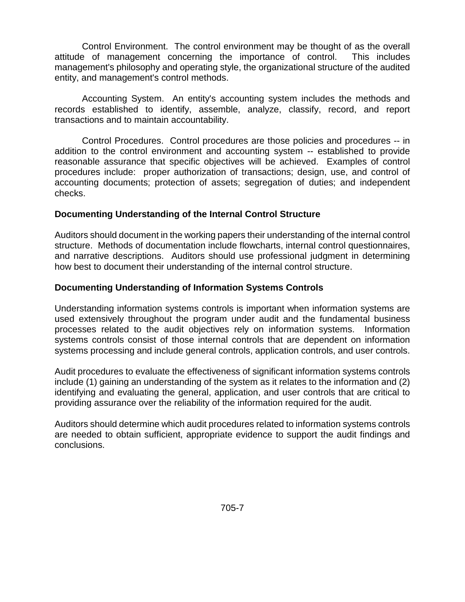Control Environment. The control environment may be thought of as the overall attitude of management concerning the importance of control. This includes management's philosophy and operating style, the organizational structure of the audited entity, and management's control methods.

Accounting System. An entity's accounting system includes the methods and records established to identify, assemble, analyze, classify, record, and report transactions and to maintain accountability.

Control Procedures. Control procedures are those policies and procedures -- in addition to the control environment and accounting system -- established to provide reasonable assurance that specific objectives will be achieved. Examples of control procedures include: proper authorization of transactions; design, use, and control of accounting documents; protection of assets; segregation of duties; and independent checks.

#### **Documenting Understanding of the Internal Control Structure**

Auditors should document in the working papers their understanding of the internal control structure. Methods of documentation include flowcharts, internal control questionnaires, and narrative descriptions. Auditors should use professional judgment in determining how best to document their understanding of the internal control structure.

### **Documenting Understanding of Information Systems Controls**

Understanding information systems controls is important when information systems are used extensively throughout the program under audit and the fundamental business processes related to the audit objectives rely on information systems. Information systems controls consist of those internal controls that are dependent on information systems processing and include general controls, application controls, and user controls.

Audit procedures to evaluate the effectiveness of significant information systems controls include (1) gaining an understanding of the system as it relates to the information and (2) identifying and evaluating the general, application, and user controls that are critical to providing assurance over the reliability of the information required for the audit.

Auditors should determine which audit procedures related to information systems controls are needed to obtain sufficient, appropriate evidence to support the audit findings and conclusions.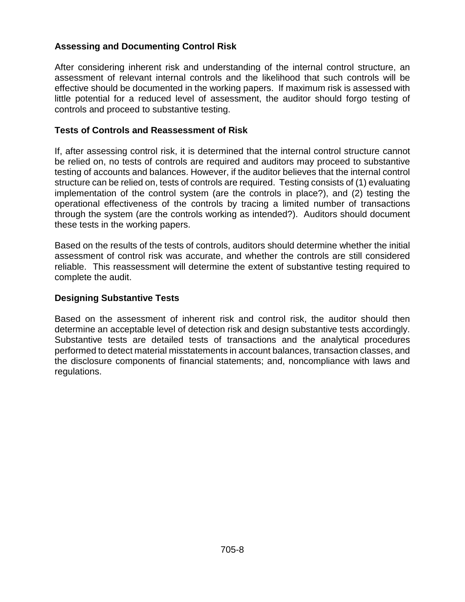## **Assessing and Documenting Control Risk**

After considering inherent risk and understanding of the internal control structure, an assessment of relevant internal controls and the likelihood that such controls will be effective should be documented in the working papers. If maximum risk is assessed with little potential for a reduced level of assessment, the auditor should forgo testing of controls and proceed to substantive testing.

#### **Tests of Controls and Reassessment of Risk**

If, after assessing control risk, it is determined that the internal control structure cannot be relied on, no tests of controls are required and auditors may proceed to substantive testing of accounts and balances. However, if the auditor believes that the internal control structure can be relied on, tests of controls are required. Testing consists of (1) evaluating implementation of the control system (are the controls in place?), and (2) testing the operational effectiveness of the controls by tracing a limited number of transactions through the system (are the controls working as intended?). Auditors should document these tests in the working papers.

Based on the results of the tests of controls, auditors should determine whether the initial assessment of control risk was accurate, and whether the controls are still considered reliable. This reassessment will determine the extent of substantive testing required to complete the audit.

#### **Designing Substantive Tests**

Based on the assessment of inherent risk and control risk, the auditor should then determine an acceptable level of detection risk and design substantive tests accordingly. Substantive tests are detailed tests of transactions and the analytical procedures performed to detect material misstatements in account balances, transaction classes, and the disclosure components of financial statements; and, noncompliance with laws and regulations.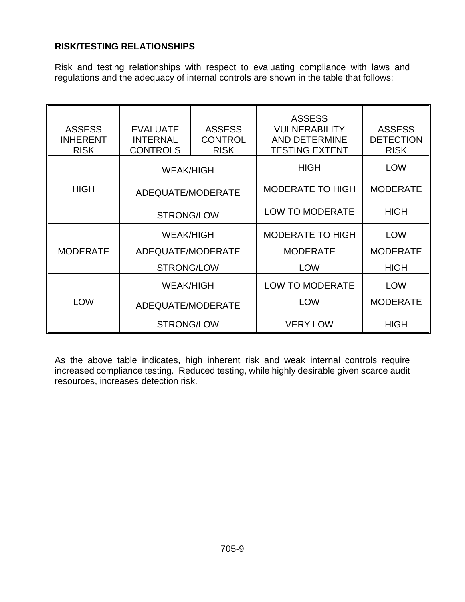## **RISK/TESTING RELATIONSHIPS**

Risk and testing relationships with respect to evaluating compliance with laws and regulations and the adequacy of internal controls are shown in the table that follows:

| <b>ASSESS</b><br><b>INHERENT</b><br><b>RISK</b> | <b>EVALUATE</b><br><b>INTERNAL</b><br><b>CONTROLS</b> | <b>ASSESS</b><br><b>CONTROL</b><br><b>RISK</b> | <b>ASSESS</b><br><b>VULNERABILITY</b><br><b>AND DETERMINE</b><br><b>TESTING EXTENT</b> | <b>ASSESS</b><br><b>DETECTION</b><br><b>RISK</b> |
|-------------------------------------------------|-------------------------------------------------------|------------------------------------------------|----------------------------------------------------------------------------------------|--------------------------------------------------|
|                                                 | <b>WEAK/HIGH</b>                                      |                                                | <b>HIGH</b>                                                                            | <b>LOW</b>                                       |
| <b>HIGH</b>                                     | ADEQUATE/MODERATE                                     |                                                | <b>MODERATE TO HIGH</b>                                                                | <b>MODERATE</b>                                  |
|                                                 | <b>STRONG/LOW</b>                                     |                                                | <b>LOW TO MODERATE</b>                                                                 | <b>HIGH</b>                                      |
|                                                 | <b>WEAK/HIGH</b>                                      |                                                | <b>MODERATE TO HIGH</b>                                                                | <b>LOW</b>                                       |
| <b>MODERATE</b>                                 | ADEQUATE/MODERATE                                     |                                                | <b>MODERATE</b>                                                                        | <b>MODERATE</b>                                  |
| <b>STRONG/LOW</b>                               |                                                       | <b>LOW</b>                                     | <b>HIGH</b>                                                                            |                                                  |
|                                                 | <b>WEAK/HIGH</b>                                      |                                                | <b>LOW TO MODERATE</b>                                                                 | <b>LOW</b>                                       |
| <b>LOW</b>                                      | ADEQUATE/MODERATE                                     |                                                | <b>LOW</b>                                                                             | <b>MODERATE</b>                                  |
|                                                 | <b>STRONG/LOW</b>                                     |                                                | <b>VERY LOW</b>                                                                        | <b>HIGH</b>                                      |

As the above table indicates, high inherent risk and weak internal controls require increased compliance testing. Reduced testing, while highly desirable given scarce audit resources, increases detection risk.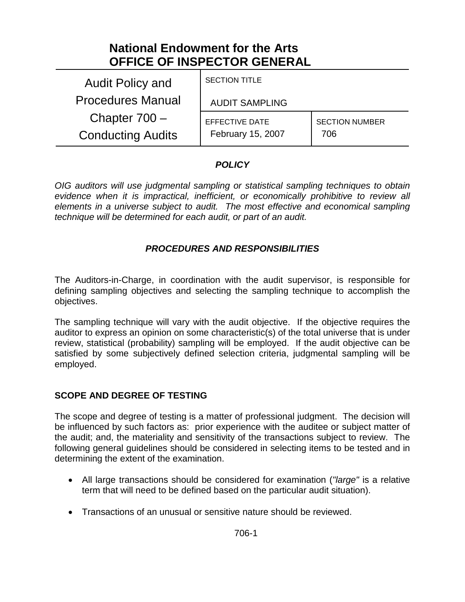# **National Endowment for the Arts OFFICE OF INSPECTOR GENERAL**

| <b>Audit Policy and</b>  | <b>SECTION TITLE</b>  |                       |
|--------------------------|-----------------------|-----------------------|
| <b>Procedures Manual</b> | <b>AUDIT SAMPLING</b> |                       |
| Chapter $700 -$          | EFFECTIVE DATE        | <b>SECTION NUMBER</b> |
| <b>Conducting Audits</b> | February 15, 2007     | 706                   |

### *POLICY*

*OIG auditors will use judgmental sampling or statistical sampling techniques to obtain evidence when it is impractical, inefficient, or economically prohibitive to review all elements in a universe subject to audit. The most effective and economical sampling technique will be determined for each audit, or part of an audit.*

# *PROCEDURES AND RESPONSIBILITIES*

The Auditors-in-Charge, in coordination with the audit supervisor, is responsible for defining sampling objectives and selecting the sampling technique to accomplish the objectives.

The sampling technique will vary with the audit objective. If the objective requires the auditor to express an opinion on some characteristic(s) of the total universe that is under review, statistical (probability) sampling will be employed. If the audit objective can be satisfied by some subjectively defined selection criteria, judgmental sampling will be employed.

# **SCOPE AND DEGREE OF TESTING**

The scope and degree of testing is a matter of professional judgment. The decision will be influenced by such factors as: prior experience with the auditee or subject matter of the audit; and, the materiality and sensitivity of the transactions subject to review. The following general guidelines should be considered in selecting items to be tested and in determining the extent of the examination.

- All large transactions should be considered for examination (*"large"* is a relative term that will need to be defined based on the particular audit situation).
- Transactions of an unusual or sensitive nature should be reviewed.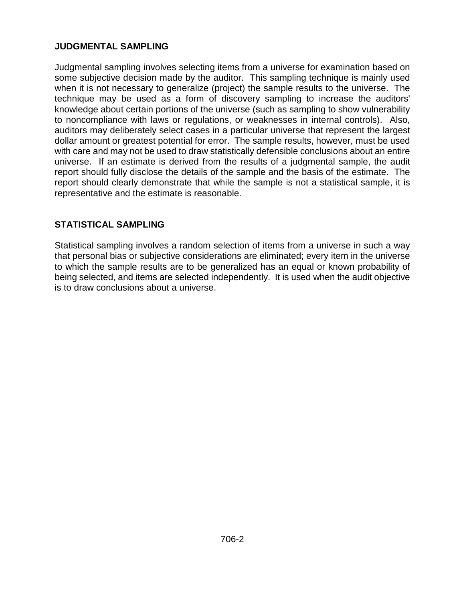## **JUDGMENTAL SAMPLING**

Judgmental sampling involves selecting items from a universe for examination based on some subjective decision made by the auditor. This sampling technique is mainly used when it is not necessary to generalize (project) the sample results to the universe. The technique may be used as a form of discovery sampling to increase the auditors' knowledge about certain portions of the universe (such as sampling to show vulnerability to noncompliance with laws or regulations, or weaknesses in internal controls). Also, auditors may deliberately select cases in a particular universe that represent the largest dollar amount or greatest potential for error. The sample results, however, must be used with care and may not be used to draw statistically defensible conclusions about an entire universe. If an estimate is derived from the results of a judgmental sample, the audit report should fully disclose the details of the sample and the basis of the estimate. The report should clearly demonstrate that while the sample is not a statistical sample, it is representative and the estimate is reasonable.

## **STATISTICAL SAMPLING**

Statistical sampling involves a random selection of items from a universe in such a way that personal bias or subjective considerations are eliminated; every item in the universe to which the sample results are to be generalized has an equal or known probability of being selected, and items are selected independently. It is used when the audit objective is to draw conclusions about a universe.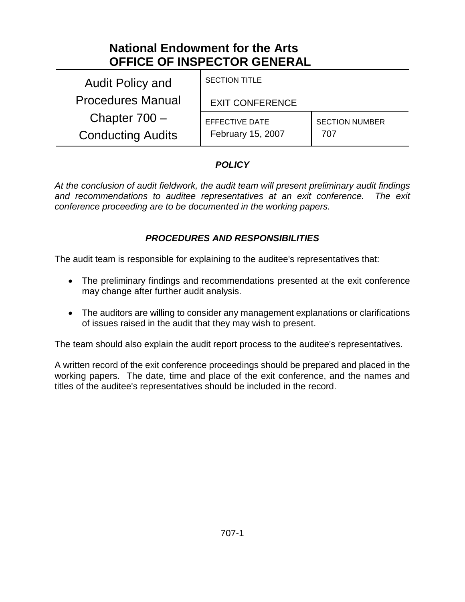# **National Endowment for the Arts OFFICE OF INSPECTOR GENERAL**

| <b>Audit Policy and</b>  | <b>SECTION TITLE</b>   |                       |
|--------------------------|------------------------|-----------------------|
| <b>Procedures Manual</b> | <b>EXIT CONFERENCE</b> |                       |
| Chapter $700 -$          | <b>EFFECTIVE DATE</b>  | <b>SECTION NUMBER</b> |
| <b>Conducting Audits</b> | February 15, 2007      | 707                   |

# *POLICY*

*At the conclusion of audit fieldwork, the audit team will present preliminary audit findings and recommendations to auditee representatives at an exit conference. The exit conference proceeding are to be documented in the working papers.*

# *PROCEDURES AND RESPONSIBILITIES*

The audit team is responsible for explaining to the auditee's representatives that:

- The preliminary findings and recommendations presented at the exit conference may change after further audit analysis.
- The auditors are willing to consider any management explanations or clarifications of issues raised in the audit that they may wish to present.

The team should also explain the audit report process to the auditee's representatives.

A written record of the exit conference proceedings should be prepared and placed in the working papers. The date, time and place of the exit conference, and the names and titles of the auditee's representatives should be included in the record.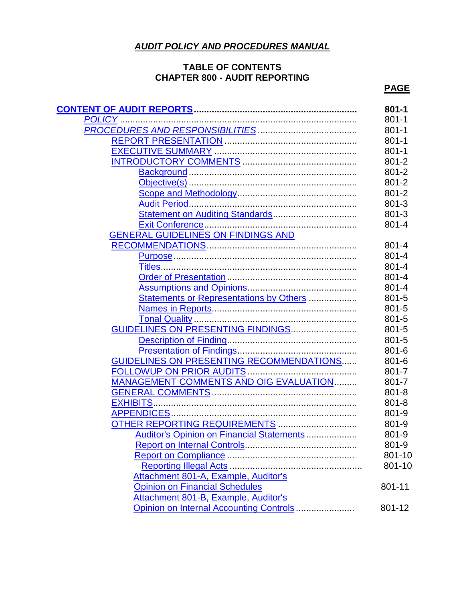#### *AUDIT POLICY AND PROCEDURES MANUAL*

#### **TABLE OF CONTENTS CHAPTER 800 - AUDIT REPORTING**

|                                           | $801 - 1$ |
|-------------------------------------------|-----------|
|                                           | $801 - 1$ |
|                                           | $801 - 1$ |
|                                           | $801 - 1$ |
|                                           | $801 - 1$ |
|                                           | $801 - 2$ |
|                                           | 801-2     |
|                                           | 801-2     |
|                                           | $801 - 2$ |
|                                           | $801 - 3$ |
|                                           | $801 - 3$ |
|                                           | $801 - 4$ |
| <b>GENERAL GUIDELINES ON FINDINGS AND</b> |           |
|                                           | $801 - 4$ |
|                                           | $801 - 4$ |
|                                           | $801 - 4$ |
|                                           | $801 - 4$ |
|                                           | 801-4     |
| Statements or Representations by Others   | 801-5     |
|                                           | 801-5     |
|                                           | 801-5     |
| GUIDELINES ON PRESENTING FINDINGS         | 801-5     |
|                                           | 801-5     |
|                                           | $801 - 6$ |
| GUIDELINES ON PRESENTING RECOMMENDATIONS  | $801 - 6$ |
|                                           | 801-7     |
| MANAGEMENT COMMENTS AND OIG EVALUATION    | 801-7     |
|                                           | $801 - 8$ |
|                                           | $801 - 8$ |
|                                           | 801-9     |
| OTHER REPORTING REQUIREMENTS              | 801-9     |
| Auditor's Opinion on Financial Statements | 801-9     |
|                                           | $801 - 9$ |
|                                           | 801-10    |
|                                           | 801-10    |
| Attachment 801-A, Example, Auditor's      |           |
| <b>Opinion on Financial Schedules</b>     | 801-11    |
| Attachment 801-B, Example, Auditor's      |           |
|                                           | 801-12    |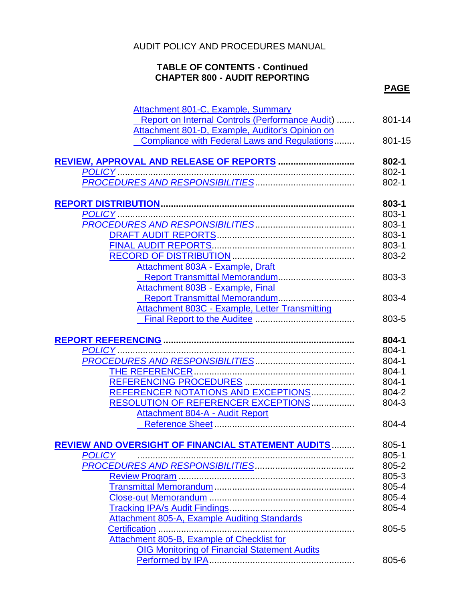#### **TABLE OF CONTENTS - Continued CHAPTER 800 - AUDIT REPORTING**

**PAGE**

<span id="page-91-3"></span><span id="page-91-2"></span><span id="page-91-1"></span><span id="page-91-0"></span>

| Attachment 801-C, Example, Summary                        |           |
|-----------------------------------------------------------|-----------|
| Report on Internal Controls (Performance Audit)           | 801-14    |
| Attachment 801-D, Example, Auditor's Opinion on           |           |
| Compliance with Federal Laws and Regulations              | 801-15    |
| <b>REVIEW, APPROVAL AND RELEASE OF REPORTS </b>           | 802-1     |
| POLICY                                                    | $802 - 1$ |
|                                                           | $802 - 1$ |
|                                                           | 803-1     |
| <b>POLICY</b>                                             | 803-1     |
|                                                           | 803-1     |
|                                                           | 803-1     |
|                                                           | 803-1     |
|                                                           | 803-2     |
| Attachment 803A - Example, Draft                          |           |
| Report Transmittal Memorandum                             | 803-3     |
| Attachment 803B - Example, Final                          |           |
| Report Transmittal Memorandum                             | 803-4     |
| Attachment 803C - Example, Letter Transmitting            |           |
|                                                           | 803-5     |
|                                                           | 804-1     |
|                                                           | 804-1     |
|                                                           | $804 - 1$ |
|                                                           | $804 - 1$ |
|                                                           | 804-1     |
| REFERENCER NOTATIONS AND EXCEPTIONS                       | 804-2     |
| RESOLUTION OF REFERENCER EXCEPTIONS                       | 804-3     |
| Attachment 804-A - Audit Report                           |           |
|                                                           | 804-4     |
|                                                           |           |
| <b>REVIEW AND OVERSIGHT OF FINANCIAL STATEMENT AUDITS</b> | 805-1     |
| <b>POLICY</b>                                             | 805-1     |
|                                                           | 805-2     |
|                                                           | 805-3     |
|                                                           | 805-4     |
|                                                           | 805-4     |
|                                                           | 805-4     |
| Attachment 805-A, Example Auditing Standards              |           |
|                                                           | 805-5     |
| Attachment 805-B, Example of Checklist for                |           |
| <b>OIG Monitoring of Financial Statement Audits</b>       |           |
|                                                           | 805-6     |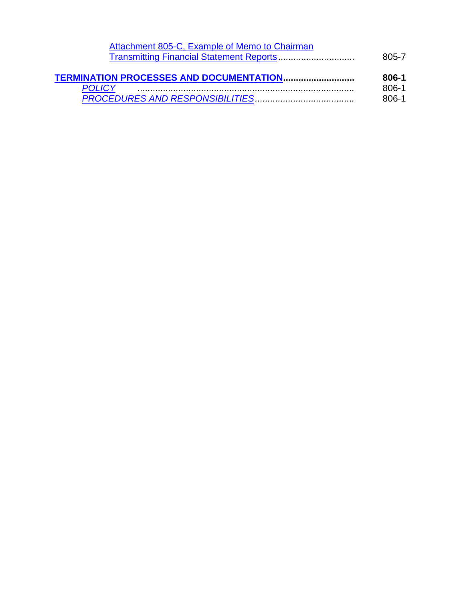<span id="page-92-0"></span>

|               | Attachment 805-C, Example of Memo to Chairman |       |
|---------------|-----------------------------------------------|-------|
|               |                                               | 805-7 |
|               |                                               |       |
|               |                                               |       |
|               |                                               | 806-1 |
| <b>POLICY</b> |                                               | 806-1 |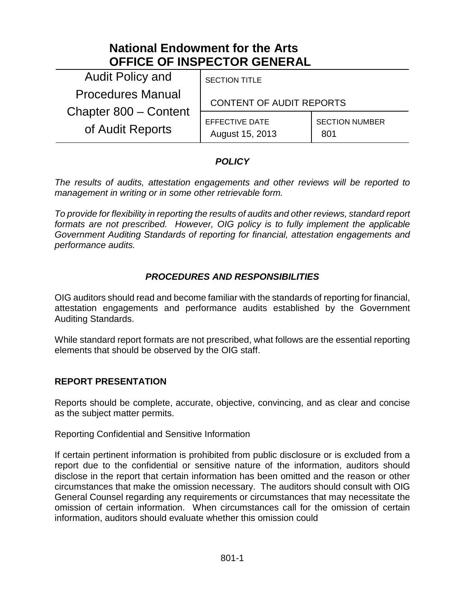# **National Endowment for the Arts OFFICE OF INSPECTOR GENERAL**

<span id="page-93-0"></span>

| <b>Audit Policy and</b>  | <b>SECTION TITLE</b>            |                       |
|--------------------------|---------------------------------|-----------------------|
| <b>Procedures Manual</b> | <b>CONTENT OF AUDIT REPORTS</b> |                       |
| Chapter 800 – Content    | EFFECTIVE DATE                  | <b>SECTION NUMBER</b> |
| of Audit Reports         | August 15, 2013                 | 801                   |

## <span id="page-93-1"></span>*POLICY*

*The results of audits, attestation engagements and other reviews will be reported to management in writing or in some other retrievable form.*

*To provide for flexibility in reporting the results of audits and other reviews, standard report*  formats are not prescribed. However, OIG policy is to fully implement the applicable *Government Auditing Standards of reporting for financial, attestation engagements and performance audits.*

### <span id="page-93-2"></span>*PROCEDURES AND RESPONSIBILITIES*

OIG auditors should read and become familiar with the standards of reporting for financial, attestation engagements and performance audits established by the Government Auditing Standards.

While standard report formats are not prescribed, what follows are the essential reporting elements that should be observed by the OIG staff.

### <span id="page-93-3"></span>**REPORT PRESENTATION**

Reports should be complete, accurate, objective, convincing, and as clear and concise as the subject matter permits.

Reporting Confidential and Sensitive Information

If certain pertinent information is prohibited from public disclosure or is excluded from a report due to the confidential or sensitive nature of the information, auditors should disclose in the report that certain information has been omitted and the reason or other circumstances that make the omission necessary. The auditors should consult with OIG General Counsel regarding any requirements or circumstances that may necessitate the omission of certain information. When circumstances call for the omission of certain information, auditors should evaluate whether this omission could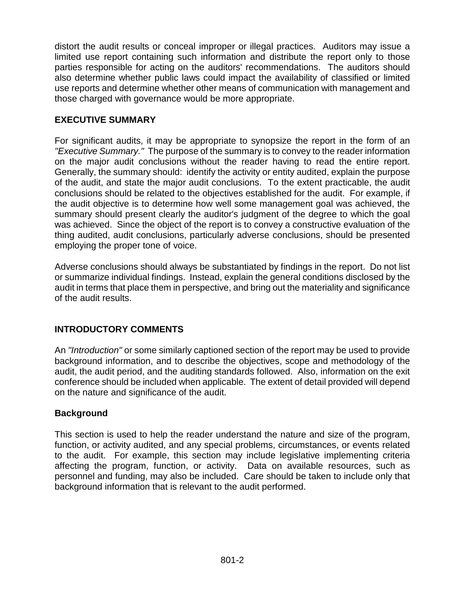distort the audit results or conceal improper or illegal practices. Auditors may issue a limited use report containing such information and distribute the report only to those parties responsible for acting on the auditors' recommendations. The auditors should also determine whether public laws could impact the availability of classified or limited use reports and determine whether other means of communication with management and those charged with governance would be more appropriate.

## <span id="page-94-0"></span>**EXECUTIVE SUMMARY**

For significant audits, it may be appropriate to synopsize the report in the form of an *"Executive Summary."* The purpose of the summary is to convey to the reader information on the major audit conclusions without the reader having to read the entire report. Generally, the summary should: identify the activity or entity audited, explain the purpose of the audit, and state the major audit conclusions. To the extent practicable, the audit conclusions should be related to the objectives established for the audit. For example, if the audit objective is to determine how well some management goal was achieved, the summary should present clearly the auditor's judgment of the degree to which the goal was achieved. Since the object of the report is to convey a constructive evaluation of the thing audited, audit conclusions, particularly adverse conclusions, should be presented employing the proper tone of voice.

Adverse conclusions should always be substantiated by findings in the report. Do not list or summarize individual findings. Instead, explain the general conditions disclosed by the audit in terms that place them in perspective, and bring out the materiality and significance of the audit results.

# <span id="page-94-1"></span>**INTRODUCTORY COMMENTS**

An *"Introduction"* or some similarly captioned section of the report may be used to provide background information, and to describe the objectives, scope and methodology of the audit, the audit period, and the auditing standards followed. Also, information on the exit conference should be included when applicable. The extent of detail provided will depend on the nature and significance of the audit.

# <span id="page-94-2"></span>**Background**

This section is used to help the reader understand the nature and size of the program, function, or activity audited, and any special problems, circumstances, or events related to the audit. For example, this section may include legislative implementing criteria affecting the program, function, or activity. Data on available resources, such as personnel and funding, may also be included. Care should be taken to include only that background information that is relevant to the audit performed.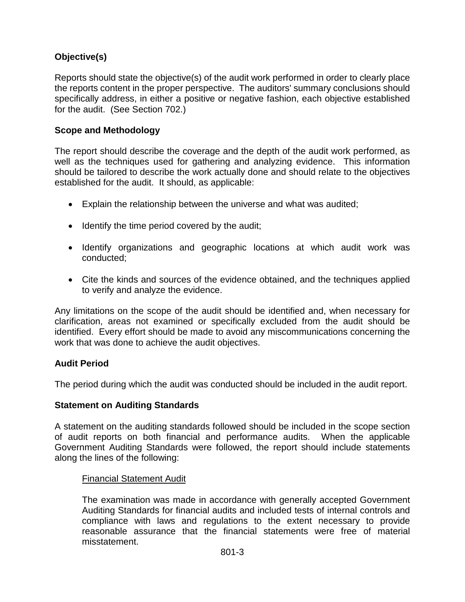## <span id="page-95-0"></span>**Objective(s)**

Reports should state the objective(s) of the audit work performed in order to clearly place the reports content in the proper perspective. The auditors' summary conclusions should specifically address, in either a positive or negative fashion, each objective established for the audit. (See Section 702.)

#### <span id="page-95-1"></span>**Scope and Methodology**

The report should describe the coverage and the depth of the audit work performed, as well as the techniques used for gathering and analyzing evidence. This information should be tailored to describe the work actually done and should relate to the objectives established for the audit. It should, as applicable:

- Explain the relationship between the universe and what was audited;
- Identify the time period covered by the audit;
- Identify organizations and geographic locations at which audit work was conducted;
- Cite the kinds and sources of the evidence obtained, and the techniques applied to verify and analyze the evidence.

Any limitations on the scope of the audit should be identified and, when necessary for clarification, areas not examined or specifically excluded from the audit should be identified. Every effort should be made to avoid any miscommunications concerning the work that was done to achieve the audit objectives.

#### <span id="page-95-2"></span>**Audit Period**

The period during which the audit was conducted should be included in the audit report.

#### <span id="page-95-3"></span>**Statement on Auditing Standards**

A statement on the auditing standards followed should be included in the scope section of audit reports on both financial and performance audits. When the applicable Government Auditing Standards were followed, the report should include statements along the lines of the following:

#### Financial Statement Audit

The examination was made in accordance with generally accepted Government Auditing Standards for financial audits and included tests of internal controls and compliance with laws and regulations to the extent necessary to provide reasonable assurance that the financial statements were free of material misstatement.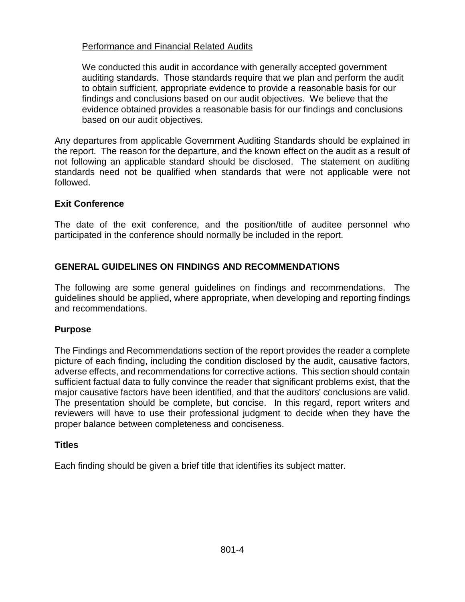## Performance and Financial Related Audits

We conducted this audit in accordance with generally accepted government auditing standards. Those standards require that we plan and perform the audit to obtain sufficient, appropriate evidence to provide a reasonable basis for our findings and conclusions based on our audit objectives. We believe that the evidence obtained provides a reasonable basis for our findings and conclusions based on our audit objectives.

Any departures from applicable Government Auditing Standards should be explained in the report. The reason for the departure, and the known effect on the audit as a result of not following an applicable standard should be disclosed. The statement on auditing standards need not be qualified when standards that were not applicable were not followed.

### <span id="page-96-0"></span>**Exit Conference**

The date of the exit conference, and the position/title of auditee personnel who participated in the conference should normally be included in the report.

# <span id="page-96-1"></span>**GENERAL GUIDELINES ON FINDINGS AND RECOMMENDATIONS**

The following are some general guidelines on findings and recommendations. The guidelines should be applied, where appropriate, when developing and reporting findings and recommendations.

### <span id="page-96-2"></span>**Purpose**

The Findings and Recommendations section of the report provides the reader a complete picture of each finding, including the condition disclosed by the audit, causative factors, adverse effects, and recommendations for corrective actions. This section should contain sufficient factual data to fully convince the reader that significant problems exist, that the major causative factors have been identified, and that the auditors' conclusions are valid. The presentation should be complete, but concise. In this regard, report writers and reviewers will have to use their professional judgment to decide when they have the proper balance between completeness and conciseness.

# <span id="page-96-3"></span>**Titles**

Each finding should be given a brief title that identifies its subject matter.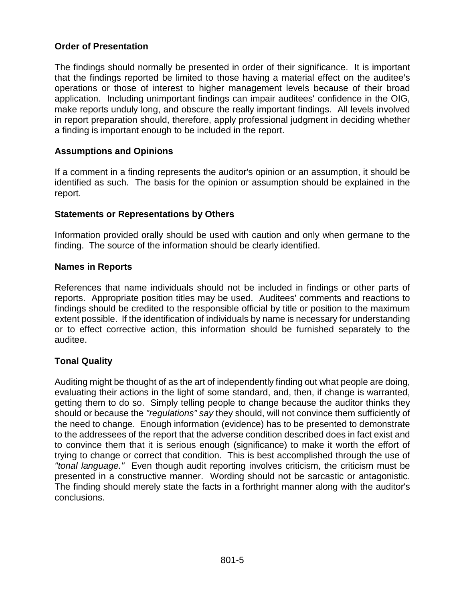#### <span id="page-97-0"></span>**Order of Presentation**

The findings should normally be presented in order of their significance. It is important that the findings reported be limited to those having a material effect on the auditee's operations or those of interest to higher management levels because of their broad application. Including unimportant findings can impair auditees' confidence in the OIG, make reports unduly long, and obscure the really important findings. All levels involved in report preparation should, therefore, apply professional judgment in deciding whether a finding is important enough to be included in the report.

#### <span id="page-97-1"></span>**Assumptions and Opinions**

If a comment in a finding represents the auditor's opinion or an assumption, it should be identified as such. The basis for the opinion or assumption should be explained in the report.

#### <span id="page-97-2"></span>**Statements or Representations by Others**

Information provided orally should be used with caution and only when germane to the finding. The source of the information should be clearly identified.

#### <span id="page-97-3"></span>**Names in Reports**

References that name individuals should not be included in findings or other parts of reports. Appropriate position titles may be used. Auditees' comments and reactions to findings should be credited to the responsible official by title or position to the maximum extent possible. If the identification of individuals by name is necessary for understanding or to effect corrective action, this information should be furnished separately to the auditee.

### <span id="page-97-4"></span>**Tonal Quality**

Auditing might be thought of as the art of independently finding out what people are doing, evaluating their actions in the light of some standard, and, then, if change is warranted, getting them to do so. Simply telling people to change because the auditor thinks they should or because the *"regulations" say* they should, will not convince them sufficiently of the need to change. Enough information (evidence) has to be presented to demonstrate to the addressees of the report that the adverse condition described does in fact exist and to convince them that it is serious enough (significance) to make it worth the effort of trying to change or correct that condition. This is best accomplished through the use of *"tonal language."* Even though audit reporting involves criticism, the criticism must be presented in a constructive manner. Wording should not be sarcastic or antagonistic. The finding should merely state the facts in a forthright manner along with the auditor's conclusions.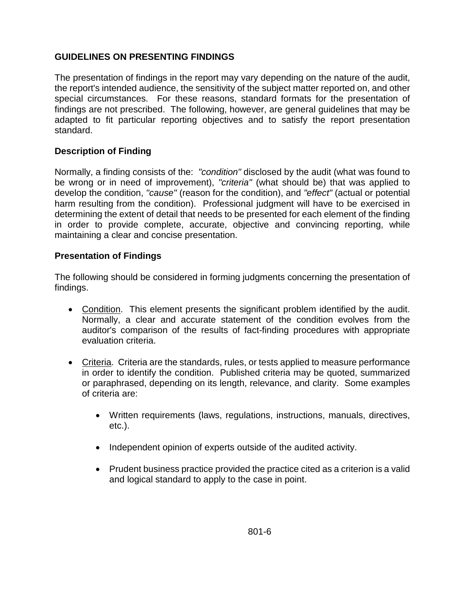## **GUIDELINES ON PRESENTING FINDINGS**

The presentation of findings in the report may vary depending on the nature of the audit, the report's intended audience, the sensitivity of the subject matter reported on, and other special circumstances. For these reasons, standard formats for the presentation of findings are not prescribed. The following, however, are general guidelines that may be adapted to fit particular reporting objectives and to satisfy the report presentation standard.

### <span id="page-98-0"></span>**Description of Finding**

Normally, a finding consists of the: *"condition"* disclosed by the audit (what was found to be wrong or in need of improvement), *"criteria"* (what should be) that was applied to develop the condition, *"cause"* (reason for the condition), and *"effect"* (actual or potential harm resulting from the condition). Professional judgment will have to be exercised in determining the extent of detail that needs to be presented for each element of the finding in order to provide complete, accurate, objective and convincing reporting, while maintaining a clear and concise presentation.

#### <span id="page-98-1"></span>**Presentation of Findings**

The following should be considered in forming judgments concerning the presentation of findings.

- Condition. This element presents the significant problem identified by the audit. Normally, a clear and accurate statement of the condition evolves from the auditor's comparison of the results of fact-finding procedures with appropriate evaluation criteria.
- Criteria. Criteria are the standards, rules, or tests applied to measure performance in order to identify the condition. Published criteria may be quoted, summarized or paraphrased, depending on its length, relevance, and clarity. Some examples of criteria are:
	- Written requirements (laws, regulations, instructions, manuals, directives, etc.).
	- Independent opinion of experts outside of the audited activity.
	- Prudent business practice provided the practice cited as a criterion is a valid and logical standard to apply to the case in point.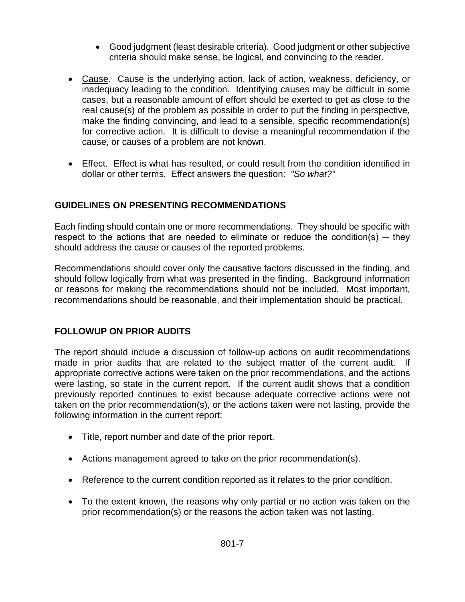- Good judgment (least desirable criteria). Good judgment or other subjective criteria should make sense, be logical, and convincing to the reader.
- Cause. Cause is the underlying action, lack of action, weakness, deficiency, or inadequacy leading to the condition. Identifying causes may be difficult in some cases, but a reasonable amount of effort should be exerted to get as close to the real cause(s) of the problem as possible in order to put the finding in perspective, make the finding convincing, and lead to a sensible, specific recommendation(s) for corrective action. It is difficult to devise a meaningful recommendation if the cause, or causes of a problem are not known.
- Effect. Effect is what has resulted, or could result from the condition identified in dollar or other terms. Effect answers the question: *"So what?"*

### <span id="page-99-0"></span>**GUIDELINES ON PRESENTING RECOMMENDATIONS**

Each finding should contain one or more recommendations. They should be specific with respect to the actions that are needed to eliminate or reduce the condition(s)  $-$  they should address the cause or causes of the reported problems.

Recommendations should cover only the causative factors discussed in the finding, and should follow logically from what was presented in the finding. Background information or reasons for making the recommendations should not be included. Most important, recommendations should be reasonable, and their implementation should be practical.

# <span id="page-99-1"></span>**FOLLOWUP ON PRIOR AUDITS**

The report should include a discussion of follow-up actions on audit recommendations made in prior audits that are related to the subject matter of the current audit. If appropriate corrective actions were taken on the prior recommendations, and the actions were lasting, so state in the current report. If the current audit shows that a condition previously reported continues to exist because adequate corrective actions were not taken on the prior recommendation(s), or the actions taken were not lasting, provide the following information in the current report:

- Title, report number and date of the prior report.
- Actions management agreed to take on the prior recommendation(s).
- Reference to the current condition reported as it relates to the prior condition.
- To the extent known, the reasons why only partial or no action was taken on the prior recommendation(s) or the reasons the action taken was not lasting.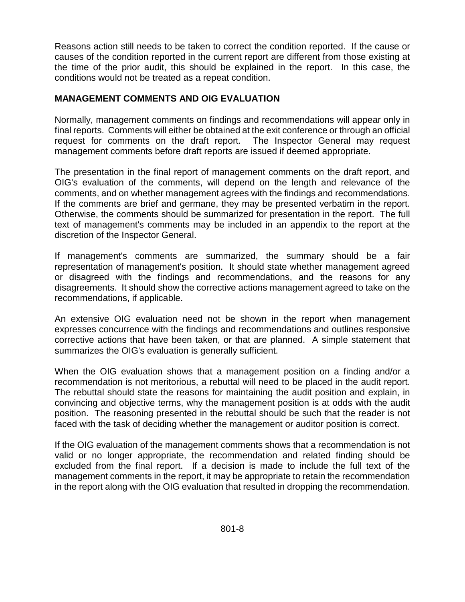Reasons action still needs to be taken to correct the condition reported. If the cause or causes of the condition reported in the current report are different from those existing at the time of the prior audit, this should be explained in the report. In this case, the conditions would not be treated as a repeat condition.

### <span id="page-100-0"></span>**MANAGEMENT COMMENTS AND OIG EVALUATION**

Normally, management comments on findings and recommendations will appear only in final reports. Comments will either be obtained at the exit conference or through an official request for comments on the draft report. The Inspector General may request management comments before draft reports are issued if deemed appropriate.

The presentation in the final report of management comments on the draft report, and OIG's evaluation of the comments, will depend on the length and relevance of the comments, and on whether management agrees with the findings and recommendations. If the comments are brief and germane, they may be presented verbatim in the report. Otherwise, the comments should be summarized for presentation in the report. The full text of management's comments may be included in an appendix to the report at the discretion of the Inspector General.

If management's comments are summarized, the summary should be a fair representation of management's position. It should state whether management agreed or disagreed with the findings and recommendations, and the reasons for any disagreements. It should show the corrective actions management agreed to take on the recommendations, if applicable.

An extensive OIG evaluation need not be shown in the report when management expresses concurrence with the findings and recommendations and outlines responsive corrective actions that have been taken, or that are planned. A simple statement that summarizes the OIG's evaluation is generally sufficient.

When the OIG evaluation shows that a management position on a finding and/or a recommendation is not meritorious, a rebuttal will need to be placed in the audit report. The rebuttal should state the reasons for maintaining the audit position and explain, in convincing and objective terms, why the management position is at odds with the audit position. The reasoning presented in the rebuttal should be such that the reader is not faced with the task of deciding whether the management or auditor position is correct.

If the OIG evaluation of the management comments shows that a recommendation is not valid or no longer appropriate, the recommendation and related finding should be excluded from the final report. If a decision is made to include the full text of the management comments in the report, it may be appropriate to retain the recommendation in the report along with the OIG evaluation that resulted in dropping the recommendation.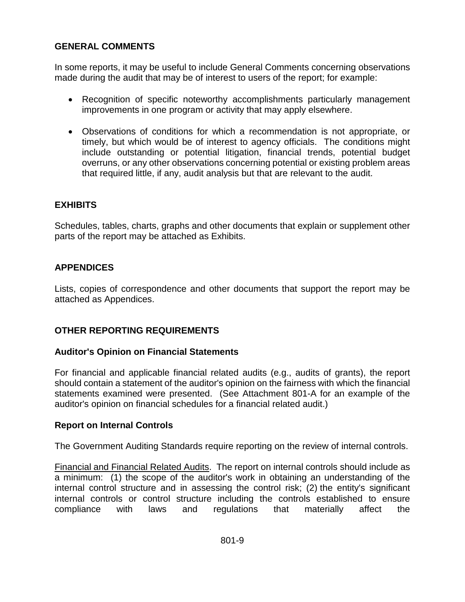## <span id="page-101-0"></span>**GENERAL COMMENTS**

In some reports, it may be useful to include General Comments concerning observations made during the audit that may be of interest to users of the report; for example:

- Recognition of specific noteworthy accomplishments particularly management improvements in one program or activity that may apply elsewhere.
- Observations of conditions for which a recommendation is not appropriate, or timely, but which would be of interest to agency officials. The conditions might include outstanding or potential litigation, financial trends, potential budget overruns, or any other observations concerning potential or existing problem areas that required little, if any, audit analysis but that are relevant to the audit.

# <span id="page-101-1"></span>**EXHIBITS**

Schedules, tables, charts, graphs and other documents that explain or supplement other parts of the report may be attached as Exhibits.

# <span id="page-101-2"></span>**APPENDICES**

Lists, copies of correspondence and other documents that support the report may be attached as Appendices.

### <span id="page-101-3"></span>**OTHER REPORTING REQUIREMENTS**

### <span id="page-101-4"></span>**Auditor's Opinion on Financial Statements**

For financial and applicable financial related audits (e.g., audits of grants), the report should contain a statement of the auditor's opinion on the fairness with which the financial statements examined were presented. (See Attachment 801-A for an example of the auditor's opinion on financial schedules for a financial related audit.)

### <span id="page-101-5"></span>**Report on Internal Controls**

The Government Auditing Standards require reporting on the review of internal controls.

Financial and Financial Related Audits. The report on internal controls should include as a minimum: (1) the scope of the auditor's work in obtaining an understanding of the internal control structure and in assessing the control risk; (2) the entity's significant internal controls or control structure including the controls established to ensure compliance with laws and regulations that materially affect the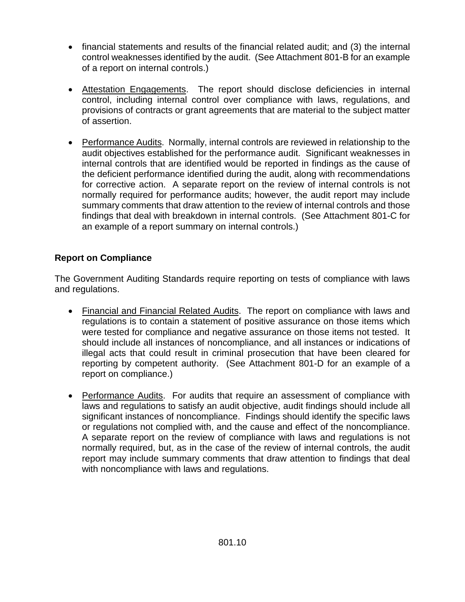- financial statements and results of the financial related audit; and (3) the internal control weaknesses identified by the audit. (See Attachment 801-B for an example of a report on internal controls.)
- Attestation Engagements. The report should disclose deficiencies in internal control, including internal control over compliance with laws, regulations, and provisions of contracts or grant agreements that are material to the subject matter of assertion.
- Performance Audits. Normally, internal controls are reviewed in relationship to the audit objectives established for the performance audit. Significant weaknesses in internal controls that are identified would be reported in findings as the cause of the deficient performance identified during the audit, along with recommendations for corrective action. A separate report on the review of internal controls is not normally required for performance audits; however, the audit report may include summary comments that draw attention to the review of internal controls and those findings that deal with breakdown in internal controls. (See Attachment 801-C for an example of a report summary on internal controls.)

## <span id="page-102-0"></span>**Report on Compliance**

The Government Auditing Standards require reporting on tests of compliance with laws and regulations.

- Financial and Financial Related Audits. The report on compliance with laws and regulations is to contain a statement of positive assurance on those items which were tested for compliance and negative assurance on those items not tested. It should include all instances of noncompliance, and all instances or indications of illegal acts that could result in criminal prosecution that have been cleared for reporting by competent authority. (See Attachment 801-D for an example of a report on compliance.)
- Performance Audits. For audits that require an assessment of compliance with laws and regulations to satisfy an audit objective, audit findings should include all significant instances of noncompliance. Findings should identify the specific laws or regulations not complied with, and the cause and effect of the noncompliance. A separate report on the review of compliance with laws and regulations is not normally required, but, as in the case of the review of internal controls, the audit report may include summary comments that draw attention to findings that deal with noncompliance with laws and regulations.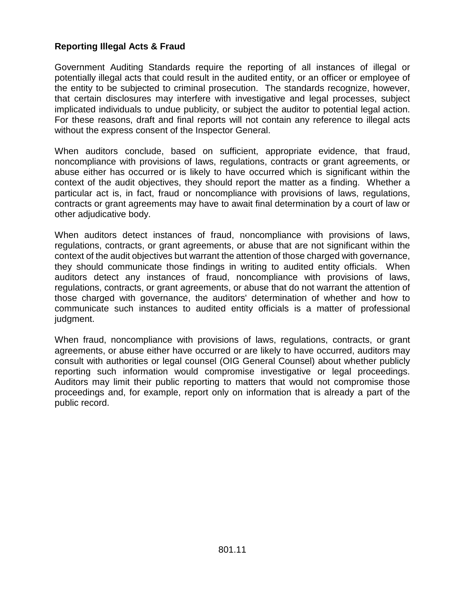## <span id="page-103-0"></span>**Reporting Illegal Acts & Fraud**

Government Auditing Standards require the reporting of all instances of illegal or potentially illegal acts that could result in the audited entity, or an officer or employee of the entity to be subjected to criminal prosecution. The standards recognize, however, that certain disclosures may interfere with investigative and legal processes, subject implicated individuals to undue publicity, or subject the auditor to potential legal action. For these reasons, draft and final reports will not contain any reference to illegal acts without the express consent of the Inspector General.

When auditors conclude, based on sufficient, appropriate evidence, that fraud, noncompliance with provisions of laws, regulations, contracts or grant agreements, or abuse either has occurred or is likely to have occurred which is significant within the context of the audit objectives, they should report the matter as a finding. Whether a particular act is, in fact, fraud or noncompliance with provisions of laws, regulations, contracts or grant agreements may have to await final determination by a court of law or other adjudicative body.

When auditors detect instances of fraud, noncompliance with provisions of laws, regulations, contracts, or grant agreements, or abuse that are not significant within the context of the audit objectives but warrant the attention of those charged with governance, they should communicate those findings in writing to audited entity officials. When auditors detect any instances of fraud, noncompliance with provisions of laws, regulations, contracts, or grant agreements, or abuse that do not warrant the attention of those charged with governance, the auditors' determination of whether and how to communicate such instances to audited entity officials is a matter of professional judgment.

When fraud, noncompliance with provisions of laws, regulations, contracts, or grant agreements, or abuse either have occurred or are likely to have occurred, auditors may consult with authorities or legal counsel (OIG General Counsel) about whether publicly reporting such information would compromise investigative or legal proceedings. Auditors may limit their public reporting to matters that would not compromise those proceedings and, for example, report only on information that is already a part of the public record.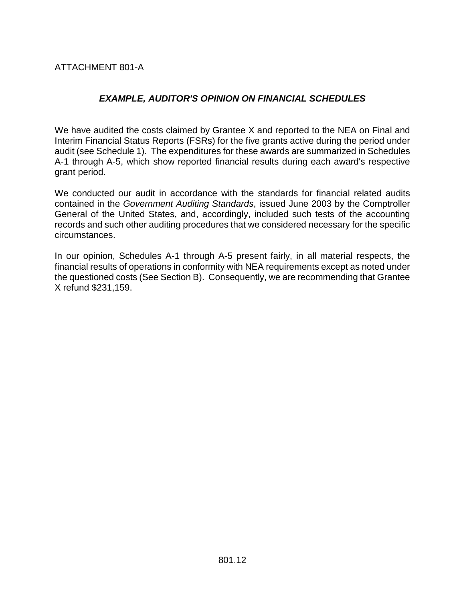#### <span id="page-104-0"></span>ATTACHMENT 801-A

#### *EXAMPLE, AUDITOR'S OPINION ON FINANCIAL SCHEDULES*

We have audited the costs claimed by Grantee X and reported to the NEA on Final and Interim Financial Status Reports (FSRs) for the five grants active during the period under audit (see Schedule 1). The expenditures for these awards are summarized in Schedules A-1 through A-5, which show reported financial results during each award's respective grant period.

We conducted our audit in accordance with the standards for financial related audits contained in the *Government Auditing Standards*, issued June 2003 by the Comptroller General of the United States, and, accordingly, included such tests of the accounting records and such other auditing procedures that we considered necessary for the specific circumstances.

In our opinion, Schedules A-1 through A-5 present fairly, in all material respects, the financial results of operations in conformity with NEA requirements except as noted under the questioned costs (See Section B). Consequently, we are recommending that Grantee X refund \$231,159.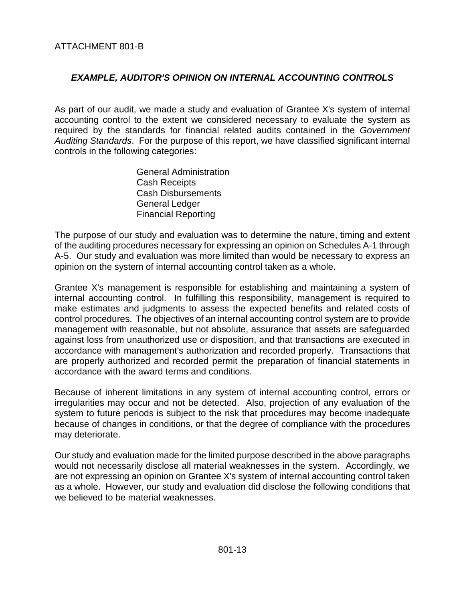### <span id="page-105-0"></span>*EXAMPLE, AUDITOR'S OPINION ON INTERNAL ACCOUNTING CONTROLS*

As part of our audit, we made a study and evaluation of Grantee X's system of internal accounting control to the extent we considered necessary to evaluate the system as required by the standards for financial related audits contained in the *Government Auditing Standards*. For the purpose of this report, we have classified significant internal controls in the following categories:

> General Administration Cash Receipts Cash Disbursements General Ledger Financial Reporting

The purpose of our study and evaluation was to determine the nature, timing and extent of the auditing procedures necessary for expressing an opinion on Schedules A-1 through A-5. Our study and evaluation was more limited than would be necessary to express an opinion on the system of internal accounting control taken as a whole.

Grantee X's management is responsible for establishing and maintaining a system of internal accounting control. In fulfilling this responsibility, management is required to make estimates and judgments to assess the expected benefits and related costs of control procedures. The objectives of an internal accounting control system are to provide management with reasonable, but not absolute, assurance that assets are safeguarded against loss from unauthorized use or disposition, and that transactions are executed in accordance with management's authorization and recorded properly. Transactions that are properly authorized and recorded permit the preparation of financial statements in accordance with the award terms and conditions.

Because of inherent limitations in any system of internal accounting control, errors or irregularities may occur and not be detected. Also, projection of any evaluation of the system to future periods is subject to the risk that procedures may become inadequate because of changes in conditions, or that the degree of compliance with the procedures may deteriorate.

Our study and evaluation made for the limited purpose described in the above paragraphs would not necessarily disclose all material weaknesses in the system. Accordingly, we are not expressing an opinion on Grantee X's system of internal accounting control taken as a whole. However, our study and evaluation did disclose the following conditions that we believed to be material weaknesses.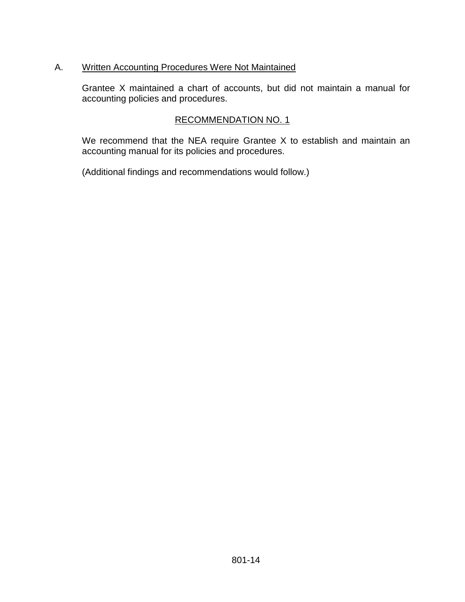#### A. Written Accounting Procedures Were Not Maintained

Grantee X maintained a chart of accounts, but did not maintain a manual for accounting policies and procedures.

## RECOMMENDATION NO. 1

We recommend that the NEA require Grantee X to establish and maintain an accounting manual for its policies and procedures.

(Additional findings and recommendations would follow.)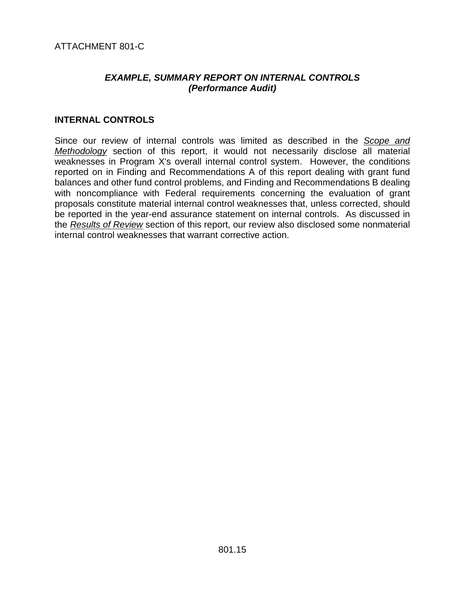#### <span id="page-107-0"></span>*EXAMPLE, SUMMARY REPORT ON INTERNAL CONTROLS (Performance Audit)*

#### **INTERNAL CONTROLS**

Since our review of internal controls was limited as described in the *Scope and Methodology* section of this report, it would not necessarily disclose all material weaknesses in Program X's overall internal control system. However, the conditions reported on in Finding and Recommendations A of this report dealing with grant fund balances and other fund control problems, and Finding and Recommendations B dealing with noncompliance with Federal requirements concerning the evaluation of grant proposals constitute material internal control weaknesses that, unless corrected, should be reported in the year-end assurance statement on internal controls. As discussed in the *Results of Review* section of this report, our review also disclosed some nonmaterial internal control weaknesses that warrant corrective action.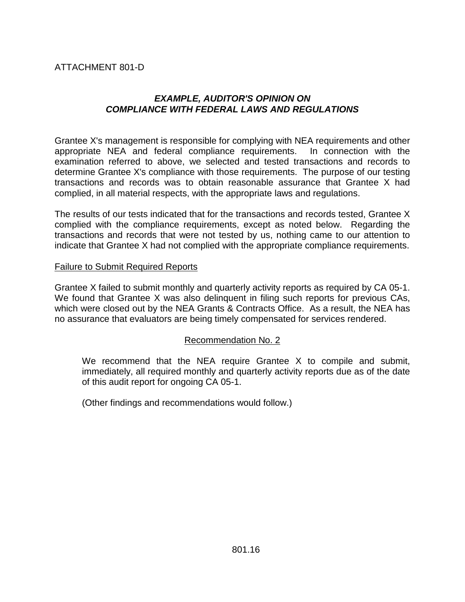# ATTACHMENT 801-D

#### *EXAMPLE, AUDITOR'S OPINION ON COMPLIANCE WITH FEDERAL LAWS AND REGULATIONS*

Grantee X's management is responsible for complying with NEA requirements and other appropriate NEA and federal compliance requirements. In connection with the examination referred to above, we selected and tested transactions and records to determine Grantee X's compliance with those requirements. The purpose of our testing transactions and records was to obtain reasonable assurance that Grantee X had complied, in all material respects, with the appropriate laws and regulations.

The results of our tests indicated that for the transactions and records tested, Grantee X complied with the compliance requirements, except as noted below. Regarding the transactions and records that were not tested by us, nothing came to our attention to indicate that Grantee X had not complied with the appropriate compliance requirements.

#### Failure to Submit Required Reports

Grantee X failed to submit monthly and quarterly activity reports as required by CA 05-1. We found that Grantee X was also delinguent in filing such reports for previous CAs, which were closed out by the NEA Grants & Contracts Office. As a result, the NEA has no assurance that evaluators are being timely compensated for services rendered.

#### Recommendation No. 2

We recommend that the NEA require Grantee X to compile and submit, immediately, all required monthly and quarterly activity reports due as of the date of this audit report for ongoing CA 05-1.

(Other findings and recommendations would follow.)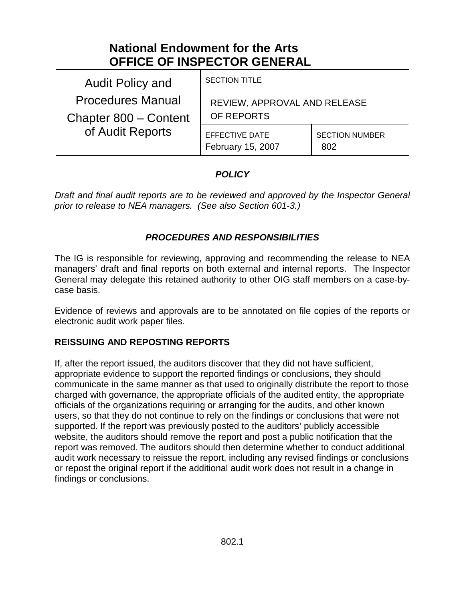# **National Endowment for the Arts OFFICE OF INSPECTOR GENERAL**

| <b>Audit Policy and</b>                           | <b>SECTION TITLE</b>                       |                              |  |  |
|---------------------------------------------------|--------------------------------------------|------------------------------|--|--|
| <b>Procedures Manual</b><br>Chapter 800 – Content | REVIEW, APPROVAL AND RELEASE<br>OF REPORTS |                              |  |  |
| of Audit Reports                                  | <b>EFFECTIVE DATE</b><br>February 15, 2007 | <b>SECTION NUMBER</b><br>802 |  |  |

# *POLICY*

*Draft and final audit reports are to be reviewed and approved by the Inspector General prior to release to NEA managers. (See also Section 601-3.)*

# *PROCEDURES AND RESPONSIBILITIES*

The IG is responsible for reviewing, approving and recommending the release to NEA managers' draft and final reports on both external and internal reports. The Inspector General may delegate this retained authority to other OIG staff members on a case-bycase basis.

Evidence of reviews and approvals are to be annotated on file copies of the reports or electronic audit work paper files.

# **REISSUING AND REPOSTING REPORTS**

If, after the report issued, the auditors discover that they did not have sufficient, appropriate evidence to support the reported findings or conclusions, they should communicate in the same manner as that used to originally distribute the report to those charged with governance, the appropriate officials of the audited entity, the appropriate officials of the organizations requiring or arranging for the audits, and other known users, so that they do not continue to rely on the findings or conclusions that were not supported. If the report was previously posted to the auditors' publicly accessible website, the auditors should remove the report and post a public notification that the report was removed. The auditors should then determine whether to conduct additional audit work necessary to reissue the report, including any revised findings or conclusions or repost the original report if the additional audit work does not result in a change in findings or conclusions.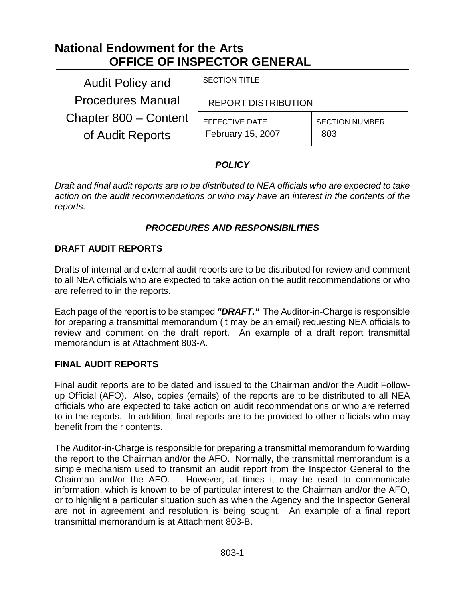# **National Endowment for the Arts OFFICE OF INSPECTOR GENERAL**

| <b>Audit Policy and</b>  | <b>SECTION TITLE</b>       |                       |  |  |
|--------------------------|----------------------------|-----------------------|--|--|
| <b>Procedures Manual</b> | <b>REPORT DISTRIBUTION</b> |                       |  |  |
| Chapter 800 – Content    | <b>EFFECTIVE DATE</b>      | <b>SECTION NUMBER</b> |  |  |
| of Audit Reports         | February 15, 2007<br>803   |                       |  |  |

# *POLICY*

*Draft and final audit reports are to be distributed to NEA officials who are expected to take action on the audit recommendations or who may have an interest in the contents of the reports.*

# *PROCEDURES AND RESPONSIBILITIES*

# **DRAFT AUDIT REPORTS**

Drafts of internal and external audit reports are to be distributed for review and comment to all NEA officials who are expected to take action on the audit recommendations or who are referred to in the reports.

Each page of the report is to be stamped *"DRAFT."* The Auditor-in-Charge is responsible for preparing a transmittal memorandum (it may be an email) requesting NEA officials to review and comment on the draft report. An example of a draft report transmittal memorandum is at Attachment 803-A.

## **FINAL AUDIT REPORTS**

Final audit reports are to be dated and issued to the Chairman and/or the Audit Followup Official (AFO). Also, copies (emails) of the reports are to be distributed to all NEA officials who are expected to take action on audit recommendations or who are referred to in the reports. In addition, final reports are to be provided to other officials who may benefit from their contents.

The Auditor-in-Charge is responsible for preparing a transmittal memorandum forwarding the report to the Chairman and/or the AFO. Normally, the transmittal memorandum is a simple mechanism used to transmit an audit report from the Inspector General to the Chairman and/or the AFO. However, at times it may be used to communicate information, which is known to be of particular interest to the Chairman and/or the AFO, or to highlight a particular situation such as when the Agency and the Inspector General are not in agreement and resolution is being sought. An example of a final report transmittal memorandum is at Attachment 803-B.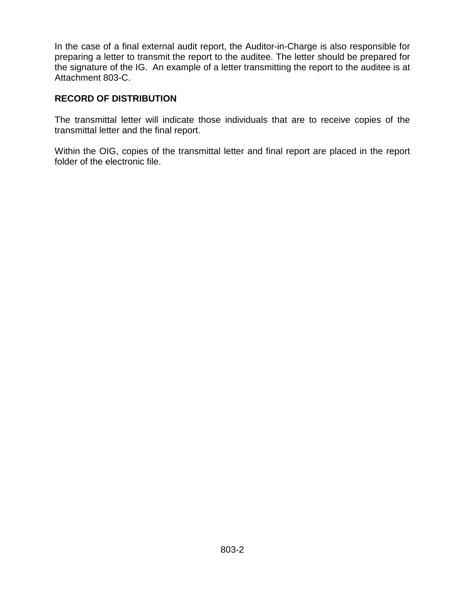In the case of a final external audit report, the Auditor-in-Charge is also responsible for preparing a letter to transmit the report to the auditee. The letter should be prepared for the signature of the IG. An example of a letter transmitting the report to the auditee is at Attachment 803-C.

# **RECORD OF DISTRIBUTION**

The transmittal letter will indicate those individuals that are to receive copies of the transmittal letter and the final report.

Within the OIG, copies of the transmittal letter and final report are placed in the report folder of the electronic file.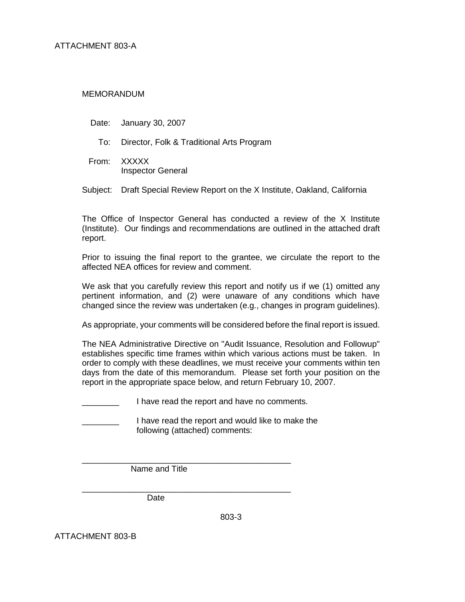#### MEMORANDUM

- Date: January 30, 2007
	- To: Director, Folk & Traditional Arts Program
- From: XXXXX Inspector General

Subject: Draft Special Review Report on the X Institute, Oakland, California

The Office of Inspector General has conducted a review of the X Institute (Institute). Our findings and recommendations are outlined in the attached draft report.

Prior to issuing the final report to the grantee, we circulate the report to the affected NEA offices for review and comment.

We ask that you carefully review this report and notify us if we (1) omitted any pertinent information, and (2) were unaware of any conditions which have changed since the review was undertaken (e.g., changes in program guidelines).

As appropriate, your comments will be considered before the final report is issued.

The NEA Administrative Directive on "Audit Issuance, Resolution and Followup" establishes specific time frames within which various actions must be taken. In order to comply with these deadlines, we must receive your comments within ten days from the date of this memorandum. Please set forth your position on the report in the appropriate space below, and return February 10, 2007.

I have read the report and have no comments.

I have read the report and would like to make the following (attached) comments:

\_\_\_\_\_\_\_\_\_\_\_\_\_\_\_\_\_\_\_\_\_\_\_\_\_\_\_\_\_\_\_\_\_\_\_\_\_\_\_\_\_\_\_\_\_ Name and Title

\_\_\_\_\_\_\_\_\_\_\_\_\_\_\_\_\_\_\_\_\_\_\_\_\_\_\_\_\_\_\_\_\_\_\_\_\_\_\_\_\_\_\_\_\_ Date

803-3

ATTACHMENT 803-B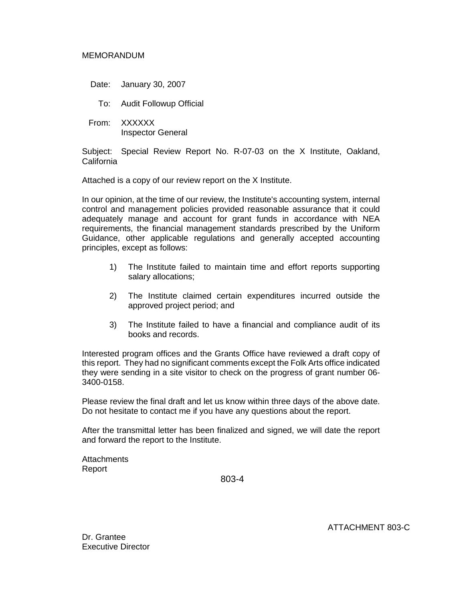#### **MEMORANDUM**

Date: January 30, 2007

To: Audit Followup Official

From: XXXXXX Inspector General

Subject: Special Review Report No. R-07-03 on the X Institute, Oakland, California

Attached is a copy of our review report on the X Institute.

In our opinion, at the time of our review, the Institute's accounting system, internal control and management policies provided reasonable assurance that it could adequately manage and account for grant funds in accordance with NEA requirements, the financial management standards prescribed by the Uniform Guidance, other applicable regulations and generally accepted accounting principles, except as follows:

- 1) The Institute failed to maintain time and effort reports supporting salary allocations;
- 2) The Institute claimed certain expenditures incurred outside the approved project period; and
- 3) The Institute failed to have a financial and compliance audit of its books and records.

Interested program offices and the Grants Office have reviewed a draft copy of this report. They had no significant comments except the Folk Arts office indicated they were sending in a site visitor to check on the progress of grant number 06- 3400-0158.

Please review the final draft and let us know within three days of the above date. Do not hesitate to contact me if you have any questions about the report.

After the transmittal letter has been finalized and signed, we will date the report and forward the report to the Institute.

**Attachments** Report

803-4

Dr. Grantee Executive Director ATTACHMENT 803-C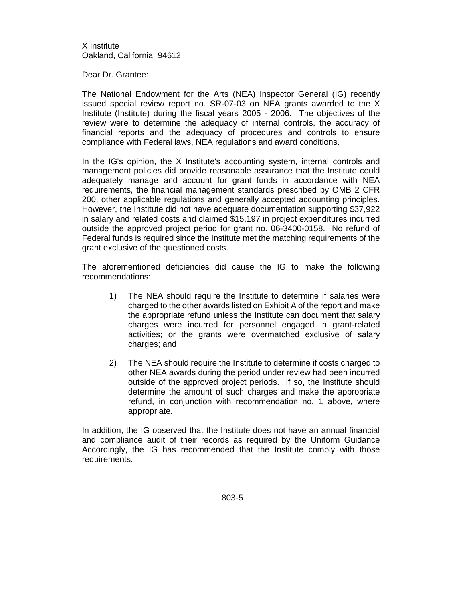X Institute Oakland, California 94612

Dear Dr. Grantee:

The National Endowment for the Arts (NEA) Inspector General (IG) recently issued special review report no. SR-07-03 on NEA grants awarded to the X Institute (Institute) during the fiscal years 2005 - 2006. The objectives of the review were to determine the adequacy of internal controls, the accuracy of financial reports and the adequacy of procedures and controls to ensure compliance with Federal laws, NEA regulations and award conditions.

In the IG's opinion, the X Institute's accounting system, internal controls and management policies did provide reasonable assurance that the Institute could adequately manage and account for grant funds in accordance with NEA requirements, the financial management standards prescribed by OMB 2 CFR 200, other applicable regulations and generally accepted accounting principles. However, the Institute did not have adequate documentation supporting \$37,922 in salary and related costs and claimed \$15,197 in project expenditures incurred outside the approved project period for grant no. 06-3400-0158. No refund of Federal funds is required since the Institute met the matching requirements of the grant exclusive of the questioned costs.

The aforementioned deficiencies did cause the IG to make the following recommendations:

- 1) The NEA should require the Institute to determine if salaries were charged to the other awards listed on Exhibit A of the report and make the appropriate refund unless the Institute can document that salary charges were incurred for personnel engaged in grant-related activities; or the grants were overmatched exclusive of salary charges; and
- 2) The NEA should require the Institute to determine if costs charged to other NEA awards during the period under review had been incurred outside of the approved project periods. If so, the Institute should determine the amount of such charges and make the appropriate refund, in conjunction with recommendation no. 1 above, where appropriate.

In addition, the IG observed that the Institute does not have an annual financial and compliance audit of their records as required by the Uniform Guidance Accordingly, the IG has recommended that the Institute comply with those requirements.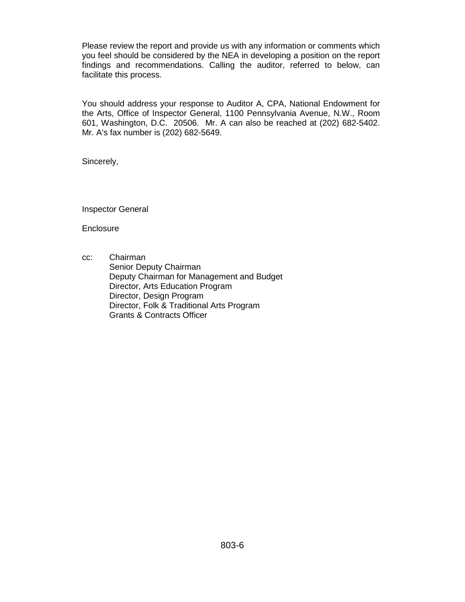Please review the report and provide us with any information or comments which you feel should be considered by the NEA in developing a position on the report findings and recommendations. Calling the auditor, referred to below, can facilitate this process.

You should address your response to Auditor A, CPA, National Endowment for the Arts, Office of Inspector General, 1100 Pennsylvania Avenue, N.W., Room 601, Washington, D.C. 20506. Mr. A can also be reached at (202) 682-5402. Mr. A's fax number is (202) 682-5649.

Sincerely,

Inspector General

**Enclosure** 

cc: Chairman Senior Deputy Chairman Deputy Chairman for Management and Budget Director, Arts Education Program Director, Design Program Director, Folk & Traditional Arts Program Grants & Contracts Officer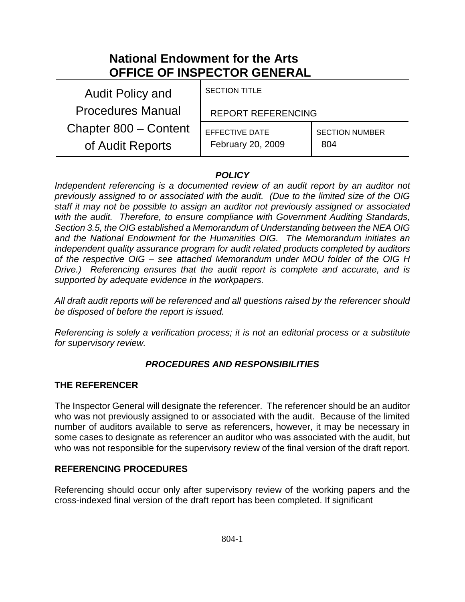# **National Endowment for the Arts OFFICE OF INSPECTOR GENERAL**

| <b>Audit Policy and</b>  | <b>SECTION TITLE</b>                           |     |  |  |  |
|--------------------------|------------------------------------------------|-----|--|--|--|
| <b>Procedures Manual</b> | <b>REPORT REFERENCING</b>                      |     |  |  |  |
| Chapter 800 – Content    | <b>EFFECTIVE DATE</b><br><b>SECTION NUMBER</b> |     |  |  |  |
| of Audit Reports         | February 20, 2009                              | 804 |  |  |  |

# *POLICY*

*Independent referencing is a documented review of an audit report by an auditor not previously assigned to or associated with the audit. (Due to the limited size of the OIG staff it may not be possible to assign an auditor not previously assigned or associated with the audit. Therefore, to ensure compliance with Government Auditing Standards, Section 3.5, the OIG established a Memorandum of Understanding between the NEA OIG and the National Endowment for the Humanities OIG. The Memorandum initiates an independent quality assurance program for audit related products completed by auditors of the respective OIG – see attached Memorandum under MOU folder of the OIG H Drive.) Referencing ensures that the audit report is complete and accurate, and is supported by adequate evidence in the workpapers.*

*All draft audit reports will be referenced and all questions raised by the referencer should be disposed of before the report is issued.*

*Referencing is solely a verification process; it is not an editorial process or a substitute for supervisory review.*

# *PROCEDURES AND RESPONSIBILITIES*

## **THE REFERENCER**

The Inspector General will designate the referencer. The referencer should be an auditor who was not previously assigned to or associated with the audit. Because of the limited number of auditors available to serve as referencers, however, it may be necessary in some cases to designate as referencer an auditor who was associated with the audit, but who was not responsible for the supervisory review of the final version of the draft report.

# **REFERENCING PROCEDURES**

Referencing should occur only after supervisory review of the working papers and the cross-indexed final version of the draft report has been completed. If significant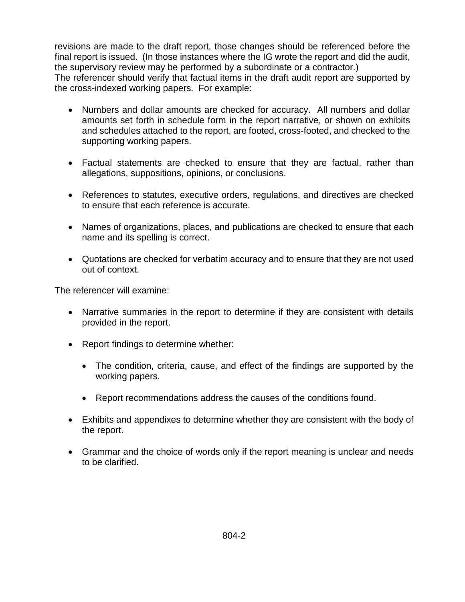revisions are made to the draft report, those changes should be referenced before the final report is issued. (In those instances where the IG wrote the report and did the audit, the supervisory review may be performed by a subordinate or a contractor.) The referencer should verify that factual items in the draft audit report are supported by the cross-indexed working papers. For example:

- Numbers and dollar amounts are checked for accuracy. All numbers and dollar amounts set forth in schedule form in the report narrative, or shown on exhibits and schedules attached to the report, are footed, cross-footed, and checked to the supporting working papers.
- Factual statements are checked to ensure that they are factual, rather than allegations, suppositions, opinions, or conclusions.
- References to statutes, executive orders, regulations, and directives are checked to ensure that each reference is accurate.
- Names of organizations, places, and publications are checked to ensure that each name and its spelling is correct.
- Quotations are checked for verbatim accuracy and to ensure that they are not used out of context.

The referencer will examine:

- Narrative summaries in the report to determine if they are consistent with details provided in the report.
- Report findings to determine whether:
	- The condition, criteria, cause, and effect of the findings are supported by the working papers.
	- Report recommendations address the causes of the conditions found.
- Exhibits and appendixes to determine whether they are consistent with the body of the report.
- Grammar and the choice of words only if the report meaning is unclear and needs to be clarified.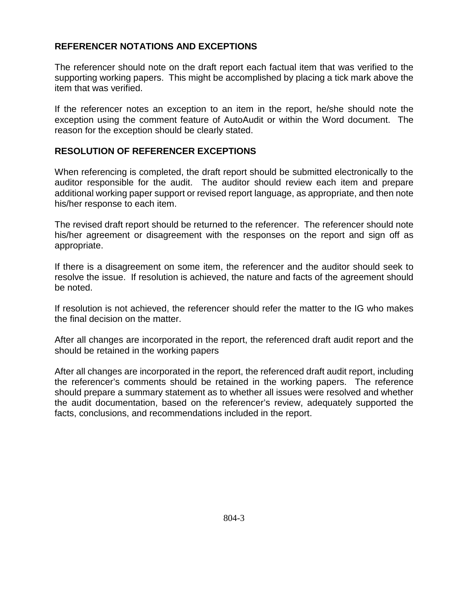#### **REFERENCER NOTATIONS AND EXCEPTIONS**

The referencer should note on the draft report each factual item that was verified to the supporting working papers. This might be accomplished by placing a tick mark above the item that was verified.

If the referencer notes an exception to an item in the report, he/she should note the exception using the comment feature of AutoAudit or within the Word document. The reason for the exception should be clearly stated.

#### **RESOLUTION OF REFERENCER EXCEPTIONS**

When referencing is completed, the draft report should be submitted electronically to the auditor responsible for the audit. The auditor should review each item and prepare additional working paper support or revised report language, as appropriate, and then note his/her response to each item.

The revised draft report should be returned to the referencer. The referencer should note his/her agreement or disagreement with the responses on the report and sign off as appropriate.

If there is a disagreement on some item, the referencer and the auditor should seek to resolve the issue. If resolution is achieved, the nature and facts of the agreement should be noted.

If resolution is not achieved, the referencer should refer the matter to the IG who makes the final decision on the matter.

After all changes are incorporated in the report, the referenced draft audit report and the should be retained in the working papers

After all changes are incorporated in the report, the referenced draft audit report, including the referencer's comments should be retained in the working papers. The reference should prepare a summary statement as to whether all issues were resolved and whether the audit documentation, based on the referencer's review, adequately supported the facts, conclusions, and recommendations included in the report.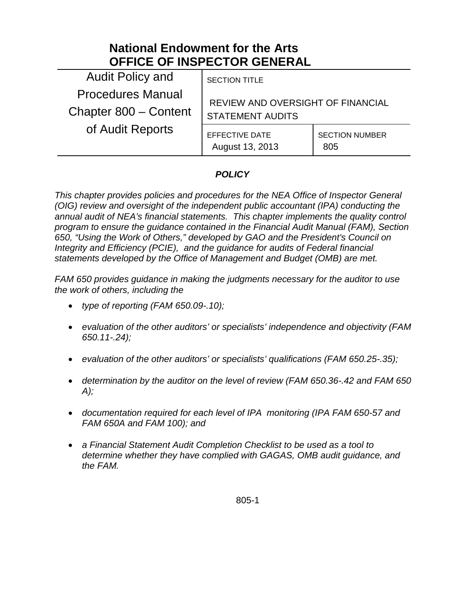# **National Endowment for the Arts OFFICE OF INSPECTOR GENERAL**

| <b>Audit Policy and</b>                           | <b>SECTION TITLE</b>                                         |                              |  |  |  |
|---------------------------------------------------|--------------------------------------------------------------|------------------------------|--|--|--|
| <b>Procedures Manual</b><br>Chapter 800 – Content | REVIEW AND OVERSIGHT OF FINANCIAL<br><b>STATEMENT AUDITS</b> |                              |  |  |  |
| of Audit Reports                                  | <b>EFFECTIVE DATE</b><br>August 13, 2013                     | <b>SECTION NUMBER</b><br>805 |  |  |  |

# *POLICY*

*This chapter provides policies and procedures for the NEA Office of Inspector General (OIG) review and oversight of the independent public accountant (IPA) conducting the annual audit of NEA's financial statements. This chapter implements the quality control program to ensure the guidance contained in the Financial Audit Manual (FAM), Section 650, "Using the Work of Others," developed by GAO and the President's Council on Integrity and Efficiency (PCIE), and the guidance for audits of Federal financial statements developed by the Office of Management and Budget (OMB) are met.*

*FAM 650 provides guidance in making the judgments necessary for the auditor to use the work of others, including the* 

- *type of reporting (FAM 650.09-.10);*
- *evaluation of the other auditors' or specialists' independence and objectivity (FAM 650.11-.24);*
- *evaluation of the other auditors' or specialists' qualifications (FAM 650.25-.35);*
- *determination by the auditor on the level of review (FAM 650.36-.42 and FAM 650 A);*
- *documentation required for each level of IPA monitoring (IPA FAM 650-57 and FAM 650A and FAM 100); and*
- *a Financial Statement Audit Completion Checklist to be used as a tool to determine whether they have complied with GAGAS, OMB audit guidance, and the FAM.*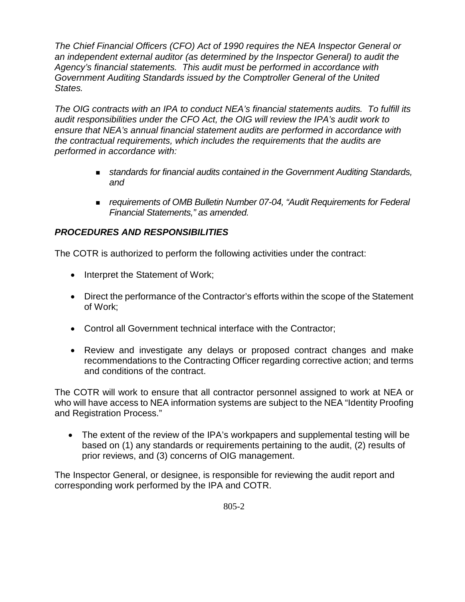*The Chief Financial Officers (CFO) Act of 1990 requires the NEA Inspector General or an independent external auditor (as determined by the Inspector General) to audit the Agency's financial statements. This audit must be performed in accordance with Government Auditing Standards issued by the Comptroller General of the United States.* 

*The OIG contracts with an IPA to conduct NEA's financial statements audits. To fulfill its audit responsibilities under the CFO Act, the OIG will review the IPA's audit work to ensure that NEA's annual financial statement audits are performed in accordance with the contractual requirements, which includes the requirements that the audits are performed in accordance with:*

- *standards for financial audits contained in the Government Auditing Standards, and*
- *requirements of OMB Bulletin Number 07-04, "Audit Requirements for Federal Financial Statements," as amended.*

# *PROCEDURES AND RESPONSIBILITIES*

The COTR is authorized to perform the following activities under the contract:

- Interpret the Statement of Work;
- Direct the performance of the Contractor's efforts within the scope of the Statement of Work;
- Control all Government technical interface with the Contractor;
- Review and investigate any delays or proposed contract changes and make recommendations to the Contracting Officer regarding corrective action; and terms and conditions of the contract.

The COTR will work to ensure that all contractor personnel assigned to work at NEA or who will have access to NEA information systems are subject to the NEA "Identity Proofing and Registration Process."

• The extent of the review of the IPA's workpapers and supplemental testing will be based on (1) any standards or requirements pertaining to the audit, (2) results of prior reviews, and (3) concerns of OIG management.

The Inspector General, or designee, is responsible for reviewing the audit report and corresponding work performed by the IPA and COTR.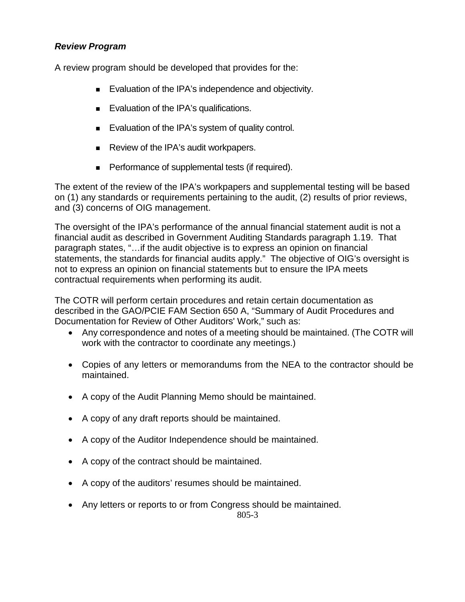# *Review Program*

A review program should be developed that provides for the:

- Evaluation of the IPA's independence and objectivity.
- **Exaluation of the IPA's qualifications.**
- Evaluation of the IPA's system of quality control.
- Review of the IPA's audit workpapers.
- **Performance of supplemental tests (if required).**

The extent of the review of the IPA's workpapers and supplemental testing will be based on (1) any standards or requirements pertaining to the audit, (2) results of prior reviews, and (3) concerns of OIG management.

The oversight of the IPA's performance of the annual financial statement audit is not a financial audit as described in Government Auditing Standards paragraph 1.19. That paragraph states, "…if the audit objective is to express an opinion on financial statements, the standards for financial audits apply." The objective of OIG's oversight is not to express an opinion on financial statements but to ensure the IPA meets contractual requirements when performing its audit.

The COTR will perform certain procedures and retain certain documentation as described in the GAO/PCIE FAM Section 650 A, "Summary of Audit Procedures and Documentation for Review of Other Auditors' Work," such as:

- Any correspondence and notes of a meeting should be maintained. (The COTR will work with the contractor to coordinate any meetings.)
- Copies of any letters or memorandums from the NEA to the contractor should be maintained.
- A copy of the Audit Planning Memo should be maintained.
- A copy of any draft reports should be maintained.
- A copy of the Auditor Independence should be maintained.
- A copy of the contract should be maintained.
- A copy of the auditors' resumes should be maintained.
- Any letters or reports to or from Congress should be maintained.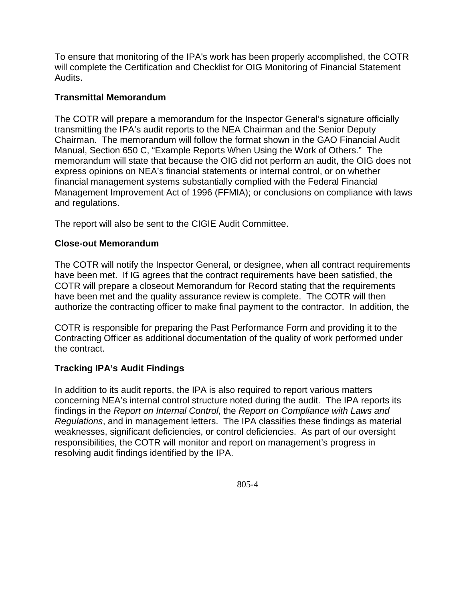To ensure that monitoring of the IPA's work has been properly accomplished, the COTR will complete the Certification and Checklist for OIG Monitoring of Financial Statement Audits.

# **Transmittal Memorandum**

The COTR will prepare a memorandum for the Inspector General's signature officially transmitting the IPA's audit reports to the NEA Chairman and the Senior Deputy Chairman. The memorandum will follow the format shown in the GAO Financial Audit Manual, Section 650 C, "Example Reports When Using the Work of Others." The memorandum will state that because the OIG did not perform an audit, the OIG does not express opinions on NEA's financial statements or internal control, or on whether financial management systems substantially complied with the Federal Financial Management Improvement Act of 1996 (FFMIA); or conclusions on compliance with laws and regulations.

The report will also be sent to the CIGIE Audit Committee.

# **Close-out Memorandum**

The COTR will notify the Inspector General, or designee, when all contract requirements have been met. If IG agrees that the contract requirements have been satisfied, the COTR will prepare a closeout Memorandum for Record stating that the requirements have been met and the quality assurance review is complete. The COTR will then authorize the contracting officer to make final payment to the contractor. In addition, the

COTR is responsible for preparing the Past Performance Form and providing it to the Contracting Officer as additional documentation of the quality of work performed under the contract.

# **Tracking IPA's Audit Findings**

In addition to its audit reports, the IPA is also required to report various matters concerning NEA's internal control structure noted during the audit. The IPA reports its findings in the *Report on Internal Control*, the *Report on Compliance with Laws and Regulations*, and in management letters. The IPA classifies these findings as material weaknesses, significant deficiencies, or control deficiencies. As part of our oversight responsibilities, the COTR will monitor and report on management's progress in resolving audit findings identified by the IPA.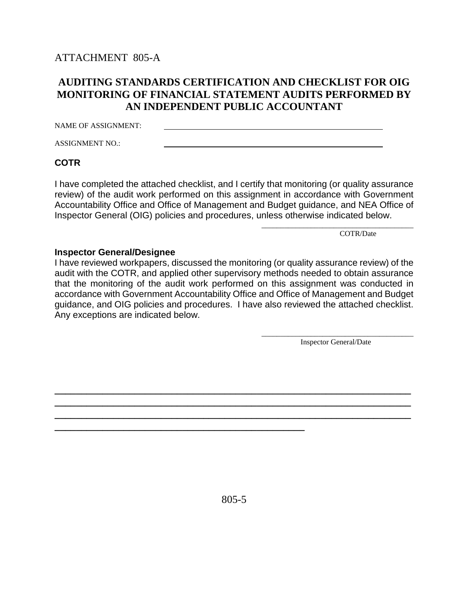# ATTACHMENT 805-A

# **AUDITING STANDARDS CERTIFICATION AND CHECKLIST FOR OIG MONITORING OF FINANCIAL STATEMENT AUDITS PERFORMED BY AN INDEPENDENT PUBLIC ACCOUNTANT**

NAME OF ASSIGNMENT:

ASSIGNMENT NO.:

#### **COTR**

I have completed the attached checklist, and I certify that monitoring (or quality assurance review) of the audit work performed on this assignment in accordance with Government Accountability Office and Office of Management and Budget guidance, and NEA Office of Inspector General (OIG) policies and procedures, unless otherwise indicated below.

> \_\_\_\_\_\_\_\_\_\_\_\_\_\_\_\_\_\_\_\_\_\_\_\_\_\_\_\_\_\_\_\_\_\_\_\_\_\_\_\_ COTR/Date

#### **Inspector General/Designee**

I have reviewed workpapers, discussed the monitoring (or quality assurance review) of the audit with the COTR, and applied other supervisory methods needed to obtain assurance that the monitoring of the audit work performed on this assignment was conducted in accordance with Government Accountability Office and Office of Management and Budget guidance, and OIG policies and procedures. I have also reviewed the attached checklist. Any exceptions are indicated below.

**\_\_\_\_\_\_\_\_\_\_\_\_\_\_\_\_\_\_\_\_\_\_\_\_\_\_\_\_\_\_\_\_\_\_\_\_\_\_\_\_\_\_\_\_\_\_\_\_\_\_\_\_\_\_\_\_\_\_\_\_\_\_\_\_\_\_\_ \_\_\_\_\_\_\_\_\_\_\_\_\_\_\_\_\_\_\_\_\_\_\_\_\_\_\_\_\_\_\_\_\_\_\_\_\_\_\_\_\_\_\_\_\_\_\_\_\_\_\_\_\_\_\_\_\_\_\_\_\_\_\_\_\_\_\_ \_\_\_\_\_\_\_\_\_\_\_\_\_\_\_\_\_\_\_\_\_\_\_\_\_\_\_\_\_\_\_\_\_\_\_\_\_\_\_\_\_\_\_\_\_\_\_\_\_\_\_\_\_\_\_\_\_\_\_\_\_\_\_\_\_\_\_**

**\_\_\_\_\_\_\_\_\_\_\_\_\_\_\_\_\_\_\_\_\_\_\_\_\_\_\_\_\_\_\_\_\_\_\_\_\_\_\_\_\_\_\_\_\_\_\_**

\_\_\_\_\_\_\_\_\_\_\_\_\_\_\_\_\_\_\_\_\_\_\_\_\_\_\_\_\_\_\_\_\_\_\_\_\_\_\_\_ Inspector General/Date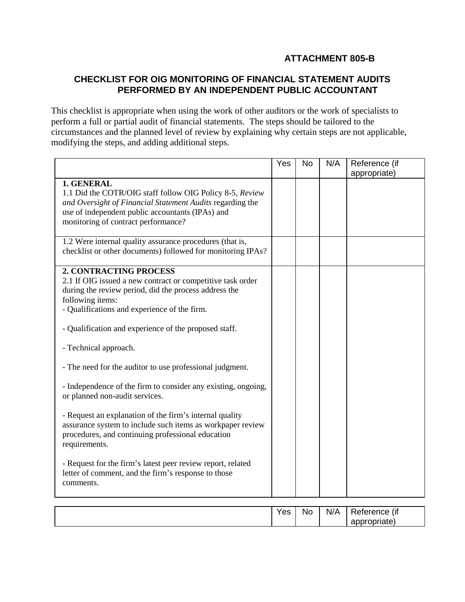# **ATTACHMENT 805-B**

#### **CHECKLIST FOR OIG MONITORING OF FINANCIAL STATEMENT AUDITS PERFORMED BY AN INDEPENDENT PUBLIC ACCOUNTANT**

This checklist is appropriate when using the work of other auditors or the work of specialists to perform a full or partial audit of financial statements. The steps should be tailored to the circumstances and the planned level of review by explaining why certain steps are not applicable, modifying the steps, and adding additional steps.

| appropriate)<br>1. GENERAL<br>1.1 Did the COTR/OIG staff follow OIG Policy 8-5, Review<br>and Oversight of Financial Statement Audits regarding the<br>use of independent public accountants (IPAs) and<br>monitoring of contract performance?<br>1.2 Were internal quality assurance procedures (that is,<br>checklist or other documents) followed for monitoring IPAs?<br>2. CONTRACTING PROCESS<br>2.1 If OIG issued a new contract or competitive task order<br>during the review period, did the process address the<br>following items:<br>- Qualifications and experience of the firm.<br>- Qualification and experience of the proposed staff.<br>- Technical approach.<br>- The need for the auditor to use professional judgment.<br>- Independence of the firm to consider any existing, ongoing,<br>or planned non-audit services.<br>- Request an explanation of the firm's internal quality<br>assurance system to include such items as workpaper review<br>procedures, and continuing professional education<br>requirements.<br>- Request for the firm's latest peer review report, related<br>letter of comment, and the firm's response to those<br>comments. | Yes | <b>No</b> | N/A | Reference (if |
|-----------------------------------------------------------------------------------------------------------------------------------------------------------------------------------------------------------------------------------------------------------------------------------------------------------------------------------------------------------------------------------------------------------------------------------------------------------------------------------------------------------------------------------------------------------------------------------------------------------------------------------------------------------------------------------------------------------------------------------------------------------------------------------------------------------------------------------------------------------------------------------------------------------------------------------------------------------------------------------------------------------------------------------------------------------------------------------------------------------------------------------------------------------------------------------|-----|-----------|-----|---------------|
|                                                                                                                                                                                                                                                                                                                                                                                                                                                                                                                                                                                                                                                                                                                                                                                                                                                                                                                                                                                                                                                                                                                                                                                   |     |           |     |               |
|                                                                                                                                                                                                                                                                                                                                                                                                                                                                                                                                                                                                                                                                                                                                                                                                                                                                                                                                                                                                                                                                                                                                                                                   |     |           |     |               |
|                                                                                                                                                                                                                                                                                                                                                                                                                                                                                                                                                                                                                                                                                                                                                                                                                                                                                                                                                                                                                                                                                                                                                                                   |     |           |     |               |
|                                                                                                                                                                                                                                                                                                                                                                                                                                                                                                                                                                                                                                                                                                                                                                                                                                                                                                                                                                                                                                                                                                                                                                                   |     |           |     |               |

| . .<br>Yes | No | N/A | $\cdots$<br>$-+$ - $-$ noo' $-$<br>eterence (if<br>w |
|------------|----|-----|------------------------------------------------------|
|            |    |     | appropriate)                                         |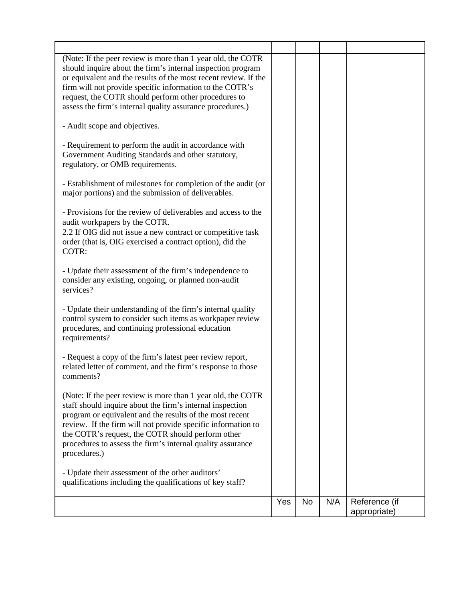| (Note: If the peer review is more than 1 year old, the COTR<br>should inquire about the firm's internal inspection program<br>or equivalent and the results of the most recent review. If the<br>firm will not provide specific information to the COTR's<br>request, the COTR should perform other procedures to<br>assess the firm's internal quality assurance procedures.)<br>- Audit scope and objectives.<br>- Requirement to perform the audit in accordance with<br>Government Auditing Standards and other statutory,<br>regulatory, or OMB requirements. |     |           |     |                               |
|--------------------------------------------------------------------------------------------------------------------------------------------------------------------------------------------------------------------------------------------------------------------------------------------------------------------------------------------------------------------------------------------------------------------------------------------------------------------------------------------------------------------------------------------------------------------|-----|-----------|-----|-------------------------------|
| - Establishment of milestones for completion of the audit (or<br>major portions) and the submission of deliverables.                                                                                                                                                                                                                                                                                                                                                                                                                                               |     |           |     |                               |
| - Provisions for the review of deliverables and access to the<br>audit workpapers by the COTR.                                                                                                                                                                                                                                                                                                                                                                                                                                                                     |     |           |     |                               |
| 2.2 If OIG did not issue a new contract or competitive task<br>order (that is, OIG exercised a contract option), did the<br>COTR:                                                                                                                                                                                                                                                                                                                                                                                                                                  |     |           |     |                               |
| - Update their assessment of the firm's independence to<br>consider any existing, ongoing, or planned non-audit<br>services?                                                                                                                                                                                                                                                                                                                                                                                                                                       |     |           |     |                               |
| - Update their understanding of the firm's internal quality<br>control system to consider such items as workpaper review<br>procedures, and continuing professional education<br>requirements?                                                                                                                                                                                                                                                                                                                                                                     |     |           |     |                               |
| - Request a copy of the firm's latest peer review report,<br>related letter of comment, and the firm's response to those<br>comments?                                                                                                                                                                                                                                                                                                                                                                                                                              |     |           |     |                               |
| (Note: If the peer review is more than 1 year old, the COTR<br>staff should inquire about the firm's internal inspection<br>program or equivalent and the results of the most recent<br>review. If the firm will not provide specific information to<br>the COTR's request, the COTR should perform other<br>procedures to assess the firm's internal quality assurance<br>procedures.)                                                                                                                                                                            |     |           |     |                               |
| - Update their assessment of the other auditors'<br>qualifications including the qualifications of key staff?                                                                                                                                                                                                                                                                                                                                                                                                                                                      |     |           |     |                               |
|                                                                                                                                                                                                                                                                                                                                                                                                                                                                                                                                                                    | Yes | <b>No</b> | N/A | Reference (if<br>appropriate) |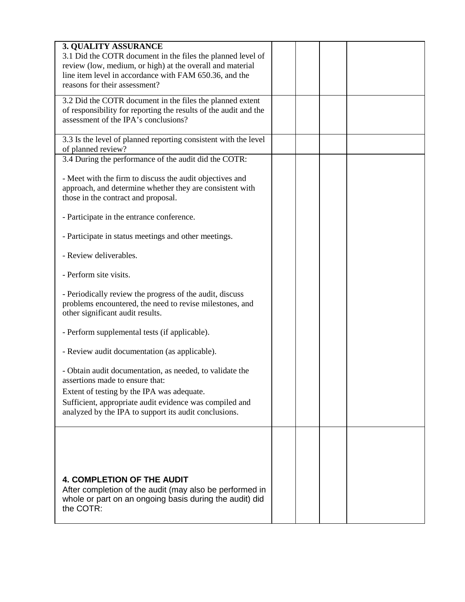| 3. QUALITY ASSURANCE<br>3.1 Did the COTR document in the files the planned level of<br>review (low, medium, or high) at the overall and material<br>line item level in accordance with FAM 650.36, and the<br>reasons for their assessment? |  |  |
|---------------------------------------------------------------------------------------------------------------------------------------------------------------------------------------------------------------------------------------------|--|--|
| 3.2 Did the COTR document in the files the planned extent<br>of responsibility for reporting the results of the audit and the<br>assessment of the IPA's conclusions?                                                                       |  |  |
| 3.3 Is the level of planned reporting consistent with the level<br>of planned review?                                                                                                                                                       |  |  |
| 3.4 During the performance of the audit did the COTR:                                                                                                                                                                                       |  |  |
| - Meet with the firm to discuss the audit objectives and<br>approach, and determine whether they are consistent with<br>those in the contract and proposal.                                                                                 |  |  |
| - Participate in the entrance conference.                                                                                                                                                                                                   |  |  |
| - Participate in status meetings and other meetings.                                                                                                                                                                                        |  |  |
| - Review deliverables.                                                                                                                                                                                                                      |  |  |
| - Perform site visits.                                                                                                                                                                                                                      |  |  |
| - Periodically review the progress of the audit, discuss<br>problems encountered, the need to revise milestones, and<br>other significant audit results.                                                                                    |  |  |
| - Perform supplemental tests (if applicable).                                                                                                                                                                                               |  |  |
| - Review audit documentation (as applicable).                                                                                                                                                                                               |  |  |
| - Obtain audit documentation, as needed, to validate the<br>assertions made to ensure that:                                                                                                                                                 |  |  |
| Extent of testing by the IPA was adequate.                                                                                                                                                                                                  |  |  |
| Sufficient, appropriate audit evidence was compiled and<br>analyzed by the IPA to support its audit conclusions.                                                                                                                            |  |  |
|                                                                                                                                                                                                                                             |  |  |
|                                                                                                                                                                                                                                             |  |  |
|                                                                                                                                                                                                                                             |  |  |
| <b>4. COMPLETION OF THE AUDIT</b><br>After completion of the audit (may also be performed in<br>whole or part on an ongoing basis during the audit) did<br>the COTR:                                                                        |  |  |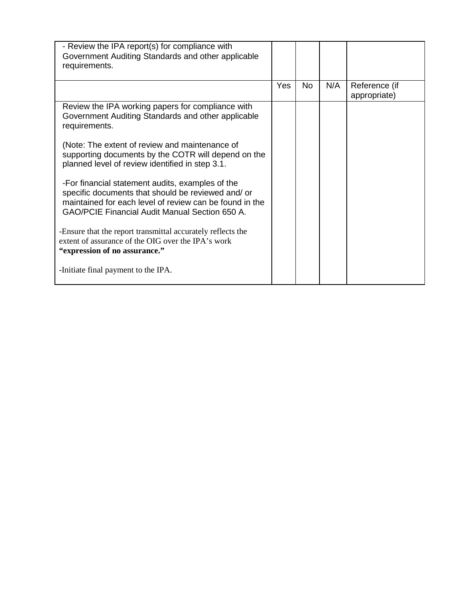| - Review the IPA report(s) for compliance with<br>Government Auditing Standards and other applicable<br>requirements.                                                                                               |     |    |     |                               |
|---------------------------------------------------------------------------------------------------------------------------------------------------------------------------------------------------------------------|-----|----|-----|-------------------------------|
|                                                                                                                                                                                                                     | Yes | No | N/A | Reference (if<br>appropriate) |
| Review the IPA working papers for compliance with<br>Government Auditing Standards and other applicable<br>requirements.                                                                                            |     |    |     |                               |
| (Note: The extent of review and maintenance of<br>supporting documents by the COTR will depend on the<br>planned level of review identified in step 3.1.                                                            |     |    |     |                               |
| -For financial statement audits, examples of the<br>specific documents that should be reviewed and/ or<br>maintained for each level of review can be found in the<br>GAO/PCIE Financial Audit Manual Section 650 A. |     |    |     |                               |
| -Ensure that the report transmittal accurately reflects the<br>extent of assurance of the OIG over the IPA's work<br>"expression of no assurance."                                                                  |     |    |     |                               |
| -Initiate final payment to the IPA.                                                                                                                                                                                 |     |    |     |                               |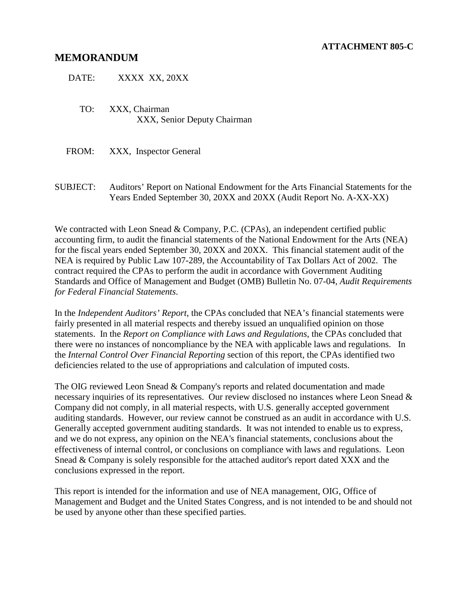#### **ATTACHMENT 805-C**

#### **MEMORANDUM**

DATE: XXXX XX, 20XX

- TO: XXX, Chairman XXX, Senior Deputy Chairman
- FROM: XXX, Inspector General
- SUBJECT: Auditors' Report on National Endowment for the Arts Financial Statements for the Years Ended September 30, 20XX and 20XX (Audit Report No. A-XX-XX)

We contracted with Leon Snead & Company, P.C. (CPAs), an independent certified public accounting firm, to audit the financial statements of the National Endowment for the Arts (NEA) for the fiscal years ended September 30, 20XX and 20XX. This financial statement audit of the NEA is required by Public Law 107-289, the Accountability of Tax Dollars Act of 2002. The contract required the CPAs to perform the audit in accordance with Government Auditing Standards and Office of Management and Budget (OMB) Bulletin No. 07-04, *Audit Requirements for Federal Financial Statements*.

In the *Independent Auditors' Report*, the CPAs concluded that NEA's financial statements were fairly presented in all material respects and thereby issued an unqualified opinion on those statements. In the *Report on Compliance with Laws and Regulations,* the CPAs concluded that there were no instances of noncompliance by the NEA with applicable laws and regulations.In the *Internal Control Over Financial Reporting* section of this report, the CPAs identified two deficiencies related to the use of appropriations and calculation of imputed costs.

The OIG reviewed Leon Snead & Company's reports and related documentation and made necessary inquiries of its representatives. Our review disclosed no instances where Leon Snead & Company did not comply, in all material respects, with U.S. generally accepted government auditing standards. However, our review cannot be construed as an audit in accordance with U.S. Generally accepted government auditing standards. It was not intended to enable us to express, and we do not express, any opinion on the NEA's financial statements, conclusions about the effectiveness of internal control, or conclusions on compliance with laws and regulations. Leon Snead & Company is solely responsible for the attached auditor's report dated XXX and the conclusions expressed in the report.

This report is intended for the information and use of NEA management, OIG, Office of Management and Budget and the United States Congress, and is not intended to be and should not be used by anyone other than these specified parties.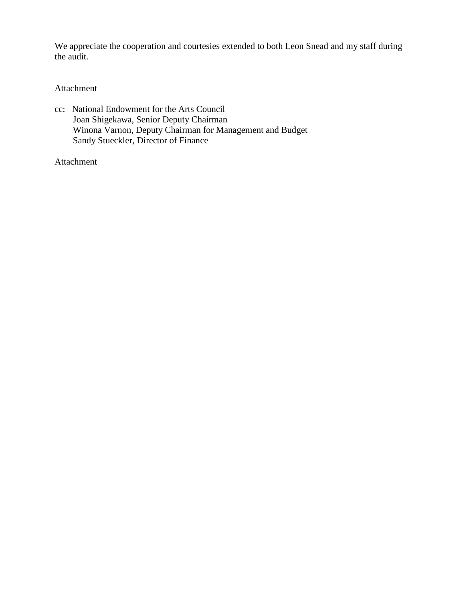We appreciate the cooperation and courtesies extended to both Leon Snead and my staff during the audit.

#### Attachment

cc: National Endowment for the Arts Council Joan Shigekawa, Senior Deputy Chairman Winona Varnon, Deputy Chairman for Management and Budget Sandy Stueckler, Director of Finance

#### Attachment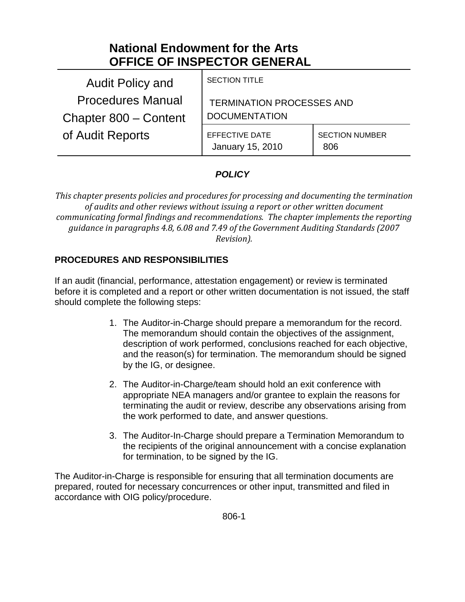# **National Endowment for the Arts OFFICE OF INSPECTOR GENERAL**

| <b>Audit Policy and</b>  | <b>SECTION TITLE</b>                                     |                              |  |  |
|--------------------------|----------------------------------------------------------|------------------------------|--|--|
| <b>Procedures Manual</b> | <b>TERMINATION PROCESSES AND</b><br><b>DOCUMENTATION</b> |                              |  |  |
| Chapter 800 – Content    |                                                          |                              |  |  |
| of Audit Reports         | <b>EFFECTIVE DATE</b><br>January 15, 2010                | <b>SECTION NUMBER</b><br>806 |  |  |

# *POLICY*

*This chapter presents policies and procedures for processing and documenting the termination of audits and other reviews without issuing a report or other written document communicating formal findings and recommendations. The chapter implements the reporting guidance in paragraphs 4.8, 6.08 and 7.49 of the Government Auditing Standards (2007 Revision).*

# **PROCEDURES AND RESPONSIBILITIES**

If an audit (financial, performance, attestation engagement) or review is terminated before it is completed and a report or other written documentation is not issued, the staff should complete the following steps:

- 1. The Auditor-in-Charge should prepare a memorandum for the record. The memorandum should contain the objectives of the assignment, description of work performed, conclusions reached for each objective, and the reason(s) for termination. The memorandum should be signed by the IG, or designee.
- 2. The Auditor-in-Charge/team should hold an exit conference with appropriate NEA managers and/or grantee to explain the reasons for terminating the audit or review, describe any observations arising from the work performed to date, and answer questions.
- 3. The Auditor-In-Charge should prepare a Termination Memorandum to the recipients of the original announcement with a concise explanation for termination, to be signed by the IG.

The Auditor-in-Charge is responsible for ensuring that all termination documents are prepared, routed for necessary concurrences or other input, transmitted and filed in accordance with OIG policy/procedure.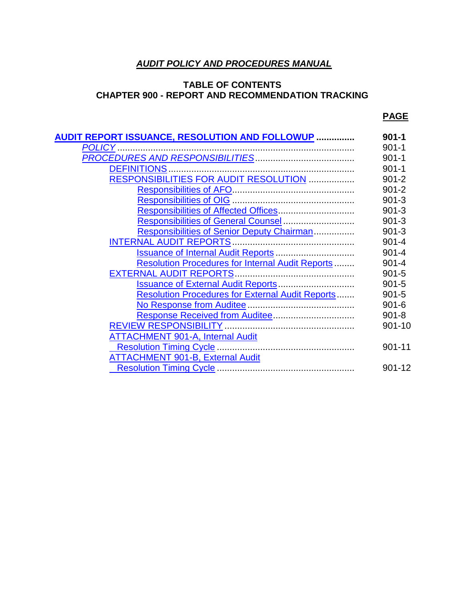# *AUDIT POLICY AND PROCEDURES MANUAL*

# **TABLE OF CONTENTS CHAPTER 900 - REPORT AND RECOMMENDATION TRACKING**

#### **PAGE**

<span id="page-132-2"></span><span id="page-132-1"></span><span id="page-132-0"></span>

| <b>AUDIT REPORT ISSUANCE, RESOLUTION AND FOLLOWUP </b>  | $901 - 1$  |
|---------------------------------------------------------|------------|
|                                                         | $901 - 1$  |
|                                                         | $901 - 1$  |
|                                                         | $901 - 1$  |
| RESPONSIBILITIES FOR AUDIT RESOLUTION                   | $901 - 2$  |
|                                                         | $901 - 2$  |
|                                                         | $901 - 3$  |
|                                                         | $901 - 3$  |
|                                                         | $901 - 3$  |
| Responsibilities of Senior Deputy Chairman              | $901 - 3$  |
|                                                         | $901 - 4$  |
| <b>Issuance of Internal Audit Reports </b>              | $901 - 4$  |
| <b>Resolution Procedures for Internal Audit Reports</b> | $901 - 4$  |
|                                                         | $901 - 5$  |
| <b>Issuance of External Audit Reports</b>               | $901 - 5$  |
| <b>Resolution Procedures for External Audit Reports</b> | $901 - 5$  |
|                                                         | $901 - 6$  |
|                                                         | $901 - 8$  |
|                                                         | $901 - 10$ |
| <b>ATTACHMENT 901-A, Internal Audit</b>                 |            |
|                                                         | $901 - 11$ |
| <b>ATTACHMENT 901-B, External Audit</b>                 |            |
|                                                         | $901 - 12$ |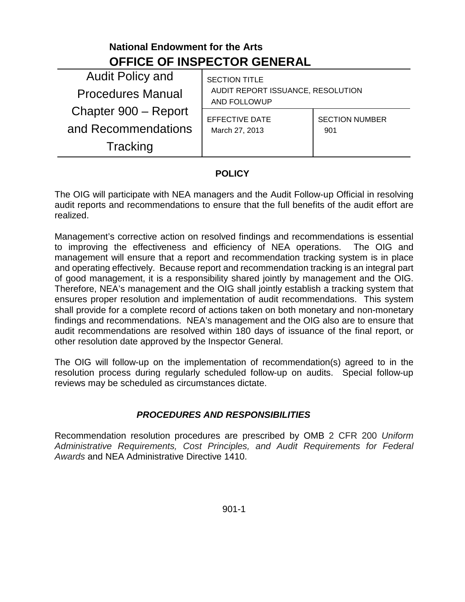#### <span id="page-133-0"></span>**National Endowment for the Arts OFFICE OF INSPECTOR GENERAL** Audit Policy and Procedures Manual Chapter 900 – Report and Recommendations **Tracking** SECTION TITLE AUDIT REPORT ISSUANCE, RESOLUTION AND FOLLOWUP EFFECTIVE DATE March 27, 2013 SECTION NUMBER 901

# <span id="page-133-1"></span>**POLICY**

The OIG will participate with NEA managers and the Audit Follow-up Official in resolving audit reports and recommendations to ensure that the full benefits of the audit effort are realized.

Management's corrective action on resolved findings and recommendations is essential to improving the effectiveness and efficiency of NEA operations. The OIG and management will ensure that a report and recommendation tracking system is in place and operating effectively. Because report and recommendation tracking is an integral part of good management, it is a responsibility shared jointly by management and the OIG. Therefore, NEA's management and the OIG shall jointly establish a tracking system that ensures proper resolution and implementation of audit recommendations. This system shall provide for a complete record of actions taken on both monetary and non-monetary findings and recommendations. NEA's management and the OIG also are to ensure that audit recommendations are resolved within 180 days of issuance of the final report, or other resolution date approved by the Inspector General.

The OIG will follow-up on the implementation of recommendation(s) agreed to in the resolution process during regularly scheduled follow-up on audits. Special follow-up reviews may be scheduled as circumstances dictate.

## <span id="page-133-2"></span>*PROCEDURES AND RESPONSIBILITIES*

Recommendation resolution procedures are prescribed by OMB 2 CFR 200 *Uniform Administrative Requirements, Cost Principles, and Audit Requirements for Federal Awards* and NEA Administrative Directive 1410.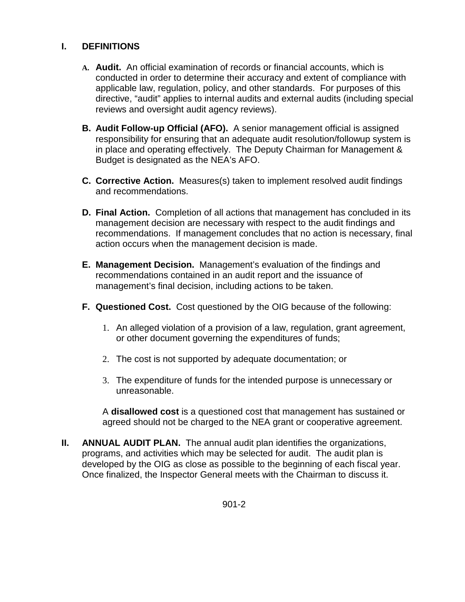#### <span id="page-134-0"></span>**I. DEFINITIONS**

- **A. Audit.** An official examination of records or financial accounts, which is conducted in order to determine their accuracy and extent of compliance with applicable law, regulation, policy, and other standards. For purposes of this directive, "audit" applies to internal audits and external audits (including special reviews and oversight audit agency reviews).
- **B. Audit Follow-up Official (AFO).** A senior management official is assigned responsibility for ensuring that an adequate audit resolution/followup system is in place and operating effectively. The Deputy Chairman for Management & Budget is designated as the NEA's AFO.
- **C. Corrective Action.** Measures(s) taken to implement resolved audit findings and recommendations.
- **D. Final Action.** Completion of all actions that management has concluded in its management decision are necessary with respect to the audit findings and recommendations. If management concludes that no action is necessary, final action occurs when the management decision is made.
- **E. Management Decision.** Management's evaluation of the findings and recommendations contained in an audit report and the issuance of management's final decision, including actions to be taken.
- **F. Questioned Cost.** Cost questioned by the OIG because of the following:
	- 1. An alleged violation of a provision of a law, regulation, grant agreement, or other document governing the expenditures of funds;
	- 2. The cost is not supported by adequate documentation; or
	- 3. The expenditure of funds for the intended purpose is unnecessary or unreasonable.

A **disallowed cost** is a questioned cost that management has sustained or agreed should not be charged to the NEA grant or cooperative agreement.

**II. ANNUAL AUDIT PLAN.** The annual audit plan identifies the organizations, programs, and activities which may be selected for audit. The audit plan is developed by the OIG as close as possible to the beginning of each fiscal year. Once finalized, the Inspector General meets with the Chairman to discuss it.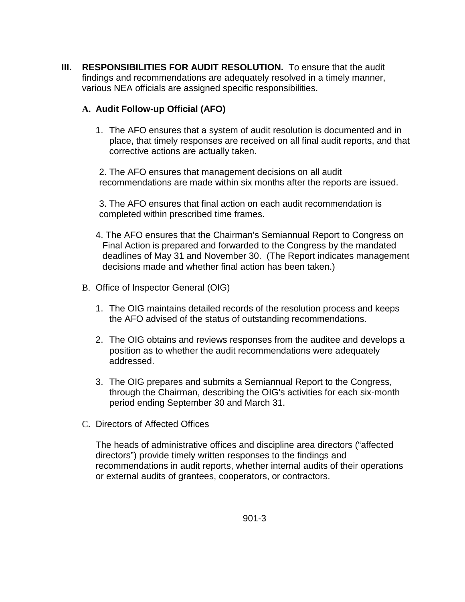<span id="page-135-0"></span>**III. RESPONSIBILITIES FOR AUDIT RESOLUTION.** To ensure that the audit findings and recommendations are adequately resolved in a timely manner, various NEA officials are assigned specific responsibilities.

# <span id="page-135-1"></span>**A. Audit Follow-up Official (AFO)**

1. The AFO ensures that a system of audit resolution is documented and in place, that timely responses are received on all final audit reports, and that corrective actions are actually taken.

2. The AFO ensures that management decisions on all audit recommendations are made within six months after the reports are issued.

3. The AFO ensures that final action on each audit recommendation is completed within prescribed time frames.

- 4. The AFO ensures that the Chairman's Semiannual Report to Congress on Final Action is prepared and forwarded to the Congress by the mandated deadlines of May 31 and November 30. (The Report indicates management decisions made and whether final action has been taken.)
- <span id="page-135-2"></span>B. Office of Inspector General (OIG)
	- 1. The OIG maintains detailed records of the resolution process and keeps the AFO advised of the status of outstanding recommendations.
	- 2. The OIG obtains and reviews responses from the auditee and develops a position as to whether the audit recommendations were adequately addressed.
	- 3. The OIG prepares and submits a Semiannual Report to the Congress, through the Chairman, describing the OIG's activities for each six-month period ending September 30 and March 31.
- <span id="page-135-3"></span>C. Directors of Affected Offices

The heads of administrative offices and discipline area directors ("affected directors") provide timely written responses to the findings and recommendations in audit reports, whether internal audits of their operations or external audits of grantees, cooperators, or contractors.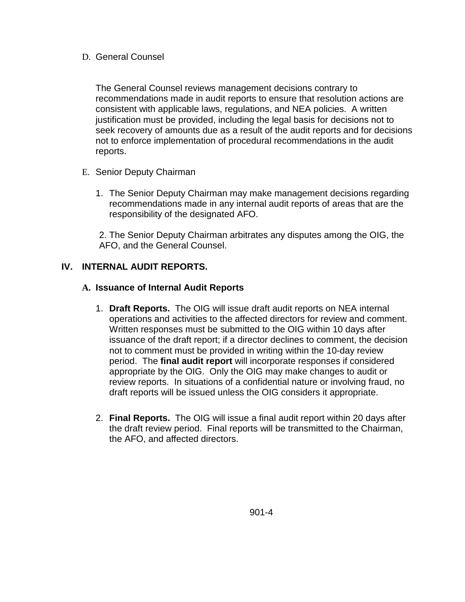#### <span id="page-136-0"></span>D. General Counsel

The General Counsel reviews management decisions contrary to recommendations made in audit reports to ensure that resolution actions are consistent with applicable laws, regulations, and NEA policies. A written justification must be provided, including the legal basis for decisions not to seek recovery of amounts due as a result of the audit reports and for decisions not to enforce implementation of procedural recommendations in the audit reports.

- <span id="page-136-1"></span>E. Senior Deputy Chairman
	- 1. The Senior Deputy Chairman may make management decisions regarding recommendations made in any internal audit reports of areas that are the responsibility of the designated AFO.

2. The Senior Deputy Chairman arbitrates any disputes among the OIG, the AFO, and the General Counsel.

## <span id="page-136-3"></span><span id="page-136-2"></span>**IV. INTERNAL AUDIT REPORTS.**

#### **A. Issuance of Internal Audit Reports**

- 1. **Draft Reports.** The OIG will issue draft audit reports on NEA internal operations and activities to the affected directors for review and comment. Written responses must be submitted to the OIG within 10 days after issuance of the draft report; if a director declines to comment, the decision not to comment must be provided in writing within the 10-day review period. The **final audit report** will incorporate responses if considered appropriate by the OIG. Only the OIG may make changes to audit or review reports. In situations of a confidential nature or involving fraud, no draft reports will be issued unless the OIG considers it appropriate.
- 2. **Final Reports.** The OIG will issue a final audit report within 20 days after the draft review period. Final reports will be transmitted to the Chairman, the AFO, and affected directors.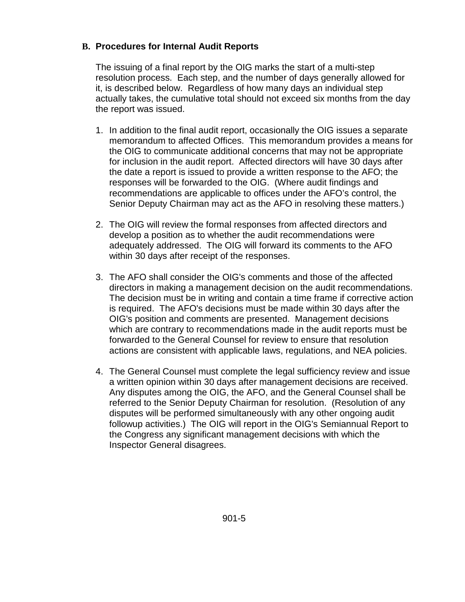## <span id="page-137-0"></span>**B. Procedures for Internal Audit Reports**

The issuing of a final report by the OIG marks the start of a multi-step resolution process. Each step, and the number of days generally allowed for it, is described below. Regardless of how many days an individual step actually takes, the cumulative total should not exceed six months from the day the report was issued.

- 1. In addition to the final audit report, occasionally the OIG issues a separate memorandum to affected Offices. This memorandum provides a means for the OIG to communicate additional concerns that may not be appropriate for inclusion in the audit report. Affected directors will have 30 days after the date a report is issued to provide a written response to the AFO; the responses will be forwarded to the OIG. (Where audit findings and recommendations are applicable to offices under the AFO's control, the Senior Deputy Chairman may act as the AFO in resolving these matters.)
- 2. The OIG will review the formal responses from affected directors and develop a position as to whether the audit recommendations were adequately addressed. The OIG will forward its comments to the AFO within 30 days after receipt of the responses.
- 3. The AFO shall consider the OIG's comments and those of the affected directors in making a management decision on the audit recommendations. The decision must be in writing and contain a time frame if corrective action is required. The AFO's decisions must be made within 30 days after the OIG's position and comments are presented. Management decisions which are contrary to recommendations made in the audit reports must be forwarded to the General Counsel for review to ensure that resolution actions are consistent with applicable laws, regulations, and NEA policies.
- 4. The General Counsel must complete the legal sufficiency review and issue a written opinion within 30 days after management decisions are received. Any disputes among the OIG, the AFO, and the General Counsel shall be referred to the Senior Deputy Chairman for resolution. (Resolution of any disputes will be performed simultaneously with any other ongoing audit followup activities.) The OIG will report in the OIG's Semiannual Report to the Congress any significant management decisions with which the Inspector General disagrees.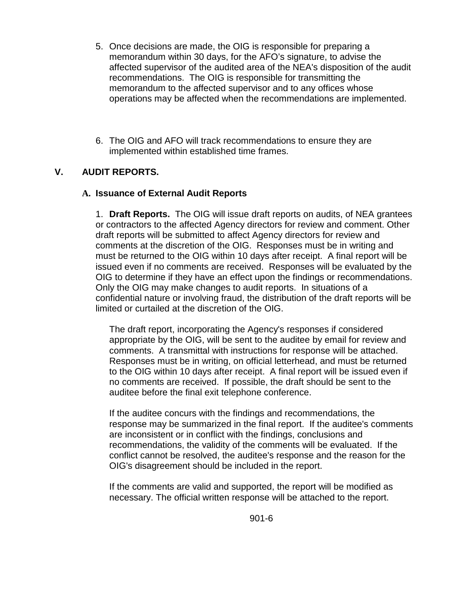- 5. Once decisions are made, the OIG is responsible for preparing a memorandum within 30 days, for the AFO's signature, to advise the affected supervisor of the audited area of the NEA's disposition of the audit recommendations. The OIG is responsible for transmitting the memorandum to the affected supervisor and to any offices whose operations may be affected when the recommendations are implemented.
- 6. The OIG and AFO will track recommendations to ensure they are implemented within established time frames.

# **V. AUDIT REPORTS.**

#### **A. Issuance of External Audit Reports**

1. **Draft Reports.** The OIG will issue draft reports on audits, of NEA grantees or contractors to the affected Agency directors for review and comment. Other draft reports will be submitted to affect Agency directors for review and comments at the discretion of the OIG. Responses must be in writing and must be returned to the OIG within 10 days after receipt. A final report will be issued even if no comments are received. Responses will be evaluated by the OIG to determine if they have an effect upon the findings or recommendations. Only the OIG may make changes to audit reports. In situations of a confidential nature or involving fraud, the distribution of the draft reports will be limited or curtailed at the discretion of the OIG.

The draft report, incorporating the Agency's responses if considered appropriate by the OIG, will be sent to the auditee by email for review and comments. A transmittal with instructions for response will be attached. Responses must be in writing, on official letterhead, and must be returned to the OIG within 10 days after receipt. A final report will be issued even if no comments are received. If possible, the draft should be sent to the auditee before the final exit telephone conference.

If the auditee concurs with the findings and recommendations, the response may be summarized in the final report. If the auditee's comments are inconsistent or in conflict with the findings, conclusions and recommendations, the validity of the comments will be evaluated. If the conflict cannot be resolved, the auditee's response and the reason for the OIG's disagreement should be included in the report.

If the comments are valid and supported, the report will be modified as necessary. The official written response will be attached to the report.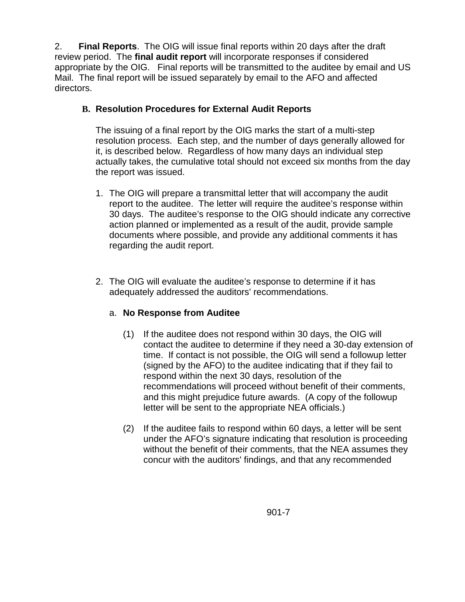2. **Final Reports**. The OIG will issue final reports within 20 days after the draft review period. The **final audit report** will incorporate responses if considered appropriate by the OIG. Final reports will be transmitted to the auditee by email and US Mail. The final report will be issued separately by email to the AFO and affected directors.

# **B. Resolution Procedures for External Audit Reports**

The issuing of a final report by the OIG marks the start of a multi-step resolution process. Each step, and the number of days generally allowed for it, is described below. Regardless of how many days an individual step actually takes, the cumulative total should not exceed six months from the day the report was issued.

- 1. The OIG will prepare a transmittal letter that will accompany the audit report to the auditee. The letter will require the auditee's response within 30 days. The auditee's response to the OIG should indicate any corrective action planned or implemented as a result of the audit, provide sample documents where possible, and provide any additional comments it has regarding the audit report.
- <span id="page-139-0"></span>2. The OIG will evaluate the auditee's response to determine if it has adequately addressed the auditors' recommendations.

## a. **No Response from Auditee**

- (1) If the auditee does not respond within 30 days, the OIG will contact the auditee to determine if they need a 30-day extension of time. If contact is not possible, the OIG will send a followup letter (signed by the AFO) to the auditee indicating that if they fail to respond within the next 30 days, resolution of the recommendations will proceed without benefit of their comments, and this might prejudice future awards. (A copy of the followup letter will be sent to the appropriate NEA officials.)
- (2) If the auditee fails to respond within 60 days, a letter will be sent under the AFO's signature indicating that resolution is proceeding without the benefit of their comments, that the NEA assumes they concur with the auditors' findings, and that any recommended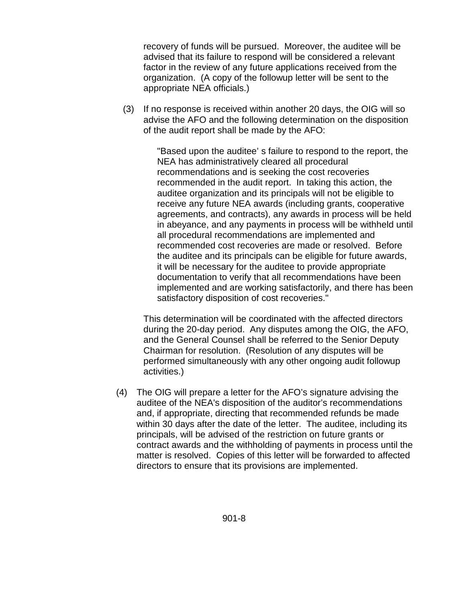recovery of funds will be pursued. Moreover, the auditee will be advised that its failure to respond will be considered a relevant factor in the review of any future applications received from the organization. (A copy of the followup letter will be sent to the appropriate NEA officials.)

(3) If no response is received within another 20 days, the OIG will so advise the AFO and the following determination on the disposition of the audit report shall be made by the AFO:

> "Based upon the auditee' s failure to respond to the report, the NEA has administratively cleared all procedural recommendations and is seeking the cost recoveries recommended in the audit report. In taking this action, the auditee organization and its principals will not be eligible to receive any future NEA awards (including grants, cooperative agreements, and contracts), any awards in process will be held in abeyance, and any payments in process will be withheld until all procedural recommendations are implemented and recommended cost recoveries are made or resolved. Before the auditee and its principals can be eligible for future awards, it will be necessary for the auditee to provide appropriate documentation to verify that all recommendations have been implemented and are working satisfactorily, and there has been satisfactory disposition of cost recoveries."

This determination will be coordinated with the affected directors during the 20-day period. Any disputes among the OIG, the AFO, and the General Counsel shall be referred to the Senior Deputy Chairman for resolution. (Resolution of any disputes will be performed simultaneously with any other ongoing audit followup activities.)

(4) The OIG will prepare a letter for the AFO's signature advising the auditee of the NEA's disposition of the auditor's recommendations and, if appropriate, directing that recommended refunds be made within 30 days after the date of the letter. The auditee, including its principals, will be advised of the restriction on future grants or contract awards and the withholding of payments in process until the matter is resolved. Copies of this letter will be forwarded to affected directors to ensure that its provisions are implemented.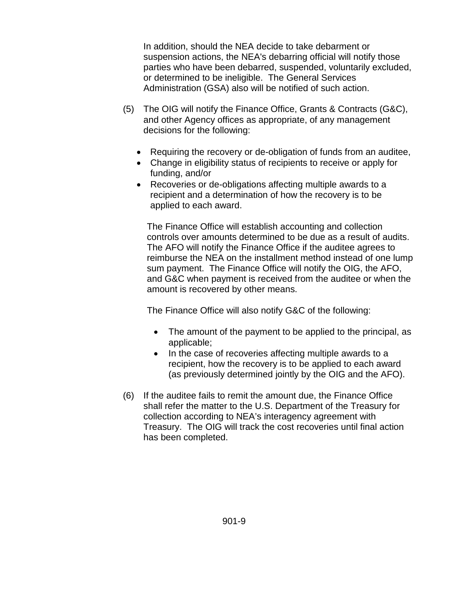In addition, should the NEA decide to take debarment or suspension actions, the NEA's debarring official will notify those parties who have been debarred, suspended, voluntarily excluded, or determined to be ineligible. The General Services Administration (GSA) also will be notified of such action.

- (5) The OIG will notify the Finance Office, Grants & Contracts (G&C), and other Agency offices as appropriate, of any management decisions for the following:
	- Requiring the recovery or de-obligation of funds from an auditee,
	- Change in eligibility status of recipients to receive or apply for funding, and/or
	- Recoveries or de-obligations affecting multiple awards to a recipient and a determination of how the recovery is to be applied to each award.

The Finance Office will establish accounting and collection controls over amounts determined to be due as a result of audits. The AFO will notify the Finance Office if the auditee agrees to reimburse the NEA on the installment method instead of one lump sum payment. The Finance Office will notify the OIG, the AFO, and G&C when payment is received from the auditee or when the amount is recovered by other means.

The Finance Office will also notify G&C of the following:

- The amount of the payment to be applied to the principal, as applicable;
- In the case of recoveries affecting multiple awards to a recipient, how the recovery is to be applied to each award (as previously determined jointly by the OIG and the AFO).
- (6) If the auditee fails to remit the amount due, the Finance Office shall refer the matter to the U.S. Department of the Treasury for collection according to NEA's interagency agreement with Treasury. The OIG will track the cost recoveries until final action has been completed.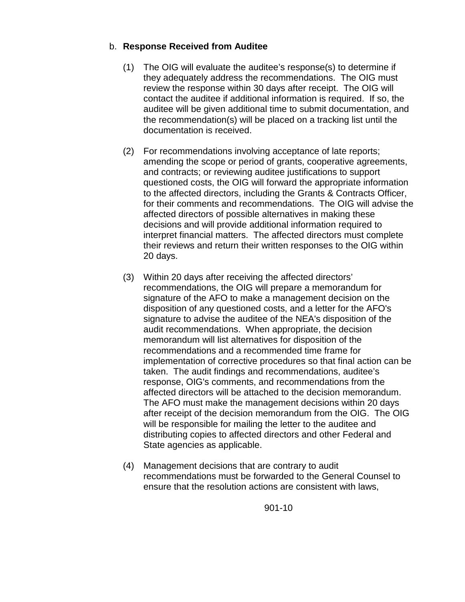#### <span id="page-142-0"></span>b. **Response Received from Auditee**

- (1) The OIG will evaluate the auditee's response(s) to determine if they adequately address the recommendations. The OIG must review the response within 30 days after receipt. The OIG will contact the auditee if additional information is required. If so, the auditee will be given additional time to submit documentation, and the recommendation(s) will be placed on a tracking list until the documentation is received.
- (2) For recommendations involving acceptance of late reports; amending the scope or period of grants, cooperative agreements, and contracts; or reviewing auditee justifications to support questioned costs, the OIG will forward the appropriate information to the affected directors, including the Grants & Contracts Officer, for their comments and recommendations. The OIG will advise the affected directors of possible alternatives in making these decisions and will provide additional information required to interpret financial matters. The affected directors must complete their reviews and return their written responses to the OIG within 20 days.
- (3) Within 20 days after receiving the affected directors' recommendations, the OIG will prepare a memorandum for signature of the AFO to make a management decision on the disposition of any questioned costs, and a letter for the AFO's signature to advise the auditee of the NEA's disposition of the audit recommendations. When appropriate, the decision memorandum will list alternatives for disposition of the recommendations and a recommended time frame for implementation of corrective procedures so that final action can be taken. The audit findings and recommendations, auditee's response, OIG's comments, and recommendations from the affected directors will be attached to the decision memorandum. The AFO must make the management decisions within 20 days after receipt of the decision memorandum from the OIG. The OIG will be responsible for mailing the letter to the auditee and distributing copies to affected directors and other Federal and State agencies as applicable.
- (4) Management decisions that are contrary to audit recommendations must be forwarded to the General Counsel to ensure that the resolution actions are consistent with laws,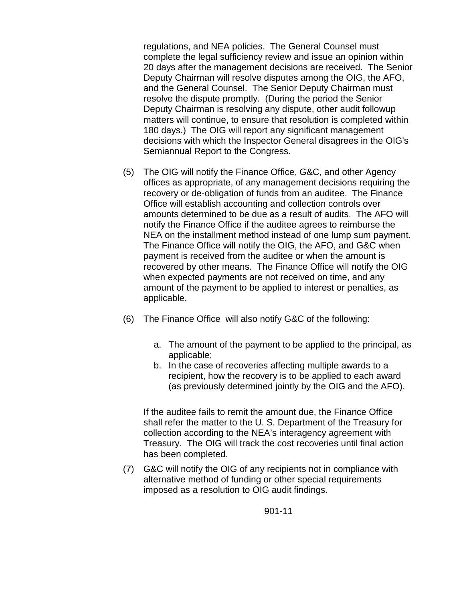regulations, and NEA policies. The General Counsel must complete the legal sufficiency review and issue an opinion within 20 days after the management decisions are received. The Senior Deputy Chairman will resolve disputes among the OIG, the AFO, and the General Counsel. The Senior Deputy Chairman must resolve the dispute promptly. (During the period the Senior Deputy Chairman is resolving any dispute, other audit followup matters will continue, to ensure that resolution is completed within 180 days.) The OIG will report any significant management decisions with which the Inspector General disagrees in the OIG's Semiannual Report to the Congress.

- (5) The OIG will notify the Finance Office, G&C, and other Agency offices as appropriate, of any management decisions requiring the recovery or de-obligation of funds from an auditee. The Finance Office will establish accounting and collection controls over amounts determined to be due as a result of audits. The AFO will notify the Finance Office if the auditee agrees to reimburse the NEA on the installment method instead of one lump sum payment. The Finance Office will notify the OIG, the AFO, and G&C when payment is received from the auditee or when the amount is recovered by other means. The Finance Office will notify the OIG when expected payments are not received on time, and any amount of the payment to be applied to interest or penalties, as applicable.
- (6) The Finance Office will also notify G&C of the following:
	- a. The amount of the payment to be applied to the principal, as applicable;
	- b. In the case of recoveries affecting multiple awards to a recipient, how the recovery is to be applied to each award (as previously determined jointly by the OIG and the AFO).

If the auditee fails to remit the amount due, the Finance Office shall refer the matter to the U. S. Department of the Treasury for collection according to the NEA's interagency agreement with Treasury. The OIG will track the cost recoveries until final action has been completed.

<span id="page-143-0"></span>(7) G&C will notify the OIG of any recipients not in compliance with alternative method of funding or other special requirements imposed as a resolution to OIG audit findings.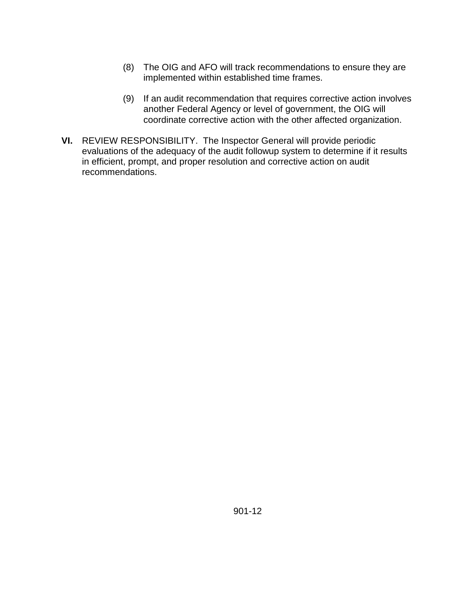- (8) The OIG and AFO will track recommendations to ensure they are implemented within established time frames.
- (9) If an audit recommendation that requires corrective action involves another Federal Agency or level of government, the OIG will coordinate corrective action with the other affected organization.
- **VI.** REVIEW RESPONSIBILITY. The Inspector General will provide periodic evaluations of the adequacy of the audit followup system to determine if it results in efficient, prompt, and proper resolution and corrective action on audit recommendations.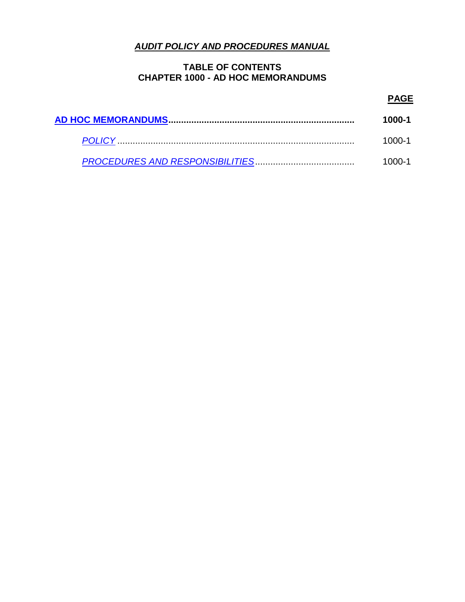## *AUDIT POLICY AND PROCEDURES MANUAL*

#### **TABLE OF CONTENTS CHAPTER 1000 - AD HOC MEMORANDUMS**

## **PAGE**

|               | 1000-1 |
|---------------|--------|
| <b>POLICY</b> | 1000-1 |
|               | 1000-1 |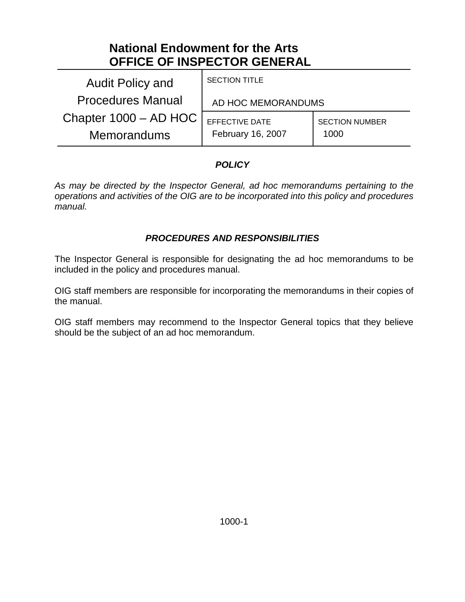# **National Endowment for the Arts OFFICE OF INSPECTOR GENERAL**

<span id="page-146-0"></span>

| <b>Audit Policy and</b>  | <b>SECTION TITLE</b>  |                       |
|--------------------------|-----------------------|-----------------------|
| <b>Procedures Manual</b> | AD HOC MEMORANDUMS    |                       |
| Chapter 1000 – AD HOC    | <b>EFFECTIVE DATE</b> | <b>SECTION NUMBER</b> |
| <b>Memorandums</b>       | February 16, 2007     | 1000                  |

## <span id="page-146-1"></span>*POLICY*

*As may be directed by the Inspector General, ad hoc memorandums pertaining to the operations and activities of the OIG are to be incorporated into this policy and procedures manual.*

## <span id="page-146-2"></span>*PROCEDURES AND RESPONSIBILITIES*

The Inspector General is responsible for designating the ad hoc memorandums to be included in the policy and procedures manual.

OIG staff members are responsible for incorporating the memorandums in their copies of the manual.

OIG staff members may recommend to the Inspector General topics that they believe should be the subject of an ad hoc memorandum.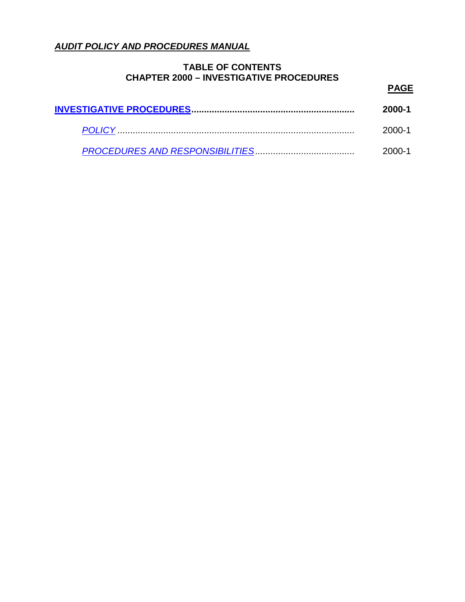### *AUDIT POLICY AND PROCEDURES MANUAL*

#### **TABLE OF CONTENTS CHAPTER 2000 – INVESTIGATIVE PROCEDURES**

#### **PAGE**

|               | 2000-1 |
|---------------|--------|
| <b>POLICY</b> | 2000-1 |
|               | 2000-1 |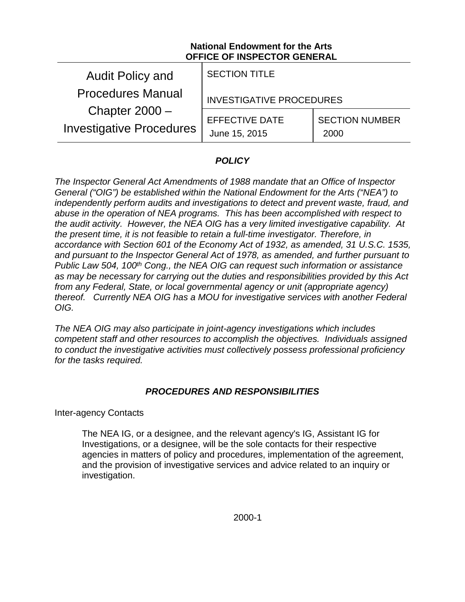#### **National Endowment for the Arts OFFICE OF INSPECTOR GENERAL** Audit Policy and Procedures Manual Chapter 2000 – Investigative Procedures SECTION TITLE INVESTIGATIVE PROCEDURES EFFECTIVE DATE June 15, 2015 SECTION NUMBER 2000

## <span id="page-148-1"></span><span id="page-148-0"></span>*POLICY*

*The Inspector General Act Amendments of 1988 mandate that an Office of Inspector General ("OIG") be established within the National Endowment for the Arts ("NEA") to independently perform audits and investigations to detect and prevent waste, fraud, and abuse in the operation of NEA programs. This has been accomplished with respect to the audit activity. However, the NEA OIG has a very limited investigative capability. At the present time, it is not feasible to retain a full-time investigator. Therefore, in accordance with Section 601 of the Economy Act of 1932, as amended, 31 U.S.C. 1535, and pursuant to the Inspector General Act of 1978, as amended, and further pursuant to Public Law 504, 100th Cong., the NEA OIG can request such information or assistance as may be necessary for carrying out the duties and responsibilities provided by this Act from any Federal, State, or local governmental agency or unit (appropriate agency) thereof. Currently NEA OIG has a MOU for investigative services with another Federal OIG.*

*The NEA OIG may also participate in joint-agency investigations which includes competent staff and other resources to accomplish the objectives. Individuals assigned to conduct the investigative activities must collectively possess professional proficiency for the tasks required.*

## <span id="page-148-2"></span>*PROCEDURES AND RESPONSIBILITIES*

Inter-agency Contacts

The NEA IG, or a designee, and the relevant agency's IG, Assistant IG for Investigations, or a designee, will be the sole contacts for their respective agencies in matters of policy and procedures, implementation of the agreement, and the provision of investigative services and advice related to an inquiry or investigation.

2000-1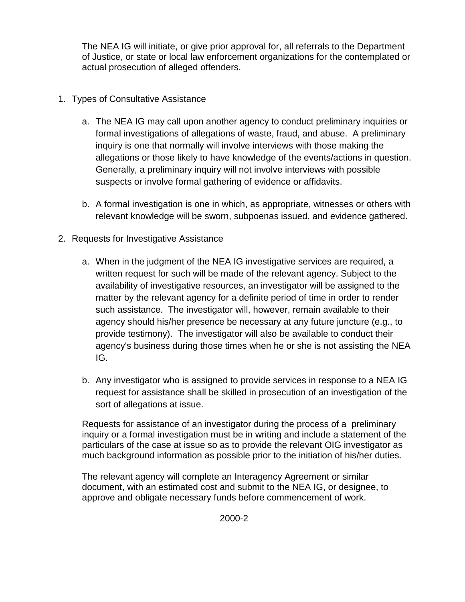The NEA IG will initiate, or give prior approval for, all referrals to the Department of Justice, or state or local law enforcement organizations for the contemplated or actual prosecution of alleged offenders.

- 1. Types of Consultative Assistance
	- a. The NEA IG may call upon another agency to conduct preliminary inquiries or formal investigations of allegations of waste, fraud, and abuse. A preliminary inquiry is one that normally will involve interviews with those making the allegations or those likely to have knowledge of the events/actions in question. Generally, a preliminary inquiry will not involve interviews with possible suspects or involve formal gathering of evidence or affidavits.
	- b. A formal investigation is one in which, as appropriate, witnesses or others with relevant knowledge will be sworn, subpoenas issued, and evidence gathered.
- 2. Requests for Investigative Assistance
	- a. When in the judgment of the NEA IG investigative services are required, a written request for such will be made of the relevant agency. Subject to the availability of investigative resources, an investigator will be assigned to the matter by the relevant agency for a definite period of time in order to render such assistance. The investigator will, however, remain available to their agency should his/her presence be necessary at any future juncture (e.g., to provide testimony). The investigator will also be available to conduct their agency's business during those times when he or she is not assisting the NEA IG.
	- b. Any investigator who is assigned to provide services in response to a NEA IG request for assistance shall be skilled in prosecution of an investigation of the sort of allegations at issue.

Requests for assistance of an investigator during the process of a preliminary inquiry or a formal investigation must be in writing and include a statement of the particulars of the case at issue so as to provide the relevant OIG investigator as much background information as possible prior to the initiation of his/her duties.

The relevant agency will complete an Interagency Agreement or similar document, with an estimated cost and submit to the NEA IG, or designee, to approve and obligate necessary funds before commencement of work.

2000-2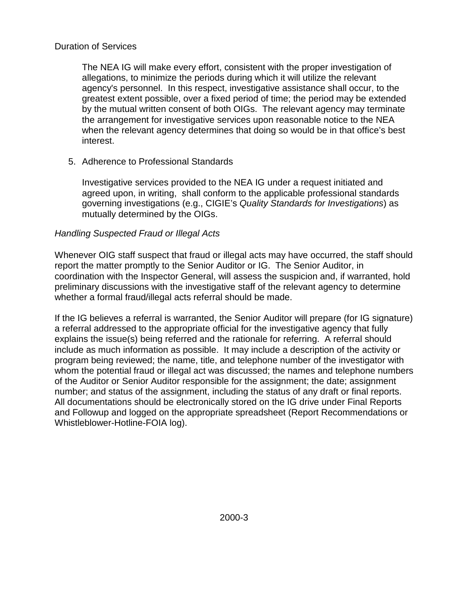#### Duration of Services

The NEA IG will make every effort, consistent with the proper investigation of allegations, to minimize the periods during which it will utilize the relevant agency's personnel. In this respect, investigative assistance shall occur, to the greatest extent possible, over a fixed period of time; the period may be extended by the mutual written consent of both OIGs. The relevant agency may terminate the arrangement for investigative services upon reasonable notice to the NEA when the relevant agency determines that doing so would be in that office's best interest.

5. Adherence to Professional Standards

Investigative services provided to the NEA IG under a request initiated and agreed upon, in writing, shall conform to the applicable professional standards governing investigations (e.g., CIGIE's *Quality Standards for Investigations*) as mutually determined by the OIGs.

#### *Handling Suspected Fraud or Illegal Acts*

Whenever OIG staff suspect that fraud or illegal acts may have occurred, the staff should report the matter promptly to the Senior Auditor or IG. The Senior Auditor, in coordination with the Inspector General, will assess the suspicion and, if warranted, hold preliminary discussions with the investigative staff of the relevant agency to determine whether a formal fraud/illegal acts referral should be made.

If the IG believes a referral is warranted, the Senior Auditor will prepare (for IG signature) a referral addressed to the appropriate official for the investigative agency that fully explains the issue(s) being referred and the rationale for referring. A referral should include as much information as possible. It may include a description of the activity or program being reviewed; the name, title, and telephone number of the investigator with whom the potential fraud or illegal act was discussed; the names and telephone numbers of the Auditor or Senior Auditor responsible for the assignment; the date; assignment number; and status of the assignment, including the status of any draft or final reports. All documentations should be electronically stored on the IG drive under Final Reports and Followup and logged on the appropriate spreadsheet (Report Recommendations or Whistleblower-Hotline-FOIA log).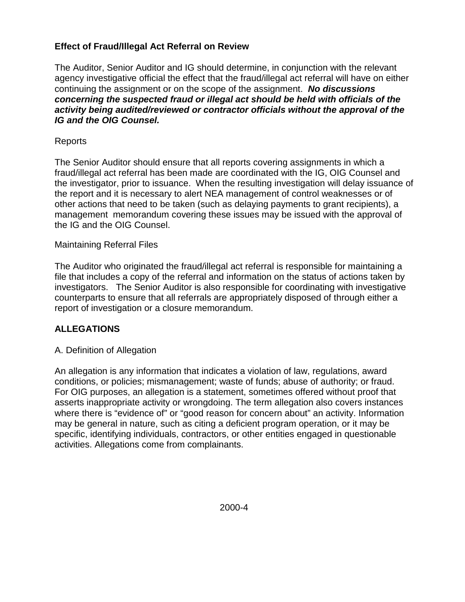## **Effect of Fraud/Illegal Act Referral on Review**

The Auditor, Senior Auditor and IG should determine, in conjunction with the relevant agency investigative official the effect that the fraud/illegal act referral will have on either continuing the assignment or on the scope of the assignment. *No discussions concerning the suspected fraud or illegal act should be held with officials of the activity being audited/reviewed or contractor officials without the approval of the IG and the OIG Counsel.*

#### Reports

The Senior Auditor should ensure that all reports covering assignments in which a fraud/illegal act referral has been made are coordinated with the IG, OIG Counsel and the investigator, prior to issuance. When the resulting investigation will delay issuance of the report and it is necessary to alert NEA management of control weaknesses or of other actions that need to be taken (such as delaying payments to grant recipients), a management memorandum covering these issues may be issued with the approval of the IG and the OIG Counsel.

#### Maintaining Referral Files

The Auditor who originated the fraud/illegal act referral is responsible for maintaining a file that includes a copy of the referral and information on the status of actions taken by investigators. The Senior Auditor is also responsible for coordinating with investigative counterparts to ensure that all referrals are appropriately disposed of through either a report of investigation or a closure memorandum.

### **ALLEGATIONS**

### A. Definition of Allegation

An allegation is any information that indicates a violation of law, regulations, award conditions, or policies; mismanagement; waste of funds; abuse of authority; or fraud. For OIG purposes, an allegation is a statement, sometimes offered without proof that asserts inappropriate activity or wrongdoing. The term allegation also covers instances where there is "evidence of" or "good reason for concern about" an activity. Information may be general in nature, such as citing a deficient program operation, or it may be specific, identifying individuals, contractors, or other entities engaged in questionable activities. Allegations come from complainants.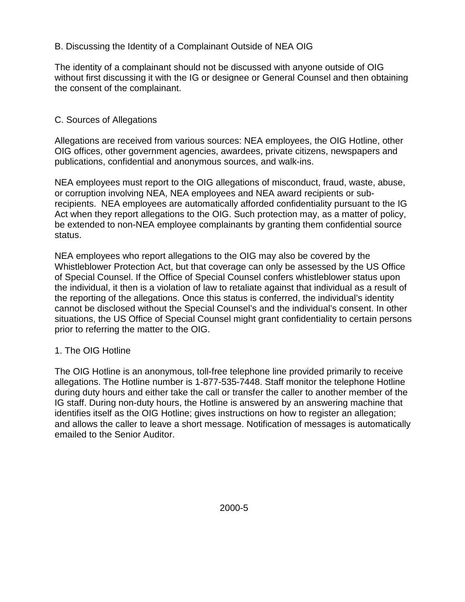### B. Discussing the Identity of a Complainant Outside of NEA OIG

The identity of a complainant should not be discussed with anyone outside of OIG without first discussing it with the IG or designee or General Counsel and then obtaining the consent of the complainant.

#### C. Sources of Allegations

Allegations are received from various sources: NEA employees, the OIG Hotline, other OIG offices, other government agencies, awardees, private citizens, newspapers and publications, confidential and anonymous sources, and walk-ins.

NEA employees must report to the OIG allegations of misconduct, fraud, waste, abuse, or corruption involving NEA, NEA employees and NEA award recipients or subrecipients. NEA employees are automatically afforded confidentiality pursuant to the IG Act when they report allegations to the OIG. Such protection may, as a matter of policy, be extended to non-NEA employee complainants by granting them confidential source status.

NEA employees who report allegations to the OIG may also be covered by the Whistleblower Protection Act, but that coverage can only be assessed by the US Office of Special Counsel. If the Office of Special Counsel confers whistleblower status upon the individual, it then is a violation of law to retaliate against that individual as a result of the reporting of the allegations. Once this status is conferred, the individual's identity cannot be disclosed without the Special Counsel's and the individual's consent. In other situations, the US Office of Special Counsel might grant confidentiality to certain persons prior to referring the matter to the OIG.

#### 1. The OIG Hotline

The OIG Hotline is an anonymous, toll-free telephone line provided primarily to receive allegations. The Hotline number is 1-877-535-7448. Staff monitor the telephone Hotline during duty hours and either take the call or transfer the caller to another member of the IG staff. During non-duty hours, the Hotline is answered by an answering machine that identifies itself as the OIG Hotline; gives instructions on how to register an allegation; and allows the caller to leave a short message. Notification of messages is automatically emailed to the Senior Auditor.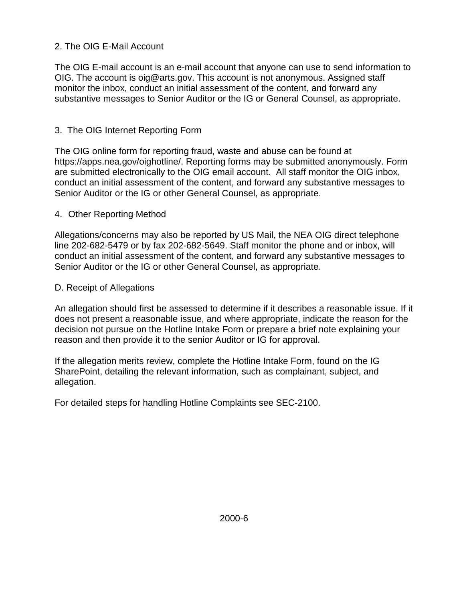### 2. The OIG E-Mail Account

The OIG E-mail account is an e-mail account that anyone can use to send information to OIG. The account is oig@arts.gov. This account is not anonymous. Assigned staff monitor the inbox, conduct an initial assessment of the content, and forward any substantive messages to Senior Auditor or the IG or General Counsel, as appropriate.

#### 3. The OIG Internet Reporting Form

The OIG online form for reporting fraud, waste and abuse can be found at https://apps.nea.gov/oighotline/. Reporting forms may be submitted anonymously. Form are submitted electronically to the OIG email account. All staff monitor the OIG inbox, conduct an initial assessment of the content, and forward any substantive messages to Senior Auditor or the IG or other General Counsel, as appropriate.

#### 4. Other Reporting Method

Allegations/concerns may also be reported by US Mail, the NEA OIG direct telephone line 202-682-5479 or by fax 202-682-5649. Staff monitor the phone and or inbox, will conduct an initial assessment of the content, and forward any substantive messages to Senior Auditor or the IG or other General Counsel, as appropriate.

#### D. Receipt of Allegations

An allegation should first be assessed to determine if it describes a reasonable issue. If it does not present a reasonable issue, and where appropriate, indicate the reason for the decision not pursue on the Hotline Intake Form or prepare a brief note explaining your reason and then provide it to the senior Auditor or IG for approval.

If the allegation merits review, complete the Hotline Intake Form, found on the IG SharePoint, detailing the relevant information, such as complainant, subject, and allegation.

For detailed steps for handling Hotline Complaints see SEC-2100.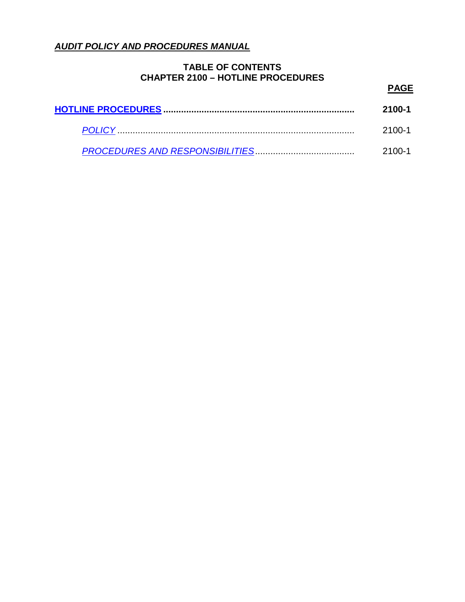### *AUDIT POLICY AND PROCEDURES MANUAL*

#### **TABLE OF CONTENTS CHAPTER 2100 – HOTLINE PROCEDURES**

#### **PAGE**

|               | 2100-1 |
|---------------|--------|
| <b>POLICY</b> | 2100-1 |
|               | 2100-1 |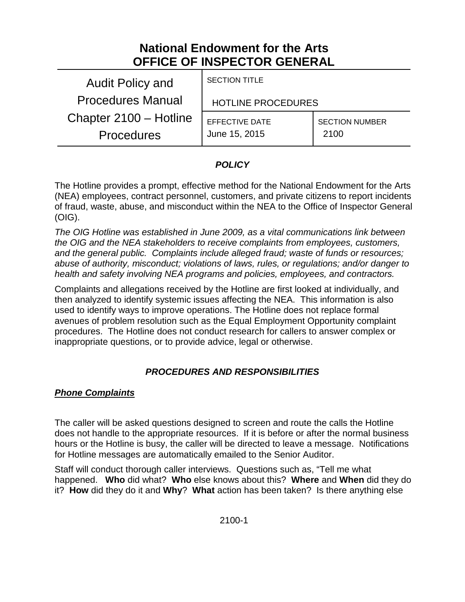## **National Endowment for the Arts OFFICE OF INSPECTOR GENERAL**

| <b>Audit Policy and</b>  | <b>SECTION TITLE</b>      |                       |
|--------------------------|---------------------------|-----------------------|
| <b>Procedures Manual</b> | <b>HOTLINE PROCEDURES</b> |                       |
| Chapter 2100 - Hotline   | <b>EFFECTIVE DATE</b>     | <b>SECTION NUMBER</b> |
| <b>Procedures</b>        | June 15, 2015             | 2100                  |

## <span id="page-155-1"></span><span id="page-155-0"></span>*POLICY*

The Hotline provides a prompt, effective method for the National Endowment for the Arts (NEA) employees, contract personnel, customers, and private citizens to report incidents of fraud, waste, abuse, and misconduct within the NEA to the Office of Inspector General (OIG).

*The OIG Hotline was established in June 2009, as a vital communications link between the OIG and the NEA stakeholders to receive complaints from employees, customers, and the general public. Complaints include alleged fraud; waste of funds or resources; abuse of authority, misconduct; violations of laws, rules, or regulations; and/or danger to health and safety involving NEA programs and policies, employees, and contractors.* 

Complaints and allegations received by the Hotline are first looked at individually, and then analyzed to identify systemic issues affecting the NEA. This information is also used to identify ways to improve operations. The Hotline does not replace formal avenues of problem resolution such as the Equal Employment Opportunity complaint procedures. The Hotline does not conduct research for callers to answer complex or inappropriate questions, or to provide advice, legal or otherwise.

## <span id="page-155-2"></span>*PROCEDURES AND RESPONSIBILITIES*

## *Phone Complaints*

The caller will be asked questions designed to screen and route the calls the Hotline does not handle to the appropriate resources. If it is before or after the normal business hours or the Hotline is busy, the caller will be directed to leave a message. Notifications for Hotline messages are automatically emailed to the Senior Auditor.

Staff will conduct thorough caller interviews. Questions such as, "Tell me what happened. **Who** did what? **Who** else knows about this? **Where** and **When** did they do it? **How** did they do it and **Why**? **What** action has been taken? Is there anything else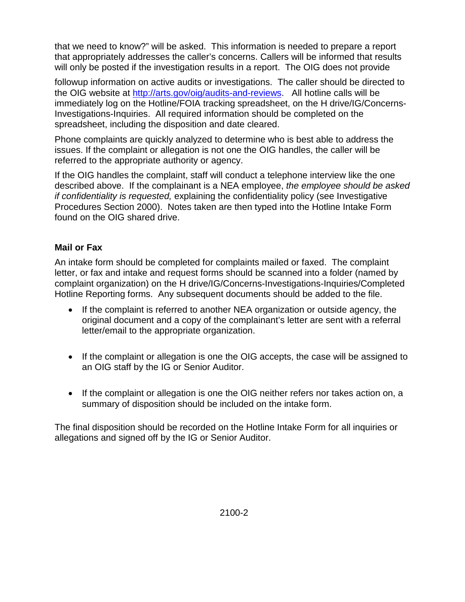that we need to know?" will be asked. This information is needed to prepare a report that appropriately addresses the caller's concerns. Callers will be informed that results will only be posted if the investigation results in a report. The OIG does not provide

followup information on active audits or investigations. The caller should be directed to the OIG website at [http://arts.gov/oig/audits-and-reviews.](http://arts.gov/oig/audits-and-reviews) All hotline calls will be immediately log on the Hotline/FOIA tracking spreadsheet, on the H drive/IG/Concerns-Investigations-Inquiries. All required information should be completed on the spreadsheet, including the disposition and date cleared.

Phone complaints are quickly analyzed to determine who is best able to address the issues. If the complaint or allegation is not one the OIG handles, the caller will be referred to the appropriate authority or agency.

If the OIG handles the complaint, staff will conduct a telephone interview like the one described above. If the complainant is a NEA employee, *the employee should be asked if confidentiality is requested,* explaining the confidentiality policy (see Investigative Procedures Section 2000). Notes taken are then typed into the Hotline Intake Form found on the OIG shared drive.

## **Mail or Fax**

An intake form should be completed for complaints mailed or faxed. The complaint letter, or fax and intake and request forms should be scanned into a folder (named by complaint organization) on the H drive/IG/Concerns-Investigations-Inquiries/Completed Hotline Reporting forms. Any subsequent documents should be added to the file.

- If the complaint is referred to another NEA organization or outside agency, the original document and a copy of the complainant's letter are sent with a referral letter/email to the appropriate organization.
- If the complaint or allegation is one the OIG accepts, the case will be assigned to an OIG staff by the IG or Senior Auditor.
- If the complaint or allegation is one the OIG neither refers nor takes action on, a summary of disposition should be included on the intake form.

The final disposition should be recorded on the Hotline Intake Form for all inquiries or allegations and signed off by the IG or Senior Auditor.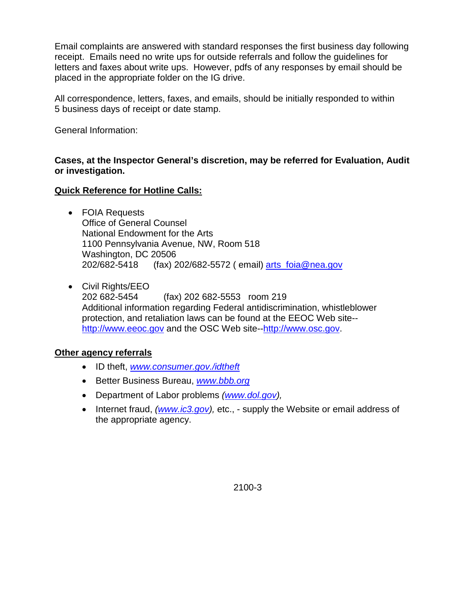Email complaints are answered with standard responses the first business day following receipt. Emails need no write ups for outside referrals and follow the guidelines for letters and faxes about write ups. However, pdfs of any responses by email should be placed in the appropriate folder on the IG drive.

All correspondence, letters, faxes, and emails, should be initially responded to within 5 business days of receipt or date stamp.

General Information:

#### **Cases, at the Inspector General's discretion, may be referred for Evaluation, Audit or investigation.**

#### **Quick Reference for Hotline Calls:**

- FOIA Requests Office of General Counsel National Endowment for the Arts 1100 Pennsylvania Avenue, NW, Room 518 Washington, DC 20506 202/682-5418 (fax) 202/682-5572 ( email) [arts\\_foia@nea.gov](mailto:arts_foia@nea.gov)
- Civil Rights/EEO 202 682-5454 (fax) 202 682-5553 room 219 Additional information regarding Federal antidiscrimination, whistleblower protection, and retaliation laws can be found at the EEOC Web site- [http://www.eeoc.gov](http://www.eeoc.gov/) and the OSC Web site-[-http://www.osc.gov.](http://www.osc.gov/)

#### **Other agency referrals**

- ID theft, *[www.consumer.gov./idtheft](http://www.consumer.gov./idtheft)*
- Better Business Bureau, *[www.bbb.org](http://www.bbb.org/)*
- Department of Labor problems *[\(www.dol.gov\)](http://www.dol.gov/),*
- Internet fraud, *[\(www.ic3.gov\)](http://www.ic3.gov/)*, etc., supply the Website or email address of the appropriate agency.